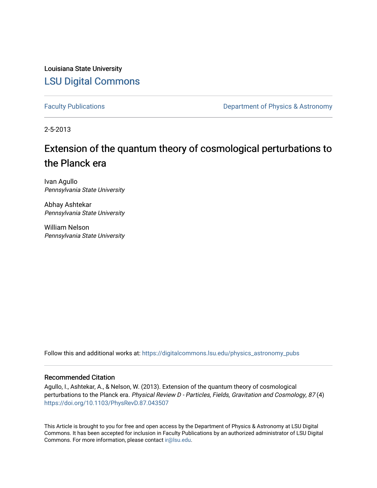Louisiana State University [LSU Digital Commons](https://digitalcommons.lsu.edu/)

[Faculty Publications](https://digitalcommons.lsu.edu/physics_astronomy_pubs) **Exercise 2 and Table 2 and Table 2 and Table 2 and Table 2 and Table 2 and Table 2 and Table 2 and Table 2 and Table 2 and Table 2 and Table 2 and Table 2 and Table 2 and Table 2 and Table 2 and Table** 

2-5-2013

# Extension of the quantum theory of cosmological perturbations to the Planck era

Ivan Agullo Pennsylvania State University

Abhay Ashtekar Pennsylvania State University

William Nelson Pennsylvania State University

Follow this and additional works at: [https://digitalcommons.lsu.edu/physics\\_astronomy\\_pubs](https://digitalcommons.lsu.edu/physics_astronomy_pubs?utm_source=digitalcommons.lsu.edu%2Fphysics_astronomy_pubs%2F174&utm_medium=PDF&utm_campaign=PDFCoverPages) 

## Recommended Citation

Agullo, I., Ashtekar, A., & Nelson, W. (2013). Extension of the quantum theory of cosmological perturbations to the Planck era. Physical Review D - Particles, Fields, Gravitation and Cosmology, 87 (4) <https://doi.org/10.1103/PhysRevD.87.043507>

This Article is brought to you for free and open access by the Department of Physics & Astronomy at LSU Digital Commons. It has been accepted for inclusion in Faculty Publications by an authorized administrator of LSU Digital Commons. For more information, please contact [ir@lsu.edu](mailto:ir@lsu.edu).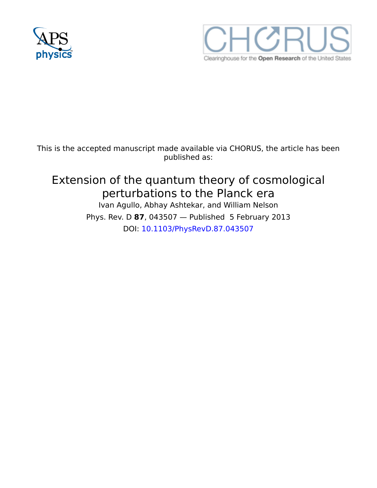



This is the accepted manuscript made available via CHORUS, the article has been published as:

## Extension of the quantum theory of cosmological perturbations to the Planck era Ivan Agullo, Abhay Ashtekar, and William Nelson

Phys. Rev. D **87**, 043507 — Published 5 February 2013 DOI: [10.1103/PhysRevD.87.043507](http://dx.doi.org/10.1103/PhysRevD.87.043507)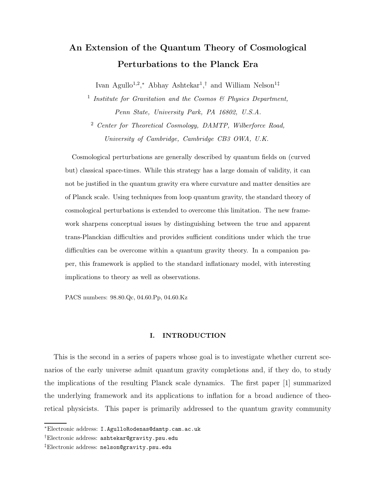## An Extension of the Quantum Theory of Cosmological Perturbations to the Planck Era

Ivan Agullo<sup>1,2</sup>,\* Abhay Ashtekar<sup>1</sup>,<sup>†</sup> and William Nelson<sup>1‡</sup>

1 *Institute for Gravitation and the Cosmos & Physics Department, Penn State, University Park, PA 16802, U.S.A.*

<sup>2</sup> *Center for Theoretical Cosmology, DAMTP, Wilberforce Road, University of Cambridge, Cambridge CB3 OWA, U.K.*

Cosmological perturbations are generally described by quantum fields on (curved but) classical space-times. While this strategy has a large domain of validity, it can not be justified in the quantum gravity era where curvature and matter densities are of Planck scale. Using techniques from loop quantum gravity, the standard theory of cosmological perturbations is extended to overcome this limitation. The new framework sharpens conceptual issues by distinguishing between the true and apparent trans-Planckian difficulties and provides sufficient conditions under which the true difficulties can be overcome within a quantum gravity theory. In a companion paper, this framework is applied to the standard inflationary model, with interesting implications to theory as well as observations.

PACS numbers: 98.80.Qc, 04.60.Pp, 04.60.Kz

## I. INTRODUCTION

This is the second in a series of papers whose goal is to investigate whether current scenarios of the early universe admit quantum gravity completions and, if they do, to study the implications of the resulting Planck scale dynamics. The first paper [1] summarized the underlying framework and its applications to inflation for a broad audience of theoretical physicists. This paper is primarily addressed to the quantum gravity community

<sup>∗</sup>Electronic address: I.AgulloRodenas@damtp.cam.ac.uk

<sup>†</sup>Electronic address: ashtekar@gravity.psu.edu

<sup>‡</sup>Electronic address: nelson@gravity.psu.edu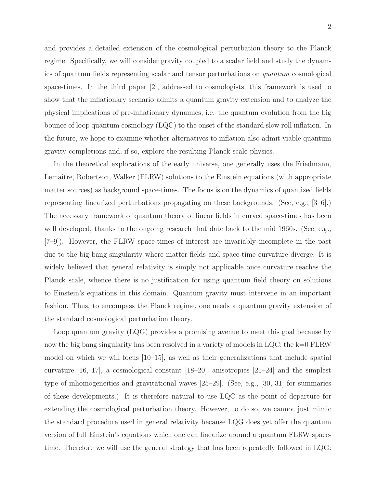and provides a detailed extension of the cosmological perturbation theory to the Planck regime. Specifically, we will consider gravity coupled to a scalar field and study the dynamics of quantum fields representing scalar and tensor perturbations on quantum cosmological space-times. In the third paper [2], addressed to cosmologists, this framework is used to show that the inflationary scenario admits a quantum gravity extension and to analyze the physical implications of pre-inflationary dynamics, i.e. the quantum evolution from the big bounce of loop quantum cosmology (LQC) to the onset of the standard slow roll inflation. In the future, we hope to examine whether alternatives to inflation also admit viable quantum gravity completions and, if so, explore the resulting Planck scale physics.

In the theoretical explorations of the early universe, one generally uses the Friedmann, Lemaître, Robertson, Walker (FLRW) solutions to the Einstein equations (with appropriate matter sources) as background space-times. The focus is on the dynamics of quantized fields representing linearized perturbations propagating on these backgrounds. (See, e.g., [3–6].) The necessary framework of quantum theory of linear fields in curved space-times has been well developed, thanks to the ongoing research that date back to the mid 1960s. (See, e.g., [7–9]). However, the FLRW space-times of interest are invariably incomplete in the past due to the big bang singularity where matter fields and space-time curvature diverge. It is widely believed that general relativity is simply not applicable once curvature reaches the Planck scale, whence there is no justification for using quantum field theory on solutions to Einstein's equations in this domain. Quantum gravity must intervene in an important fashion. Thus, to encompass the Planck regime, one needs a quantum gravity extension of the standard cosmological perturbation theory.

Loop quantum gravity (LQG) provides a promising avenue to meet this goal because by now the big bang singularity has been resolved in a variety of models in LQC; the k=0 FLRW model on which we will focus [10–15], as well as their generalizations that include spatial curvature [16, 17], a cosmological constant  $[18–20]$ , anisotropies [21–24] and the simplest type of inhomogeneities and gravitational waves [25–29]. (See, e.g., [30, 31] for summaries of these developments.) It is therefore natural to use LQC as the point of departure for extending the cosmological perturbation theory. However, to do so, we cannot just mimic the standard procedure used in general relativity because LQG does yet offer the quantum version of full Einstein's equations which one can linearize around a quantum FLRW spacetime. Therefore we will use the general strategy that has been repeatedly followed in LQG: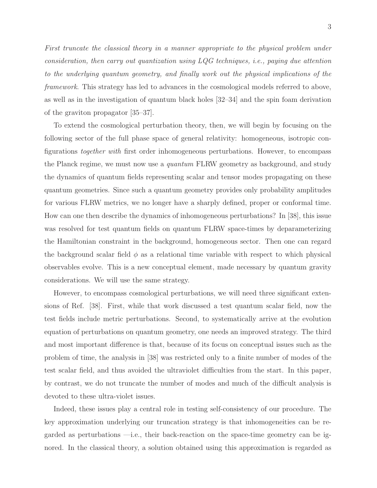First truncate the classical theory in a manner appropriate to the physical problem under consideration, then carry out quantization using LQG techniques, i.e., paying due attention to the underlying quantum geometry, and finally work out the physical implications of the framework. This strategy has led to advances in the cosmological models referred to above, as well as in the investigation of quantum black holes [32–34] and the spin foam derivation of the graviton propagator [35–37].

To extend the cosmological perturbation theory, then, we will begin by focusing on the following sector of the full phase space of general relativity: homogeneous, isotropic configurations together with first order inhomogeneous perturbations. However, to encompass the Planck regime, we must now use a *quantum* FLRW geometry as background, and study the dynamics of quantum fields representing scalar and tensor modes propagating on these quantum geometries. Since such a quantum geometry provides only probability amplitudes for various FLRW metrics, we no longer have a sharply defined, proper or conformal time. How can one then describe the dynamics of inhomogeneous perturbations? In [38], this issue was resolved for test quantum fields on quantum FLRW space-times by deparameterizing the Hamiltonian constraint in the background, homogeneous sector. Then one can regard the background scalar field  $\phi$  as a relational time variable with respect to which physical observables evolve. This is a new conceptual element, made necessary by quantum gravity considerations. We will use the same strategy.

However, to encompass cosmological perturbations, we will need three significant extensions of Ref. [38]. First, while that work discussed a test quantum scalar field, now the test fields include metric perturbations. Second, to systematically arrive at the evolution equation of perturbations on quantum geometry, one needs an improved strategy. The third and most important difference is that, because of its focus on conceptual issues such as the problem of time, the analysis in [38] was restricted only to a finite number of modes of the test scalar field, and thus avoided the ultraviolet difficulties from the start. In this paper, by contrast, we do not truncate the number of modes and much of the difficult analysis is devoted to these ultra-violet issues.

Indeed, these issues play a central role in testing self-consistency of our procedure. The key approximation underlying our truncation strategy is that inhomogeneities can be regarded as perturbations —i.e., their back-reaction on the space-time geometry can be ignored. In the classical theory, a solution obtained using this approximation is regarded as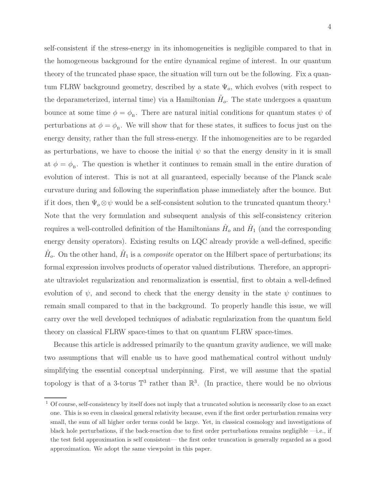self-consistent if the stress-energy in its inhomogeneities is negligible compared to that in the homogeneous background for the entire dynamical regime of interest. In our quantum theory of the truncated phase space, the situation will turn out be the following. Fix a quantum FLRW background geometry, described by a state  $\Psi_o$ , which evolves (with respect to the deparameterized, internal time) via a Hamiltonian  $\hat{H}_o$ . The state undergoes a quantum bounce at some time  $\phi = \phi_B$ . There are natural initial conditions for quantum states  $\psi$  of perturbations at  $\phi = \phi_{\rm B}$ . We will show that for these states, it suffices to focus just on the energy density, rather than the full stress-energy. If the inhomogeneities are to be regarded as perturbations, we have to choose the initial  $\psi$  so that the energy density in it is small at  $\phi = \phi_{\rm B}$ . The question is whether it continues to remain small in the entire duration of evolution of interest. This is not at all guaranteed, especially because of the Planck scale curvature during and following the superinflation phase immediately after the bounce. But if it does, then  $\Psi_o \otimes \psi$  would be a self-consistent solution to the truncated quantum theory.<sup>1</sup> Note that the very formulation and subsequent analysis of this self-consistency criterion requires a well-controlled definition of the Hamiltonians  $\hat{H}_o$  and  $\hat{H}_1$  (and the corresponding energy density operators). Existing results on LQC already provide a well-defined, specific  $\hat{H}_o$ . On the other hand,  $\hat{H}_1$  is a *composite* operator on the Hilbert space of perturbations; its formal expression involves products of operator valued distributions. Therefore, an appropriate ultraviolet regularization and renormalization is essential, first to obtain a well-defined evolution of  $\psi$ , and second to check that the energy density in the state  $\psi$  continues to remain small compared to that in the background. To properly handle this issue, we will carry over the well developed techniques of adiabatic regularization from the quantum field theory on classical FLRW space-times to that on quantum FLRW space-times.

Because this article is addressed primarily to the quantum gravity audience, we will make two assumptions that will enable us to have good mathematical control without unduly simplifying the essential conceptual underpinning. First, we will assume that the spatial topology is that of a 3-torus  $\mathbb{T}^3$  rather than  $\mathbb{R}^3$ . (In practice, there would be no obvious

 $1$  Of course, self-consistency by itself does not imply that a truncated solution is necessarily close to an exact one. This is so even in classical general relativity because, even if the first order perturbation remains very small, the sum of all higher order terms could be large. Yet, in classical cosmology and investigations of black hole perturbations, if the back-reaction due to first order perturbations remains negligible —i.e., if the test field approximation is self consistent— the first order truncation is generally regarded as a good approximation. We adopt the same viewpoint in this paper.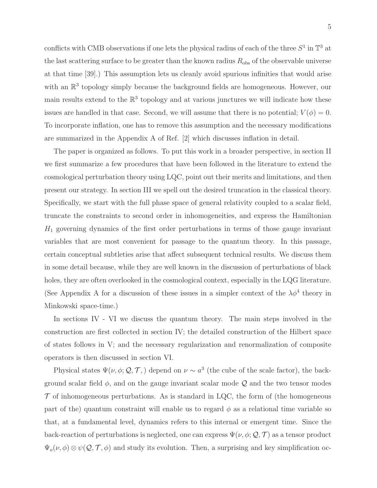conflicts with CMB observations if one lets the physical radius of each of the three  $S^1$  in  $\mathbb{T}^3$  at the last scattering surface to be greater than the known radius  $R_{obs}$  of the observable universe at that time [39].) This assumption lets us cleanly avoid spurious infinities that would arise with an  $\mathbb{R}^3$  topology simply because the background fields are homogeneous. However, our main results extend to the  $\mathbb{R}^3$  topology and at various junctures we will indicate how these issues are handled in that case. Second, we will assume that there is no potential;  $V(\phi) = 0$ . To incorporate inflation, one has to remove this assumption and the necessary modifications are summarized in the Appendix A of Ref. [2] which discusses inflation in detail.

The paper is organized as follows. To put this work in a broader perspective, in section II we first summarize a few procedures that have been followed in the literature to extend the cosmological perturbation theory using LQC, point out their merits and limitations, and then present our strategy. In section III we spell out the desired truncation in the classical theory. Specifically, we start with the full phase space of general relativity coupled to a scalar field, truncate the constraints to second order in inhomogeneities, and express the Hamiltonian  $H_1$  governing dynamics of the first order perturbations in terms of those gauge invariant variables that are most convenient for passage to the quantum theory. In this passage, certain conceptual subtleties arise that affect subsequent technical results. We discuss them in some detail because, while they are well known in the discussion of perturbations of black holes, they are often overlooked in the cosmological context, especially in the LQG literature. (See Appendix A for a discussion of these issues in a simpler context of the  $\lambda \phi^4$  theory in Minkowski space-time.)

In sections IV - VI we discuss the quantum theory. The main steps involved in the construction are first collected in section IV; the detailed construction of the Hilbert space of states follows in V; and the necessary regularization and renormalization of composite operators is then discussed in section VI.

Physical states  $\Psi(\nu, \phi; \mathcal{Q}, \mathcal{T},)$  depend on  $\nu \sim a^3$  (the cube of the scale factor), the background scalar field  $\phi$ , and on the gauge invariant scalar mode  $\mathcal Q$  and the two tensor modes  $\mathcal T$  of inhomogeneous perturbations. As is standard in LQC, the form of (the homogeneous part of the) quantum constraint will enable us to regard  $\phi$  as a relational time variable so that, at a fundamental level, dynamics refers to this internal or emergent time. Since the back-reaction of perturbations is neglected, one can express  $\Psi(\nu, \phi; Q, \mathcal{T})$  as a tensor product  $\Psi_o(\nu, \phi) \otimes \psi(Q, \mathcal{T}, \phi)$  and study its evolution. Then, a surprising and key simplification oc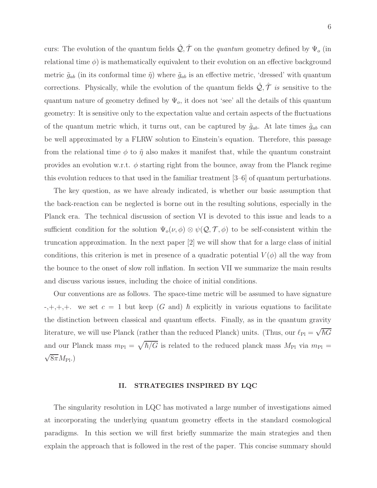curs: The evolution of the quantum fields  $\hat{Q}, \hat{\mathcal{T}}$  on the *quantum* geometry defined by  $\Psi_o$  (in relational time  $\phi$ ) is mathematically equivalent to their evolution on an effective background metric  $\tilde{g}_{ab}$  (in its conformal time  $\tilde{\eta}$ ) where  $\tilde{g}_{ab}$  is an effective metric, 'dressed' with quantum corrections. Physically, while the evolution of the quantum fields  $\hat{Q}, \hat{\mathcal{T}}$  is sensitive to the quantum nature of geometry defined by  $\Psi_o$ , it does not 'see' all the details of this quantum geometry: It is sensitive only to the expectation value and certain aspects of the fluctuations of the quantum metric which, it turns out, can be captured by  $\tilde{g}_{ab}$ . At late times  $\tilde{g}_{ab}$  can be well approximated by a FLRW solution to Einstein's equation. Therefore, this passage from the relational time  $\phi$  to  $\tilde{\eta}$  also makes it manifest that, while the quantum constraint provides an evolution w.r.t.  $\phi$  starting right from the bounce, away from the Planck regime this evolution reduces to that used in the familiar treatment [3–6] of quantum perturbations.

The key question, as we have already indicated, is whether our basic assumption that the back-reaction can be neglected is borne out in the resulting solutions, especially in the Planck era. The technical discussion of section VI is devoted to this issue and leads to a sufficient condition for the solution  $\Psi_o(\nu, \phi) \otimes \psi(Q, \mathcal{T}, \phi)$  to be self-consistent within the truncation approximation. In the next paper [2] we will show that for a large class of initial conditions, this criterion is met in presence of a quadratic potential  $V(\phi)$  all the way from the bounce to the onset of slow roll inflation. In section VII we summarize the main results and discuss various issues, including the choice of initial conditions.

Our conventions are as follows. The space-time metric will be assumed to have signature -,+,+,+. we set  $c = 1$  but keep (G and)  $\hbar$  explicitly in various equations to facilitate the distinction between classical and quantum effects. Finally, as in the quantum gravity literature, we will use Planck (rather than the reduced Planck) units. (Thus, our  $\ell_{\text{Pl}} = \sqrt{\hbar G}$ and our Planck mass  $m_{\text{Pl}} = \sqrt{\hbar/G}$  is related to the reduced planck mass  $M_{\text{Pl}}$  via  $m_{\text{Pl}} =$  $\sqrt{8\pi}M_{\text{Pl}}$ .)

## II. STRATEGIES INSPIRED BY LQC

The singularity resolution in LQC has motivated a large number of investigations aimed at incorporating the underlying quantum geometry effects in the standard cosmological paradigms. In this section we will first briefly summarize the main strategies and then explain the approach that is followed in the rest of the paper. This concise summary should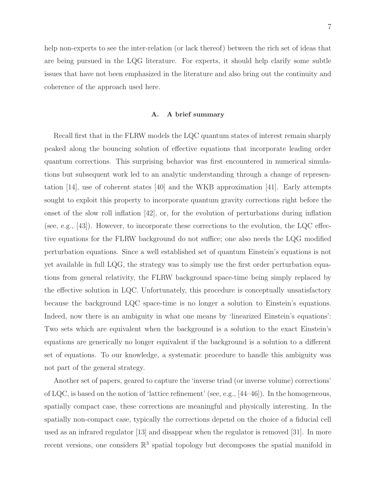help non-experts to see the inter-relation (or lack thereof) between the rich set of ideas that are being pursued in the LQG literature. For experts, it should help clarify some subtle issues that have not been emphasized in the literature and also bring out the continuity and coherence of the approach used here.

### A. A brief summary

Recall first that in the FLRW models the LQC quantum states of interest remain sharply peaked along the bouncing solution of effective equations that incorporate leading order quantum corrections. This surprising behavior was first encountered in numerical simulations but subsequent work led to an analytic understanding through a change of representation [14], use of coherent states [40] and the WKB approximation [41]. Early attempts sought to exploit this property to incorporate quantum gravity corrections right before the onset of the slow roll inflation [42], or, for the evolution of perturbations during inflation (see, e.g.,  $|43|$ ). However, to incorporate these corrections to the evolution, the LQC effective equations for the FLRW background do not suffice; one also needs the LQG modified perturbation equations. Since a well established set of quantum Einstein's equations is not yet available in full LQG, the strategy was to simply use the first order perturbation equations from general relativity, the FLRW background space-time being simply replaced by the effective solution in LQC. Unfortunately, this procedure is conceptually unsatisfactory because the background LQC space-time is no longer a solution to Einstein's equations. Indeed, now there is an ambiguity in what one means by 'linearized Einstein's equations': Two sets which are equivalent when the background is a solution to the exact Einstein's equations are generically no longer equivalent if the background is a solution to a different set of equations. To our knowledge, a systematic procedure to handle this ambiguity was not part of the general strategy.

Another set of papers, geared to capture the 'inverse triad (or inverse volume) corrections' of LQC, is based on the notion of 'lattice refinement' (see, e.g., [44–46]). In the homogeneous, spatially compact case, these corrections are meaningful and physically interesting. In the spatially non-compact case, typically the corrections depend on the choice of a fiducial cell used as an infrared regulator [13] and disappear when the regulator is removed [31]. In more recent versions, one considers  $\mathbb{R}^3$  spatial topology but decomposes the spatial manifold in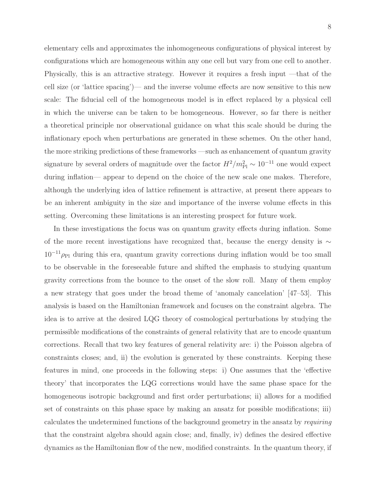elementary cells and approximates the inhomogeneous configurations of physical interest by configurations which are homogeneous within any one cell but vary from one cell to another. Physically, this is an attractive strategy. However it requires a fresh input —that of the cell size (or 'lattice spacing')— and the inverse volume effects are now sensitive to this new scale: The fiducial cell of the homogeneous model is in effect replaced by a physical cell in which the universe can be taken to be homogeneous. However, so far there is neither a theoretical principle nor observational guidance on what this scale should be during the inflationary epoch when perturbations are generated in these schemes. On the other hand, the more striking predictions of these frameworks —such as enhancement of quantum gravity signature by several orders of magnitude over the factor  $H^2/m_{\text{Pl}}^2 \sim 10^{-11}$  one would expect during inflation— appear to depend on the choice of the new scale one makes. Therefore, although the underlying idea of lattice refinement is attractive, at present there appears to be an inherent ambiguity in the size and importance of the inverse volume effects in this setting. Overcoming these limitations is an interesting prospect for future work.

In these investigations the focus was on quantum gravity effects during inflation. Some of the more recent investigations have recognized that, because the energy density is  $\sim$  $10^{-11}\rho_{\rm Pl}$  during this era, quantum gravity corrections during inflation would be too small to be observable in the foreseeable future and shifted the emphasis to studying quantum gravity corrections from the bounce to the onset of the slow roll. Many of them employ a new strategy that goes under the broad theme of 'anomaly cancelation' [47–53]. This analysis is based on the Hamiltonian framework and focuses on the constraint algebra. The idea is to arrive at the desired LQG theory of cosmological perturbations by studying the permissible modifications of the constraints of general relativity that are to encode quantum corrections. Recall that two key features of general relativity are: i) the Poisson algebra of constraints closes; and, ii) the evolution is generated by these constraints. Keeping these features in mind, one proceeds in the following steps: i) One assumes that the 'effective theory' that incorporates the LQG corrections would have the same phase space for the homogeneous isotropic background and first order perturbations; ii) allows for a modified set of constraints on this phase space by making an ansatz for possible modifications; iii) calculates the undetermined functions of the background geometry in the ansatz by requiring that the constraint algebra should again close; and, finally, iv) defines the desired effective dynamics as the Hamiltonian flow of the new, modified constraints. In the quantum theory, if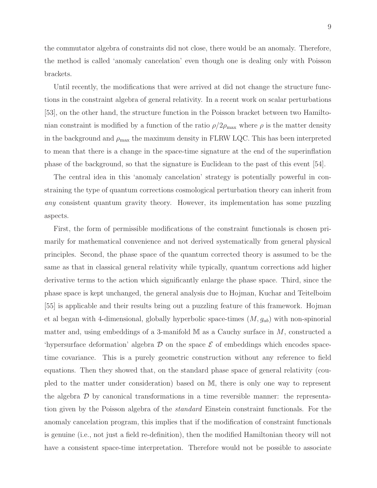the commutator algebra of constraints did not close, there would be an anomaly. Therefore, the method is called 'anomaly cancelation' even though one is dealing only with Poisson brackets.

Until recently, the modifications that were arrived at did not change the structure functions in the constraint algebra of general relativity. In a recent work on scalar perturbations [53], on the other hand, the structure function in the Poisson bracket between two Hamiltonian constraint is modified by a function of the ratio  $\rho/2\rho_{\text{max}}$  where  $\rho$  is the matter density in the background and  $\rho_{\text{max}}$  the maximum density in FLRW LQC. This has been interpreted to mean that there is a change in the space-time signature at the end of the superinflation phase of the background, so that the signature is Euclidean to the past of this event [54].

The central idea in this 'anomaly cancelation' strategy is potentially powerful in constraining the type of quantum corrections cosmological perturbation theory can inherit from any consistent quantum gravity theory. However, its implementation has some puzzling aspects.

First, the form of permissible modifications of the constraint functionals is chosen primarily for mathematical convenience and not derived systematically from general physical principles. Second, the phase space of the quantum corrected theory is assumed to be the same as that in classical general relativity while typically, quantum corrections add higher derivative terms to the action which significantly enlarge the phase space. Third, since the phase space is kept unchanged, the general analysis due to Hojman, Kuchar and Teitelboim [55] is applicable and their results bring out a puzzling feature of this framework. Hojman et al began with 4-dimensional, globally hyperbolic space-times  $(M, g_{ab})$  with non-spinorial matter and, using embeddings of a 3-manifold  $M$  as a Cauchy surface in  $M$ , constructed a 'hypersurface deformation' algebra  $\mathcal D$  on the space  $\mathcal E$  of embeddings which encodes spacetime covariance. This is a purely geometric construction without any reference to field equations. Then they showed that, on the standard phase space of general relativity (coupled to the matter under consideration) based on M, there is only one way to represent the algebra  $D$  by canonical transformations in a time reversible manner: the representation given by the Poisson algebra of the standard Einstein constraint functionals. For the anomaly cancelation program, this implies that if the modification of constraint functionals is genuine (i.e., not just a field re-definition), then the modified Hamiltonian theory will not have a consistent space-time interpretation. Therefore would not be possible to associate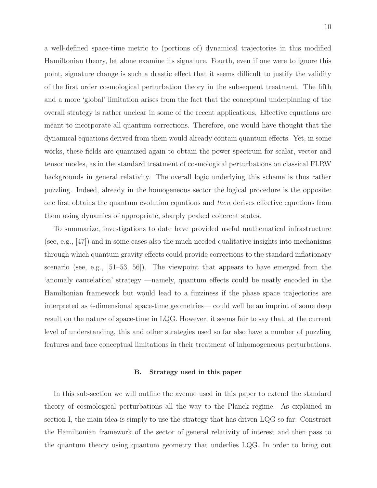a well-defined space-time metric to (portions of) dynamical trajectories in this modified Hamiltonian theory, let alone examine its signature. Fourth, even if one were to ignore this point, signature change is such a drastic effect that it seems difficult to justify the validity of the first order cosmological perturbation theory in the subsequent treatment. The fifth and a more 'global' limitation arises from the fact that the conceptual underpinning of the overall strategy is rather unclear in some of the recent applications. Effective equations are meant to incorporate all quantum corrections. Therefore, one would have thought that the dynamical equations derived from them would already contain quantum effects. Yet, in some works, these fields are quantized again to obtain the power spectrum for scalar, vector and tensor modes, as in the standard treatment of cosmological perturbations on classical FLRW backgrounds in general relativity. The overall logic underlying this scheme is thus rather puzzling. Indeed, already in the homogeneous sector the logical procedure is the opposite: one first obtains the quantum evolution equations and then derives effective equations from them using dynamics of appropriate, sharply peaked coherent states.

To summarize, investigations to date have provided useful mathematical infrastructure (see, e.g., [47]) and in some cases also the much needed qualitative insights into mechanisms through which quantum gravity effects could provide corrections to the standard inflationary scenario (see, e.g.,  $[51–53, 56]$ ). The viewpoint that appears to have emerged from the 'anomaly cancelation' strategy —namely, quantum effects could be neatly encoded in the Hamiltonian framework but would lead to a fuzziness if the phase space trajectories are interpreted as 4-dimensional space-time geometries— could well be an imprint of some deep result on the nature of space-time in LQG. However, it seems fair to say that, at the current level of understanding, this and other strategies used so far also have a number of puzzling features and face conceptual limitations in their treatment of inhomogeneous perturbations.

#### B. Strategy used in this paper

In this sub-section we will outline the avenue used in this paper to extend the standard theory of cosmological perturbations all the way to the Planck regime. As explained in section I, the main idea is simply to use the strategy that has driven LQG so far: Construct the Hamiltonian framework of the sector of general relativity of interest and then pass to the quantum theory using quantum geometry that underlies LQG. In order to bring out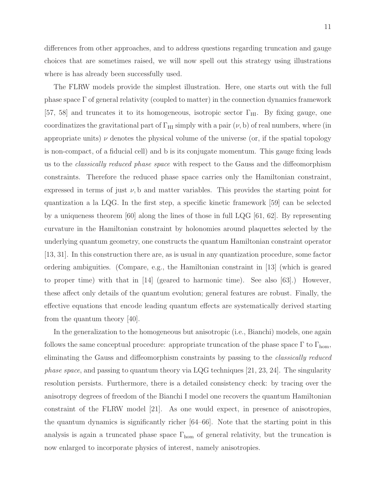differences from other approaches, and to address questions regarding truncation and gauge choices that are sometimes raised, we will now spell out this strategy using illustrations where is has already been successfully used.

The FLRW models provide the simplest illustration. Here, one starts out with the full phase space  $\Gamma$  of general relativity (coupled to matter) in the connection dynamics framework [57, 58] and truncates it to its homogeneous, isotropic sector  $\Gamma_{\rm HI}$ . By fixing gauge, one coordinatizes the gravitational part of  $\Gamma_{\text{HI}}$  simply with a pair  $(\nu, b)$  of real numbers, where (in appropriate units)  $\nu$  denotes the physical volume of the universe (or, if the spatial topology is non-compact, of a fiducial cell) and b is its conjugate momentum. This gauge fixing leads us to the classically reduced phase space with respect to the Gauss and the diffeomorphism constraints. Therefore the reduced phase space carries only the Hamiltonian constraint, expressed in terms of just  $\nu$ , b and matter variables. This provides the starting point for quantization a la LQG. In the first step, a specific kinetic framework [59] can be selected by a uniqueness theorem [60] along the lines of those in full LQG [61, 62]. By representing curvature in the Hamiltonian constraint by holonomies around plaquettes selected by the underlying quantum geometry, one constructs the quantum Hamiltonian constraint operator [13, 31]. In this construction there are, as is usual in any quantization procedure, some factor ordering ambiguities. (Compare, e.g., the Hamiltonian constraint in [13] (which is geared to proper time) with that in [14] (geared to harmonic time). See also [63].) However, these affect only details of the quantum evolution; general features are robust. Finally, the effective equations that encode leading quantum effects are systematically derived starting from the quantum theory [40].

In the generalization to the homogeneous but anisotropic (i.e., Bianchi) models, one again follows the same conceptual procedure: appropriate truncation of the phase space  $\Gamma$  to  $\Gamma_{\text{hom}}$ , eliminating the Gauss and diffeomorphism constraints by passing to the classically reduced phase space, and passing to quantum theory via LQG techniques [21, 23, 24]. The singularity resolution persists. Furthermore, there is a detailed consistency check: by tracing over the anisotropy degrees of freedom of the Bianchi I model one recovers the quantum Hamiltonian constraint of the FLRW model [21]. As one would expect, in presence of anisotropies, the quantum dynamics is significantly richer [64–66]. Note that the starting point in this analysis is again a truncated phase space  $\Gamma_{\text{hom}}$  of general relativity, but the truncation is now enlarged to incorporate physics of interest, namely anisotropies.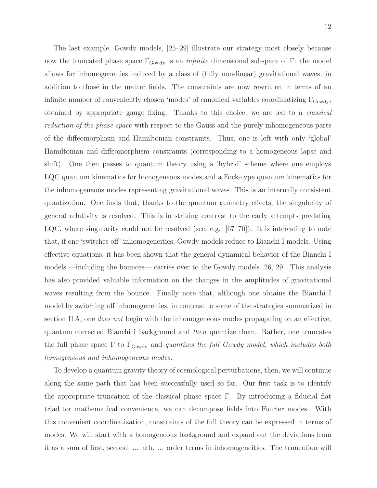The last example, Gowdy models, [25–29] illustrate our strategy most closely because now the truncated phase space  $\Gamma_{\text{Gowdy}}$  is an *infinite* dimensional subspace of  $\Gamma$ : the model allows for inhomogeneities induced by a class of (fully non-linear) gravitational waves, in addition to those in the matter fields. The constraints are now rewritten in terms of an infinite number of conveniently chosen 'modes' of canonical variables coordinatizing  $\Gamma_{\text{Gowdy}}$ , obtained by appropriate gauge fixing. Thanks to this choice, we are led to a classical reduction of the phase space with respect to the Gauss and the purely inhomogeneous parts of the diffeomorphism and Hamiltonian constraints. Thus, one is left with only 'global' Hamiltonian and diffeomorphism constraints (corresponding to a homogeneous lapse and shift). One then passes to quantum theory using a 'hybrid' scheme where one employs LQC quantum kinematics for homogeneous modes and a Fock-type quantum kinematics for the inhomogeneous modes representing gravitational waves. This is an internally consistent quantization. One finds that, thanks to the quantum geometry effects, the singularity of general relativity is resolved. This is in striking contrast to the early attempts predating LQC, where singularity could not be resolved (see, e.g.  $[67-70]$ ). It is interesting to note that, if one 'switches off' inhomogeneities, Gowdy models reduce to Bianchi I models. Using effective equations, it has been shown that the general dynamical behavior of the Bianchi I models —including the bounces— carries over to the Gowdy models [26, 29]. This analysis has also provided valuable information on the changes in the amplitudes of gravitational waves resulting from the bounce. Finally note that, although one obtains the Bianchi I model by switching off inhomogeneities, in contrast to some of the strategies summarized in section II A, one does not begin with the inhomogeneous modes propagating on an effective, quantum corrected Bianchi I background and then quantize them. Rather, one truncates the full phase space  $\Gamma$  to  $\Gamma_{\text{Gowdy}}$  and quantizes the full Gowdy model, which includes both homogeneous and inhomogeneous modes.

To develop a quantum gravity theory of cosmological perturbations, then, we will continue along the same path that has been successfully used so far. Our first task is to identify the appropriate truncation of the classical phase space Γ. By introducing a fiducial flat triad for mathematical convenience, we can decompose fields into Fourier modes. With this convenient coordinatization, constraints of the full theory can be expressed in terms of modes. We will start with a homogeneous background and expand out the deviations from it as a sum of first, second, ... nth, ... order terms in inhomogeneities. The truncation will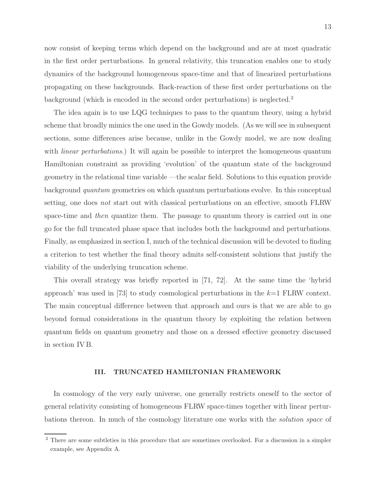now consist of keeping terms which depend on the background and are at most quadratic in the first order perturbations. In general relativity, this truncation enables one to study dynamics of the background homogeneous space-time and that of linearized perturbations propagating on these backgrounds. Back-reaction of these first order perturbations on the background (which is encoded in the second order perturbations) is neglected.<sup>2</sup>

The idea again is to use LQG techniques to pass to the quantum theory, using a hybrid scheme that broadly mimics the one used in the Gowdy models. (As we will see in subsequent sections, some differences arise because, unlike in the Gowdy model, we are now dealing with *linear perturbations*.) It will again be possible to interpret the homogeneous quantum Hamiltonian constraint as providing 'evolution' of the quantum state of the background geometry in the relational time variable —the scalar field. Solutions to this equation provide background quantum geometries on which quantum perturbations evolve. In this conceptual setting, one does not start out with classical perturbations on an effective, smooth FLRW space-time and *then* quantize them. The passage to quantum theory is carried out in one go for the full truncated phase space that includes both the background and perturbations. Finally, as emphasized in section I, much of the technical discussion will be devoted to finding a criterion to test whether the final theory admits self-consistent solutions that justify the viability of the underlying truncation scheme.

This overall strategy was briefly reported in [71, 72]. At the same time the 'hybrid approach' was used in [73] to study cosmological perturbations in the  $k=1$  FLRW context. The main conceptual difference between that approach and ours is that we are able to go beyond formal considerations in the quantum theory by exploiting the relation between quantum fields on quantum geometry and those on a dressed effective geometry discussed in section IV B.

### III. TRUNCATED HAMILTONIAN FRAMEWORK

In cosmology of the very early universe, one generally restricts oneself to the sector of general relativity consisting of homogeneous FLRW space-times together with linear perturbations thereon. In much of the cosmology literature one works with the solution space of

<sup>&</sup>lt;sup>2</sup> There are some subtleties in this procedure that are sometimes overlooked. For a discussion in a simpler example, see Appendix A.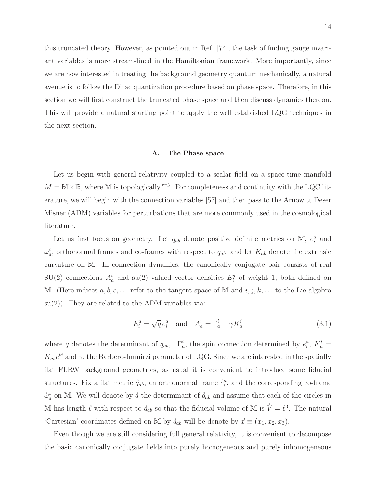this truncated theory. However, as pointed out in Ref. [74], the task of finding gauge invariant variables is more stream-lined in the Hamiltonian framework. More importantly, since we are now interested in treating the background geometry quantum mechanically, a natural avenue is to follow the Dirac quantization procedure based on phase space. Therefore, in this section we will first construct the truncated phase space and then discuss dynamics thereon. This will provide a natural starting point to apply the well established LQG techniques in the next section.

## A. The Phase space

Let us begin with general relativity coupled to a scalar field on a space-time manifold  $M = \mathbb{M} \times \mathbb{R}$ , where  $\mathbb M$  is topologically  $\mathbb{T}^3$ . For completeness and continuity with the LQC literature, we will begin with the connection variables [57] and then pass to the Arnowitt Deser Misner (ADM) variables for perturbations that are more commonly used in the cosmological literature.

Let us first focus on geometry. Let  $q_{ab}$  denote positive definite metrics on M,  $e_i^a$  and  $\omega_a^i$ , orthonormal frames and co-frames with respect to  $q_{ab}$ , and let  $K_{ab}$  denote the extrinsic curvature on M. In connection dynamics, the canonically conjugate pair consists of real  $SU(2)$  connections  $A_a^i$  and su(2) valued vector densities  $E_i^a$  of weight 1, both defined on M. (Here indices  $a, b, c, \ldots$  refer to the tangent space of M and  $i, j, k, \ldots$  to the Lie algebra  $su(2)$ ). They are related to the ADM variables via:

$$
E_i^a = \sqrt{q} e_i^a \quad \text{and} \quad A_a^i = \Gamma_a^i + \gamma K_a^i \tag{3.1}
$$

where q denotes the determinant of  $q_{ab}$ ,  $\Gamma_a^i$ , the spin connection determined by  $e_i^a$ ,  $K_a^i$  =  $K_{ab}e^{bi}$  and  $\gamma$ , the Barbero-Immirzi parameter of LQG. Since we are interested in the spatially flat FLRW background geometries, as usual it is convenient to introduce some fiducial structures. Fix a flat metric  $\mathring{q}_{ab}$ , an orthonormal frame  $\mathring{e}^a_i$ , and the corresponding co-frame  $\mathring{\omega}_a^i$  on M. We will denote by  $\mathring{q}$  the determinant of  $\mathring{q}_{ab}$  and assume that each of the circles in M has length  $\ell$  with respect to  $\mathring{q}_{ab}$  so that the fiducial volume of M is  $\mathring{V} = \ell^3$ . The natural 'Cartesian' coordinates defined on M by  $\mathring{q}_{ab}$  will be denote by  $\vec{x} \equiv (x_1, x_2, x_3)$ .

Even though we are still considering full general relativity, it is convenient to decompose the basic canonically conjugate fields into purely homogeneous and purely inhomogeneous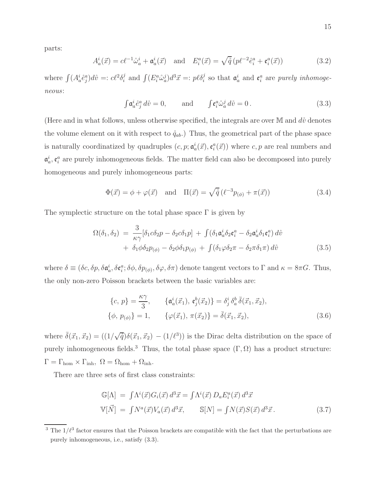parts:

$$
A_a^i(\vec{x}) = c\ell^{-1}\mathring{\omega}_a^i + \mathfrak{a}_a^i(\vec{x}) \quad \text{and} \quad E_i^a(\vec{x}) = \sqrt{\mathring{q}} \left( p\ell^{-2}\mathring{e}_i^a + \mathfrak{e}_i^a(\vec{x}) \right) \tag{3.2}
$$

where  $\int (A_a^i \mathring{e}_j^a) d\mathring{v} =: c\ell^2 \delta_i^j$  $\int_a^j$  and  $\int (E_i^a \mathring{\omega}_a^j) d^3 \vec{x} =: p \ell \delta_i^j$  so that  $\mathfrak{a}_a^i$  and  $\mathfrak{e}_i^a$  are purely inhomogeneous:

$$
\int \mathfrak{a}_a^i \mathring{e}_j^a d\mathring{v} = 0, \quad \text{and} \quad \int \mathfrak{e}_i^a \mathring{\omega}_a^j d\mathring{v} = 0.
$$
 (3.3)

(Here and in what follows, unless otherwise specified, the integrals are over M and  $d\mathring{v}$  denotes the volume element on it with respect to  $\mathring{q}_{ab}$ .) Thus, the geometrical part of the phase space is naturally coordinatized by quadruples  $(c, p; \mathfrak{a}_a^i(\vec{x}), \mathfrak{e}_i^a(\vec{x}))$  where  $c, p$  are real numbers and  $\mathfrak{a}_a^i$ ,  $\mathfrak{e}_i^a$  are purely inhomogeneous fields. The matter field can also be decomposed into purely homogeneous and purely inhomogeneous parts:

$$
\Phi(\vec{x}) = \phi + \varphi(\vec{x}) \quad \text{and} \quad \Pi(\vec{x}) = \sqrt{\mathring{q}} \left( \ell^{-3} p_{(\phi)} + \pi(\vec{x}) \right) \tag{3.4}
$$

The symplectic structure on the total phase space  $\Gamma$  is given by

$$
\Omega(\delta_1, \delta_2) = \frac{3}{\kappa \gamma} [\delta_1 c \delta_2 p - \delta_2 c \delta_1 p] + \int (\delta_1 \mathfrak{a}_a^i \delta_2 \mathfrak{e}_i^a - \delta_2 \mathfrak{a}_a^i \delta_1 \mathfrak{e}_i^a) d\mathring{v}
$$
  
+  $\delta_1 \phi \delta_2 p_{(\phi)} - \delta_2 \phi \delta_1 p_{(\phi)} + \int (\delta_1 \varphi \delta_2 \pi - \delta_2 \pi \delta_1 \pi) d\mathring{v}$  (3.5)

where  $\delta \equiv (\delta c, \delta p, \delta \mathfrak{a}_a^i, \delta \mathfrak{e}_i^a; \delta \phi, \delta p_{(\phi)}, \delta \varphi, \delta \pi)$  denote tangent vectors to  $\Gamma$  and  $\kappa = 8\pi G$ . Thus, the only non-zero Poisson brackets between the basic variables are:

$$
\{c, p\} = \frac{\kappa \gamma}{3}, \qquad \{\mathfrak{a}_a^i(\vec{x}_1), \mathfrak{e}_j^b(\vec{x}_2)\} = \delta_j^i \delta_a^b \bar{\delta}(\vec{x}_1, \vec{x}_2), \{\phi, p_{(\phi)}\} = 1, \qquad \{\varphi(\vec{x}_1), \pi(\vec{x}_2)\} = \bar{\delta}(\vec{x}_1, \vec{x}_2),
$$
\n(3.6)

where  $\bar{\delta}(\vec{x}_1, \vec{x}_2) = ((1/\sqrt{\tilde{q}})\delta(\vec{x}_1, \vec{x}_2) - (1/\ell^3))$  is the Dirac delta distribution on the space of purely inhomogeneous fields.<sup>3</sup> Thus, the total phase space  $(\Gamma, \Omega)$  has a product structure:  $\Gamma = \Gamma_{\text{hom}} \times \Gamma_{\text{inh}}, \ \Omega = \Omega_{\text{hom}} + \Omega_{\text{inh}}.$ 

There are three sets of first class constraints:

$$
\mathbb{G}[\Lambda] = \int \Lambda^i(\vec{x}) G_i(\vec{x}) d^3 \vec{x} = \int \Lambda^i(\vec{x}) D_a E_i^a(\vec{x}) d^3 \vec{x}
$$
  
\n
$$
\mathbb{V}[\vec{N}] = \int N^a(\vec{x}) V_a(\vec{x}) d^3 \vec{x}, \qquad \mathbb{S}[N] = \int N(\vec{x}) S(\vec{x}) d^3 \vec{x}.
$$
\n(3.7)

<sup>&</sup>lt;sup>3</sup> The  $1/\ell^3$  factor ensures that the Poisson brackets are compatible with the fact that the perturbations are purely inhomogeneous, i.e., satisfy (3.3).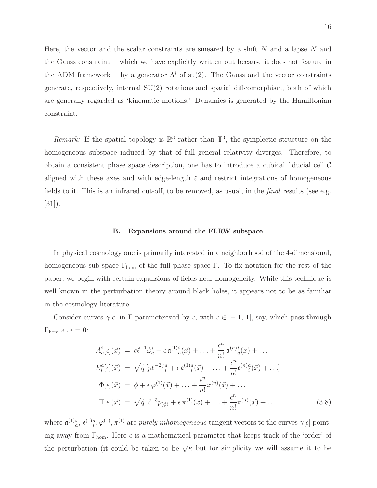Here, the vector and the scalar constraints are smeared by a shift  $\vec{N}$  and a lapse N and the Gauss constraint —which we have explicitly written out because it does not feature in the ADM framework— by a generator  $\Lambda^i$  of su(2). The Gauss and the vector constraints generate, respectively, internal SU(2) rotations and spatial diffeomorphism, both of which are generally regarded as 'kinematic motions.' Dynamics is generated by the Hamiltonian constraint.

Remark: If the spatial topology is  $\mathbb{R}^3$  rather than  $\mathbb{T}^3$ , the symplectic structure on the homogeneous subspace induced by that of full general relativity diverges. Therefore, to obtain a consistent phase space description, one has to introduce a cubical fiducial cell  $\mathcal C$ aligned with these axes and with edge-length  $\ell$  and restrict integrations of homogeneous fields to it. This is an infrared cut-off, to be removed, as usual, in the *final* results (see e.g. [31]).

### B. Expansions around the FLRW subspace

In physical cosmology one is primarily interested in a neighborhood of the 4-dimensional, homogeneous sub-space  $\Gamma_{\text{hom}}$  of the full phase space  $\Gamma$ . To fix notation for the rest of the paper, we begin with certain expansions of fields near homogeneity. While this technique is well known in the perturbation theory around black holes, it appears not to be as familiar in the cosmology literature.

Consider curves  $\gamma[\epsilon]$  in  $\Gamma$  parameterized by  $\epsilon$ , with  $\epsilon \in ]-1, 1[$ , say, which pass through  $\Gamma_{\text{hom}}$  at  $\epsilon = 0$ :

$$
A_a^i[\epsilon](\vec{x}) = c\ell^{-1}\hat{\omega}_a^i + \epsilon \mathfrak{a}^{(1)i}{}_{a}(\vec{x}) + \ldots + \frac{\epsilon^n}{n!}\mathfrak{a}^{(n)i}{}_{a}(\vec{x}) + \ldots
$$
  
\n
$$
E_i^a[\epsilon](\vec{x}) = \sqrt{\mathfrak{q}}\left[p\ell^{-2}\hat{e}_i^a + \epsilon \mathfrak{e}^{(1)}{}_{i}(\vec{x}) + \ldots + \frac{\epsilon^n}{n!}\mathfrak{e}^{(n)}{}_{i}(\vec{x}) + \ldots\right]
$$
  
\n
$$
\Phi[\epsilon](\vec{x}) = \phi + \epsilon \varphi^{(1)}(\vec{x}) + \ldots + \frac{\epsilon^n}{n!}\varphi^{(n)}(\vec{x}) + \ldots
$$
  
\n
$$
\Pi[\epsilon](\vec{x}) = \sqrt{\mathfrak{q}}\left[\ell^{-3}p_{(\phi)} + \epsilon \pi^{(1)}(\vec{x}) + \ldots + \frac{\epsilon^n}{n!}\pi^{(n)}(\vec{x}) + \ldots\right]
$$
\n(3.8)

where  $\mathfrak{a}^{(1)}_a^i$ ,  $\mathfrak{e}^{(1)}_i^a$ ,  $\varphi^{(1)}$ ,  $\pi^{(1)}$  are *purely inhomogeneous* tangent vectors to the curves  $\gamma[\epsilon]$  pointing away from  $\Gamma_{\rm hom}$ . Here  $\epsilon$  is a mathematical parameter that keeps track of the 'order' of the perturbation (it could be taken to be  $\sqrt{\kappa}$  but for simplicity we will assume it to be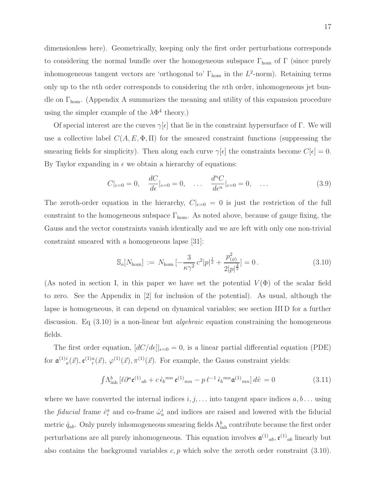dimensionless here). Geometrically, keeping only the first order perturbations corresponds to considering the normal bundle over the homogeneous subspace  $\Gamma_{\text{hom}}$  of  $\Gamma$  (since purely inhomogeneous tangent vectors are 'orthogonal to'  $\Gamma_{\text{hom}}$  in the  $L^2$ -norm). Retaining terms only up to the nth order corresponds to considering the nth order, inhomogeneous jet bundle on Γhom. (Appendix A summarizes the meaning and utility of this expansion procedure using the simpler example of the  $\lambda \Phi^4$  theory.)

Of special interest are the curves  $\gamma[\epsilon]$  that lie in the constraint hypersurface of Γ. We will use a collective label  $C(A, E, \Phi, \Pi)$  for the smeared constraint functions (suppressing the smearing fields for simplicity). Then along each curve  $\gamma[\epsilon]$  the constraints become  $C[\epsilon] = 0$ . By Taylor expanding in  $\epsilon$  we obtain a hierarchy of equations:

$$
C|_{\epsilon=0} = 0, \quad \frac{dC}{d\epsilon}|_{\epsilon=0} = 0, \quad \dots \quad \frac{d^n C}{d\epsilon^n}|_{\epsilon=0} = 0, \quad \dots \tag{3.9}
$$

The zeroth-order equation in the hierarchy,  $C|_{\epsilon=0}=0$  is just the restriction of the full constraint to the homogeneous subspace  $\Gamma_{\rm hom}$ . As noted above, because of gauge fixing, the Gauss and the vector constraints vanish identically and we are left with only one non-trivial constraint smeared with a homogeneous lapse [31]:

$$
\mathbb{S}_o[N_{\text{hom}}] := N_{\text{hom}} \left[ -\frac{3}{\kappa \gamma^2} c^2 |p|^{\frac{1}{2}} + \frac{p_{(\phi)}^2}{2|p|^{\frac{3}{2}}} \right] = 0. \tag{3.10}
$$

(As noted in section I, in this paper we have set the potential  $V(\Phi)$  of the scalar field to zero. See the Appendix in [2] for inclusion of the potential). As usual, although the lapse is homogeneous, it can depend on dynamical variables; see section III D for a further discussion. Eq  $(3.10)$  is a non-linear but *algebraic* equation constraining the homogeneous fields.

The first order equation,  $[dC/d\epsilon]|_{\epsilon=0} = 0$ , is a linear partial differential equation (PDE) for  $\mathfrak{a}^{(1)}{}_{a}^{i}(\vec{x}), \mathfrak{e}^{(1)}{}_{i}(\vec{x}), \varphi^{(1)}(\vec{x}), \pi^{(1)}(\vec{x})$ . For example, the Gauss constraint yields:

$$
\int \Lambda_{\text{inh}}^b \left[ \ell \partial^a \mathfrak{e}^{(1)}{}_{ab} + c \,\mathring{\epsilon}_b{}^{mn} \mathfrak{e}^{(1)}{}_{mn} - p \,\ell^{-1} \,\mathring{\epsilon}_b{}^{mn} \mathfrak{a}^{(1)}{}_{mn} \right] d\mathring{v} = 0 \tag{3.11}
$$

where we have converted the internal indices  $i, j, \ldots$  into tangent space indices  $a, b \ldots$  using the *fiducial* frame  $\mathring{e}_i^a$  and co-frame  $\mathring{\omega}_a^i$  and indices are raised and lowered with the fiducial metric  $\mathring{q}_{ab}$ . Only purely inhomogeneous smearing fields  $\Lambda_{\text{inh}}^b$  contribute because the first order perturbations are all purely inhomogeneous. This equation involves  $\mathfrak{a}^{(1)}{}_{ab}, \mathfrak{e}^{(1)}{}_{ab}$  linearly but also contains the background variables  $c, p$  which solve the zeroth order constraint (3.10).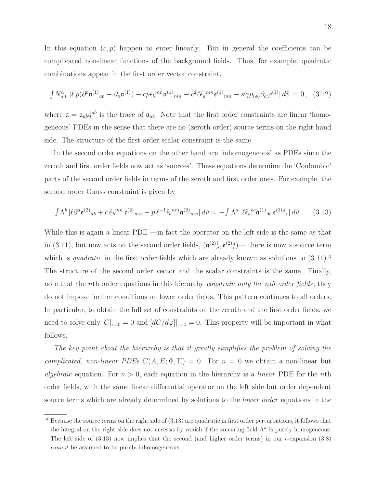In this equation  $(c, p)$  happen to enter linearly. But in general the coefficients can be complicated non-linear functions of the background fields. Thus, for example, quadratic combinations appear in the first order vector constraint,

$$
\int N_{\text{inh}}^a \left[ \ell \, p(\partial^b \mathfrak{a}^{(1)}{}_{ab} - \partial_a \mathfrak{a}^{(1)} \right) - c p \mathring{\epsilon}_b{}^{mn} \mathfrak{a}^{(1)}{}_{mn} - c^2 \ell \mathring{\epsilon}_a{}^{mn} \mathfrak{e}^{(1)}{}_{mn} - \kappa \gamma p_{(\phi)} \partial_a \varphi^{(1)} \right] d\mathring{v} = 0 \,, \tag{3.12}
$$

where  $\mathfrak{a} = \mathfrak{a}_{ab} \mathring{q}^{ab}$  is the trace of  $\mathfrak{a}_{ab}$ . Note that the first order constraints are linear 'homogeneous' PDEs in the sense that there are no (zeroth order) source terms on the right hand side. The structure of the first order scalar constraint is the same.

In the second order equations on the other hand are 'inhomogeneous' as PDEs since the zeroth and first order fields now act as 'sources'. These equations determine the 'Coulombic' parts of the second order fields in terms of the zeroth and first order ones. For example, the second order Gauss constraint is given by

$$
\int \Lambda^b \left[ \ell \partial^a \mathfrak{e}^{(2)}{}_{ab} + c \, \mathring{e}_b{}^{mn} \mathfrak{e}^{(2)}{}_{mn} - p \, \ell^{-1} \mathring{e}_b{}^{mn} \mathfrak{a}^{(2)}{}_{mn} \right] d\mathring{v} = - \int \Lambda^a \left[ \ell \mathring{e}_a{}^{bc} \mathfrak{a}^{(1)}{}_{db} \mathfrak{e}^{(1)}{}^{d}{}_{c} \right] d\mathring{v} \,. \tag{3.13}
$$

While this is again a linear PDE —in fact the operator on the left side is the same as that in (3.11), but now acts on the second order fields,  $(\mathfrak{a}^{(2)}_a^i, \mathfrak{e}^{(2)}_i^a)$ — there is now a source term which is *quadratic* in the first order fields which are already known as solutions to  $(3.11).<sup>4</sup>$ The structure of the second order vector and the scalar constraints is the same. Finally, note that the nth order equations in this hierarchy *constrain only the nth order fields*; they do not impose further conditions on lower order fields. This pattern continues to all orders. In particular, to obtain the full set of constraints on the zeroth and the first order fields, we need to solve only  $C|_{\epsilon=0} = 0$  and  $\left[\frac{dC}{d\varphi}\right]|_{\epsilon=0} = 0$ . This property will be important in what follows.

The key point about the hierarchy is that it greatly simplifies the problem of solving the complicated, non-linear PDEs  $C(A, E; \Phi, \Pi) = 0$ . For  $n = 0$  we obtain a non-linear but *algebraic* equation. For  $n > 0$ , each equation in the hierarchy is a *linear* PDE for the *n*th order fields, with the same linear differential operator on the left side but order dependent source terms which are already determined by solutions to the *lower order* equations in the

 $4$  Because the source terms on the right side of  $(3.13)$  are quadratic in first order perturbations, it follows that the integral on the right side does not necessarily vanish if the smearing field  $\Lambda^a$  is purely homogeneous. The left side of  $(3.13)$  now implies that the second (and higher order terms) in our  $\epsilon$ -expansion  $(3.8)$ *cannot* be assumed to be purely inhomogeneous.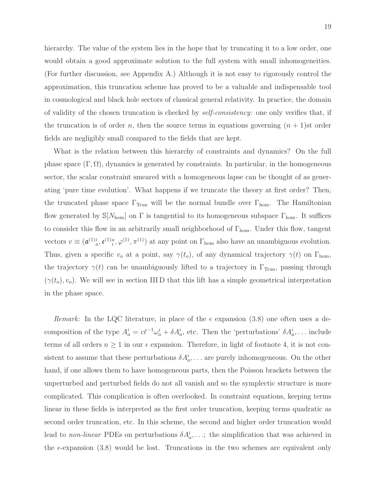hierarchy. The value of the system lies in the hope that by truncating it to a low order, one would obtain a good approximate solution to the full system with small inhomogeneities. (For further discussion, see Appendix A.) Although it is not easy to rigorously control the approximation, this truncation scheme has proved to be a valuable and indispensable tool in cosmological and black hole sectors of classical general relativity. In practice, the domain of validity of the chosen truncation is checked by self-consistency: one only verifies that, if the truncation is of order n, then the source terms in equations governing  $(n + 1)$ st order fields are negligibly small compared to the fields that are kept.

What is the relation between this hierarchy of constraints and dynamics? On the full phase space  $(\Gamma, \Omega)$ , dynamics is generated by constraints. In particular, in the homogeneous sector, the scalar constraint smeared with a homogeneous lapse can be thought of as generating 'pure time evolution'. What happens if we truncate the theory at first order? Then, the truncated phase space  $\Gamma_{\text{Trun}}$  will be the normal bundle over  $\Gamma_{\text{hom}}$ . The Hamiltonian flow generated by  $\mathbb{S}[N_{\text{hom}}]$  on  $\Gamma$  is tangential to its homogeneous subspace  $\Gamma_{\text{hom}}$ . It suffices to consider this flow in an arbitrarily small neighborhood of  $\Gamma_{\text{hom}}$ . Under this flow, tangent vectors  $v \equiv (\mathfrak{a}^{(1)}_a^i, \mathfrak{e}^{(1)}_i^a, \varphi^{(1)}, \pi^{(1)})$  at any point on  $\Gamma_{\text{hom}}$  also have an unambiguous evolution. Thus, given a specific  $v_o$  at a point, say  $\gamma(t_o)$ , of any dynamical trajectory  $\gamma(t)$  on  $\Gamma_{\text{hom}}$ , the trajectory  $\gamma(t)$  can be unambiguously lifted to a trajectory in  $\Gamma_{\text{Trun}}$ , passing through  $(\gamma(t_o), v_o)$ . We will see in section IIID that this lift has a simple geometrical interpretation in the phase space.

*Remark:* In the LQC literature, in place of the  $\epsilon$  expansion (3.8) one often uses a decomposition of the type  $A_a^i = c\ell^{-1}\omega_a^i + \delta A_a^i$ , etc. Then the 'perturbations'  $\delta A_a^i$ ,... include terms of all orders  $n \geq 1$  in our  $\epsilon$  expansion. Therefore, in light of footnote 4, it is not consistent to assume that these perturbations  $\delta A_a^i$ , ... are purely inhomogeneous. On the other hand, if one allows them to have homogeneous parts, then the Poisson brackets between the unperturbed and perturbed fields do not all vanish and so the symplectic structure is more complicated. This complication is often overlooked. In constraint equations, keeping terms linear in these fields is interpreted as the first order truncation, keeping terms quadratic as second order truncation, etc. In this scheme, the second and higher order truncation would lead to *non-linear* PDEs on perturbations  $\delta A_a^i$ , ...; the simplification that was achieved in the  $\epsilon$ -expansion (3.8) would be lost. Truncations in the two schemes are equivalent only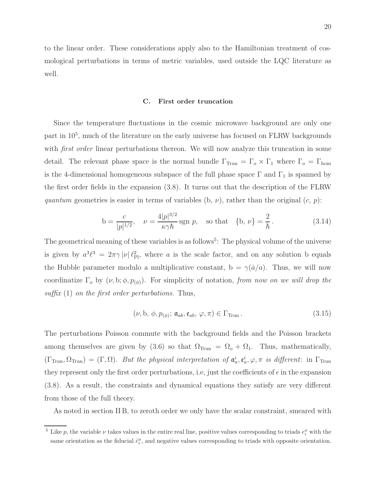to the linear order. These considerations apply also to the Hamiltonian treatment of cosmological perturbations in terms of metric variables, used outside the LQC literature as well.

## C. First order truncation

Since the temperature fluctuations in the cosmic microwave background are only one part in 10<sup>5</sup>, much of the literature on the early universe has focused on FLRW backgrounds with *first order* linear perturbations thereon. We will now analyze this truncation in some detail. The relevant phase space is the normal bundle  $\Gamma_{\text{Trun}} = \Gamma_o \times \Gamma_1$  where  $\Gamma_o = \Gamma_{\text{hom}}$ is the 4-dimensional homogeneous subspace of the full phase space  $\Gamma$  and  $\Gamma_1$  is spanned by the first order fields in the expansion (3.8). It turns out that the description of the FLRW quantum geometries is easier in terms of variables  $(b, \nu)$ , rather than the original  $(c, p)$ :

$$
b = \frac{c}{|p|^{1/2}}, \quad \nu = \frac{4|p|^{3/2}}{\kappa \gamma \hbar} \text{sgn } p, \quad \text{so that} \quad \{b, \nu\} = \frac{2}{\hbar}. \tag{3.14}
$$

The geometrical meaning of these variables is as follows<sup>5</sup>: The physical volume of the universe is given by  $a^3\ell^3 = 2\pi\gamma |\nu|\ell_{\rm Pl}^2$ , where a is the scale factor, and on any solution b equals the Hubble parameter modulo a multiplicative constant,  $b = \gamma(\dot{a}/a)$ . Thus, we will now coordinatize  $\Gamma_o$  by  $(\nu, b; \phi, p_{(\phi)})$ . For simplicity of notation, from now on we will drop the suffix  $(1)$  on the first order perturbations. Thus,

$$
(\nu, \mathbf{b}, \phi, p_{(\phi)}; \mathfrak{a}_{ab}, \mathfrak{e}_{ab}, \varphi, \pi) \in \Gamma_{\text{Trun}}.
$$
\n(3.15)

The perturbations Poisson commute with the background fields and the Poisson brackets among themselves are given by (3.6) so that  $\Omega_{\text{Trun}} = \Omega_o + \Omega_1$ . Thus, mathematically,  $(\Gamma_{\text{Trun}}, \Omega_{\text{Trun}}) = (\Gamma, \Omega)$ . But the physical interpretation of  $\mathfrak{a}_a^i, \mathfrak{e}_a^i, \varphi, \pi$  is different: in  $\Gamma_{\text{Trun}}$ they represent only the first order perturbations, i.e, just the coefficients of  $\epsilon$  in the expansion (3.8). As a result, the constraints and dynamical equations they satisfy are very different from those of the full theory.

As noted in section II B, to zeroth order we only have the scalar constraint, smeared with

<sup>&</sup>lt;sup>5</sup> Like p, the variable  $\nu$  takes values in the entire real line, positive values corresponding to triads  $e_i^a$  with the same orientation as the fiducial  $\hat{e}^a_i$ , and negative values corresponding to triads with opposite orientation.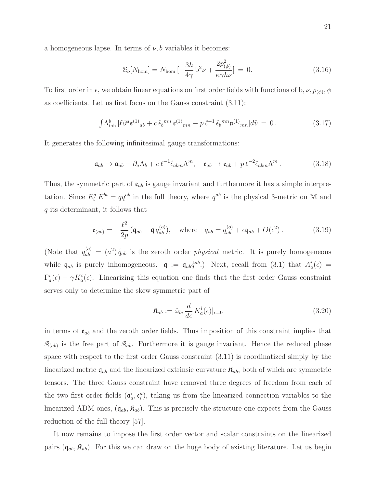a homogeneous lapse. In terms of  $\nu$ , b variables it becomes:

$$
\mathbb{S}_o[N_{\text{hom}}] = N_{\text{hom}} \left[ -\frac{3\hbar}{4\gamma} b^2 \nu + \frac{2p_{(\phi)}^2}{\kappa \gamma \hbar \nu} \right] = 0. \tag{3.16}
$$

To first order in  $\epsilon$ , we obtain linear equations on first order fields with functions of b,  $\nu$ ,  $p_{(\phi)}$ ,  $\phi$ as coefficients. Let us first focus on the Gauss constraint (3.11):

$$
\int \Lambda_{\text{inh}}^b \left[ \ell \partial^a \mathfrak{e}^{(1)}{}_{ab} + c \,\mathring{\epsilon}_b{}^{mn} \mathfrak{e}^{(1)}{}_{mn} - p \,\ell^{-1} \,\mathring{\epsilon}_b{}^{mn} \mathfrak{a}^{(1)}{}_{mn} \right] d\mathring{v} \, = \, 0 \,. \tag{3.17}
$$

It generates the following infinitesimal gauge transformations:

$$
\mathfrak{a}_{ab} \to \mathfrak{a}_{ab} - \partial_a \Lambda_b + c \, \ell^{-1} \mathring{\epsilon}_{abm} \Lambda^m, \quad \mathfrak{e}_{ab} \to \mathfrak{e}_{ab} + p \, \ell^{-2} \mathring{\epsilon}_{abm} \Lambda^m. \tag{3.18}
$$

Thus, the symmetric part of  $\mathfrak{e}_{ab}$  is gauge invariant and furthermore it has a simple interpretation. Since  $E_i^a E^{bi} = qq^{ab}$  in the full theory, where  $q^{ab}$  is the physical 3-metric on M and q its determinant, it follows that

$$
\mathfrak{e}_{(ab)} = -\frac{\ell^2}{2p} \left( \mathfrak{q}_{ab} - \mathfrak{q} \, q_{ab}^{(o)} \right), \quad \text{where} \quad q_{ab} = q_{ab}^{(o)} + \epsilon \mathfrak{q}_{ab} + O(\epsilon^2) \,. \tag{3.19}
$$

(Note that  $q_{ab}^{(o)} = (a^2) \dot{q}_{ab}$  is the zeroth order *physical* metric. It is purely homogeneous while  $\mathfrak{q}_{ab}$  is purely inhomogeneous.  $\mathfrak{q} := \mathfrak{q}_{ab}\mathring{q}^{ab}$ .) Next, recall from (3.1) that  $A_a^i(\epsilon) =$  $\Gamma_a^i(\epsilon) - \gamma K_a^i(\epsilon)$ . Linearizing this equation one finds that the first order Gauss constraint serves only to determine the skew symmetric part of

$$
\mathfrak{K}_{ab} := \mathring{\omega}_{bi} \frac{d}{d\epsilon} K_a^i(\epsilon)|_{\epsilon=0} \tag{3.20}
$$

in terms of  $e_{ab}$  and the zeroth order fields. Thus imposition of this constraint implies that  $\mathfrak{K}_{(ab)}$  is the free part of  $\mathfrak{K}_{ab}$ . Furthermore it is gauge invariant. Hence the reduced phase space with respect to the first order Gauss constraint (3.11) is coordinatized simply by the linearized metric  $q_{ab}$  and the linearized extrinsic curvature  $\mathcal{R}_{ab}$ , both of which are symmetric tensors. The three Gauss constraint have removed three degrees of freedom from each of the two first order fields  $(\mathfrak{a}_a^i, \mathfrak{e}_i^a)$ , taking us from the linearized connection variables to the linearized ADM ones,  $(q_{ab}, \hat{\mathcal{R}}_{ab})$ . This is precisely the structure one expects from the Gauss reduction of the full theory [57].

It now remains to impose the first order vector and scalar constraints on the linearized pairs  $(q_{ab}, \hat{R}_{ab})$ . For this we can draw on the huge body of existing literature. Let us begin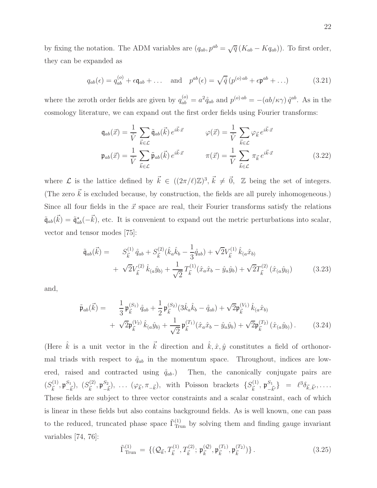by fixing the notation. The ADM variables are  $(q_{ab}, p^{ab} = \sqrt{q} (K_{ab} - Kq_{ab}))$ . To first order, they can be expanded as

$$
q_{ab}(\epsilon) = q_{ab}^{(o)} + \epsilon \mathfrak{q}_{ab} + \dots \quad \text{and} \quad p^{ab}(\epsilon) = \sqrt{\mathring{q}} \left( p^{(o) \, ab} + \epsilon \mathfrak{p}^{ab} + \dots \right) \tag{3.21}
$$

where the zeroth order fields are given by  $q_{ab}^{(o)} = a^2 \mathring{q}_{ab}$  and  $p^{(o)ab} = -(ab/\kappa \gamma) \mathring{q}^{ab}$ . As in the cosmology literature, we can expand out the first order fields using Fourier transforms:

$$
\mathfrak{q}_{ab}(\vec{x}) = \frac{1}{\hat{V}} \sum_{\vec{k} \in \mathcal{L}} \tilde{\mathfrak{q}}_{ab}(\vec{k}) e^{i\vec{k}\cdot\vec{x}} \qquad \varphi(\vec{x}) = \frac{1}{\hat{V}} \sum_{\vec{k} \in \mathcal{L}} \varphi_{\vec{k}} e^{i\vec{k}\cdot\vec{x}}
$$

$$
\mathfrak{p}_{ab}(\vec{x}) = \frac{1}{\hat{V}} \sum_{\vec{k} \in \mathcal{L}} \tilde{\mathfrak{p}}_{ab}(\vec{k}) e^{i\vec{k}\cdot\vec{x}} \qquad \pi(\vec{x}) = \frac{1}{\hat{V}} \sum_{\vec{k} \in \mathcal{L}} \pi_{\vec{k}} e^{i\vec{k}\cdot\vec{x}} \qquad (3.22)
$$

where  $\mathcal L$  is the lattice defined by  $\vec k \in ((2\pi/\ell)\mathbb Z)^3, \vec k \neq \vec{0}, \mathbb Z$  being the set of integers. (The zero  $\vec{k}$  is excluded because, by construction, the fields are all purely inhomogeneous.) Since all four fields in the  $\vec{x}$  space are real, their Fourier transforms satisfy the relations  $\tilde{\mathfrak{q}}_{ab}(\vec{k}) = \tilde{\mathfrak{q}}_{ab}^{\star}(-\vec{k}),$  etc. It is convenient to expand out the metric perturbations into scalar, vector and tensor modes [75]:

$$
\tilde{\mathfrak{q}}_{ab}(\vec{k}) = S_{\vec{k}}^{(1)} \dot{q}_{ab} + S_{\vec{k}}^{(2)} (\hat{k}_a \hat{k}_b - \frac{1}{3} \dot{q}_{ab}) + \sqrt{2} V_{\vec{k}}^{(1)} \hat{k}_{(a} \hat{x}_{b)} \n+ \sqrt{2} V_{\vec{k}}^{(2)} \hat{k}_{(a} \hat{y}_{b)} + \frac{1}{\sqrt{2}} T_{\vec{k}}^{(1)} (\hat{x}_a \hat{x}_b - \hat{y}_a \hat{y}_b) + \sqrt{2} T_{\vec{k}}^{(2)} (\hat{x}_{(a} \hat{y}_{b)})
$$
\n(3.23)

and,

$$
\tilde{\mathfrak{p}}_{ab}(\vec{k}) = \frac{1}{3} \mathfrak{p}_{\vec{k}}^{(S_1)} \dot{q}_{ab} + \frac{1}{2} \mathfrak{p}_{\vec{k}}^{(S_2)} (3 \hat{k}_a \hat{k}_b - \dot{q}_{ab}) + \sqrt{2} \mathfrak{p}_{\vec{k}}^{(V_1)} \hat{k}_{(a} \hat{x}_{b)} \n+ \sqrt{2} \mathfrak{p}_{\vec{k}}^{(V_2)} \hat{k}_{(a} \hat{y}_{b)} + \frac{1}{\sqrt{2}} \mathfrak{p}_{\vec{k}}^{(T_1)} (\hat{x}_a \hat{x}_b - \hat{y}_a \hat{y}_b) + \sqrt{2} \mathfrak{p}_{\vec{k}}^{(T_2)} (\hat{x}_{(a} \hat{y}_{b)}).
$$
\n(3.24)

(Here  $\hat{k}$  is a unit vector in the  $\vec{k}$  direction and  $\hat{k}, \hat{x}, \hat{y}$  constitutes a field of orthonormal triads with respect to  $\mathring{q}_{ab}$  in the momentum space. Throughout, indices are lowered, raised and contracted using  $\mathring{q}_{ab}$ .) Then, the canonically conjugate pairs are  $(S_{\vec{i}}^{(1)}$  $\mathfrak{p}_{\vec{k}}^{(1)}, \mathfrak{p}_{-\vec{l}}^{S_1}$  $\binom{S_1}{-\vec{k}}, (S_{\vec{k}}^{(2)})$  $\mathfrak{p}_{\vec{k}}^{(2)}, \mathfrak{p}_{-\vec{l}}^{S_2}$  $\frac{S_2}{-\vec{k}}$ , ...  $(\varphi_{\vec{k}}, \pi_{-\vec{k}})$ , with Poisson brackets  $\{S_{\vec{k}}^{(1)}\}$  $\mathfrak{p}_{\vec{k}}^{(1)},\ \mathfrak{p}_{-\vec{l}}^{S_1}$  $\{\frac{S_1}{-\vec{k}'}\} = \ell^3 \delta_{\vec{k},\vec{k}'} , \ldots$ These fields are subject to three vector constraints and a scalar constraint, each of which is linear in these fields but also contains background fields. As is well known, one can pass to the reduced, truncated phase space  $\tilde{\Gamma}^{(1)}_{\text{Trun}}$  by solving them and finding gauge invariant variables [74, 76]:

$$
\tilde{\Gamma}_{\text{Trun}}^{(1)} = \{ (\mathcal{Q}_{\vec{k}}, T_{\vec{k}}^{(1)}, T_{\vec{k}}^{(2)}; \mathfrak{p}_{\vec{k}}^{(\mathcal{Q})}, \mathfrak{p}_{\vec{k}}^{(T_1)}, \mathfrak{p}_{\vec{k}}^{(T_2)}) \}.
$$
\n(3.25)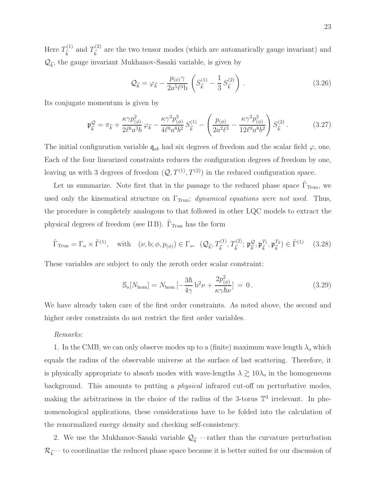Here  $T_{\vec{k}}^{(1)}$  $T_{\vec{k}}^{(1)}$  and  $T_{\vec{k}}^{(2)}$  $\frac{k^{(2)}}{k}$  are the two tensor modes (which are automatically gauge invariant) and  $\mathcal{Q}_{\vec{k}}$ , the gauge invariant Mukhanov-Sasaki variable, is given by

$$
\mathcal{Q}_{\vec{k}} = \varphi_{\vec{k}} - \frac{p(\phi)\gamma}{2a^5\ell^3 b} \left( S_{\vec{k}}^{(1)} - \frac{1}{3} S_{\vec{k}}^{(2)} \right). \tag{3.26}
$$

Its conjugate momentum is given by

$$
\mathfrak{p}_{\vec{k}}^{\mathcal{Q}} = \pi_{\vec{k}} + \frac{\kappa \gamma p_{(\phi)}^2}{2\ell^6 a^3 b} \varphi_{\vec{k}} - \frac{\kappa \gamma^2 p_{(\phi)}^3}{4\ell^9 a^8 b^2} S_{\vec{k}}^{(1)} - \left(\frac{p_{(\phi)}}{2a^2 \ell^3} - \frac{\kappa \gamma^2 p_{(\phi)}^3}{12\ell^9 a^8 b^2}\right) S_{\vec{k}}^{(2)}.
$$
 (3.27)

The initial configuration variable  $\mathfrak{q}_{ab}$  had six degrees of freedom and the scalar field  $\varphi$ , one. Each of the four linearized constraints reduces the configuration degrees of freedom by one, leaving us with 3 degrees of freedom  $(Q, T<sup>(1)</sup>, T<sup>(2)</sup>)$  in the reduced configuration space.

Let us summarize. Note first that in the passage to the reduced phase space  $\tilde{\Gamma}_{\text{Trun}}$ , we used only the kinematical structure on  $\Gamma_{\text{Trun}}$ ; dynamical equations were not used. Thus, the procedure is completely analogous to that followed in other LQC models to extract the physical degrees of freedom (see II B).  $\tilde{\Gamma}_{\text{Trun}}$  has the form

$$
\tilde{\Gamma}_{\text{Trun}} = \Gamma_o \times \tilde{\Gamma}^{(1)}, \quad \text{with} \quad (\nu, b; \phi, p_{(\phi)}) \in \Gamma_o, \quad (\mathcal{Q}_{\vec{k}}, T_{\vec{k}}^{(1)}, T_{\vec{k}}^{(2)}; \mathfrak{p}_{\vec{k}}^{\mathcal{Q}}, \mathfrak{p}_{\vec{k}}^{T_1}, \mathfrak{p}_{\vec{k}}^{T_2}) \in \tilde{\Gamma}^{(1)} \tag{3.28}
$$

These variables are subject to only the zeroth order scalar constraint:

$$
\mathbb{S}_o[N_{\text{hom}}] = N_{\text{hom}} \left[ -\frac{3\hbar}{4\gamma} b^2 \nu + \frac{2p_{(\phi)}^2}{\kappa \gamma \hbar \nu} \right] = 0. \tag{3.29}
$$

We have already taken care of the first order constraints. As noted above, the second and higher order constraints do not restrict the first order variables.

## Remarks:

1. In the CMB, we can only observe modes up to a (finite) maximum wave length  $\lambda_o$  which equals the radius of the observable universe at the surface of last scattering. Therefore, it is physically appropriate to absorb modes with wave-lengths  $\lambda \gtrsim 10\lambda_o$  in the homogeneous background. This amounts to putting a physical infrared cut-off on perturbative modes, making the arbitrariness in the choice of the radius of the 3-torus  $\mathbb{T}^3$  irrelevant. In phenomenological applications, these considerations have to be folded into the calculation of the renormalized energy density and checking self-consistency.

2. We use the Mukhanov-Sasaki variable  $\mathcal{Q}_{\vec{k}}$  —rather than the curvature perturbation  $\mathcal{R}_{\vec{k}}$ — to coordinatize the reduced phase space because it is better suited for our discussion of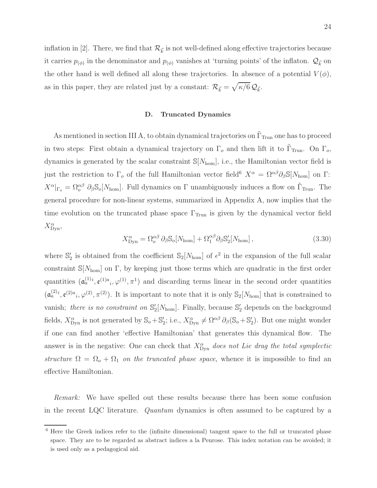inflation in [2]. There, we find that  $\mathcal{R}_{\vec{k}}$  is not well-defined along effective trajectories because it carries  $p_{(\phi)}$  in the denominator and  $p_{(\phi)}$  vanishes at 'turning points' of the inflaton.  $\mathcal{Q}_{\vec{k}}$  on the other hand is well defined all along these trajectories. In absence of a potential  $V(\phi)$ , as in this paper, they are related just by a constant:  $\mathcal{R}_{\vec{k}} = \sqrt{\kappa/6} \mathcal{Q}_{\vec{k}}$ .

#### D. Truncated Dynamics

As mentioned in section III A, to obtain dynamical trajectories on  $\tilde{\Gamma}_{\text{Trun}}$  one has to proceed in two steps: First obtain a dynamical trajectory on  $\Gamma_o$  and then lift it to  $\tilde{\Gamma}_{\text{Trun}}$ . On  $\Gamma_o$ , dynamics is generated by the scalar constraint  $\mathbb{S}[N_{\text{hom}}]$ , i.e., the Hamiltonian vector field is just the restriction to  $\Gamma_o$  of the full Hamiltonian vector field<sup>6</sup>  $X^{\alpha} = \Omega^{\alpha\beta}\partial_{\beta} \mathbb{S}[N_{\text{hom}}]$  on  $\Gamma$ :  $X^{\alpha}|_{\Gamma_o} = \Omega_o^{\alpha\beta} \partial_{\beta} \mathbb{S}_o[N_{\text{hom}}]$ . Full dynamics on  $\Gamma$  unambiguously induces a flow on  $\tilde{\Gamma}_{\text{Trun}}$ . The general procedure for non-linear systems, summarized in Appendix A, now implies that the time evolution on the truncated phase space  $\Gamma_{\text{Trun}}$  is given by the dynamical vector field  $X_{\text{Dyn}}^{\alpha}$ 

$$
X^{\alpha}_{\text{Dyn}} = \Omega^{\alpha\beta}_{o} \partial_{\beta} \mathbb{S}_{o}[N_{\text{hom}}] + \Omega^{\alpha\beta}_{1} \partial_{\beta} \mathbb{S}'_{2}[N_{\text{hom}}], \qquad (3.30)
$$

where  $\mathbb{S}'_2$  is obtained from the coefficient  $\mathbb{S}_2[N_{\text{hom}}]$  of  $\epsilon^2$  in the expansion of the full scalar constraint  $\mathbb{S}[N_{\text{hom}}]$  on  $\Gamma$ , by keeping just those terms which are quadratic in the first order quantities  $(\mathfrak{a}_a^{(1)}^i, \mathfrak{e}^{(1)}^a, \varphi^{(1)}, \pi^1)$  and discarding terms linear in the second order quantities  $(\mathfrak{a}_a^{(2)i}, \mathfrak{e}^{(2)a}, \varphi^{(2)}, \pi^{(2)})$ . It is important to note that it is only  $\mathbb{S}_2[N_{\text{hom}}]$  that is constrained to vanish; there is no constraint on  $\mathbb{S}'_2[N_{\text{hom}}]$ . Finally, because  $\mathbb{S}'_2$  depends on the background fields,  $X^{\alpha}_{\text{Dyn}}$  is not generated by  $\mathbb{S}_o + \mathbb{S}'_2$ ; i.e.,  $X^{\alpha}_{\text{Dyn}} \neq \Omega^{\alpha\beta} \partial_\beta (\mathbb{S}_o + \mathbb{S}'_2)$ . But one might wonder if one can find another 'effective Hamiltonian' that generates this dynamical flow. The answer is in the negative: One can check that  $X_{\text{Dyn}}^{\alpha}$  does not Lie drag the total symplectic structure  $\Omega = \Omega_o + \Omega_1$  on the truncated phase space, whence it is impossible to find an effective Hamiltonian.

Remark: We have spelled out these results because there has been some confusion in the recent LQC literature. Quantum dynamics is often assumed to be captured by a

<sup>6</sup> Here the Greek indices refer to the (infinite dimensional) tangent space to the full or truncated phase space. They are to be regarded as abstract indices a la Penrose. This index notation can be avoided; it is used only as a pedagogical aid.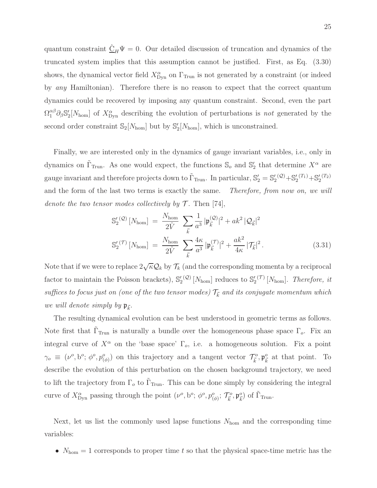quantum constraint  $\hat{\underline{C}}_H \Psi = 0$ . Our detailed discussion of truncation and dynamics of the truncated system implies that this assumption cannot be justified. First, as Eq. (3.30) shows, the dynamical vector field  $X^{\alpha}_{\text{Dyn}}$  on  $\Gamma_{\text{Trun}}$  is not generated by a constraint (or indeed by any Hamiltonian). Therefore there is no reason to expect that the correct quantum dynamics could be recovered by imposing any quantum constraint. Second, even the part  $\Omega_1^{\alpha\beta}\partial_\beta S_2'[N_{\text{hom}}]$  of  $X^{\alpha}_{\text{Dyn}}$  describing the evolution of perturbations is not generated by the second order constraint  $\mathbb{S}_2[N_{\text{hom}}]$  but by  $\mathbb{S}'_2[N_{\text{hom}}]$ , which is unconstrained.

Finally, we are interested only in the dynamics of gauge invariant variables, i.e., only in dynamics on  $\tilde{\Gamma}_{\text{Trun}}$ . As one would expect, the functions  $\mathbb{S}_o$  and  $\mathbb{S}'_2$  that determine  $X^{\alpha}$  are gauge invariant and therefore projects down to  $\tilde{\Gamma}_{\text{Trun}}$ . In particular,  $\mathbb{S}'_2 = \mathbb{S}'_2^{(2)} + \mathbb{S}'_2^{(T_1)} + \mathbb{S}'_2^{(T_2)}$ and the form of the last two terms is exactly the same. Therefore, from now on, we will denote the two tensor modes collectively by  $\mathcal T$ . Then [74],

$$
S_{2}^{\prime}{}^{(\mathcal{Q})}[N_{\text{hom}}] = \frac{N_{\text{hom}}}{2\overset{\circ}{V}} \sum_{\vec{k}} \frac{1}{a^{3}} |\mathfrak{p}_{\vec{k}}^{(\mathcal{Q})}|^{2} + ak^{2} |\mathcal{Q}_{\vec{k}}|^{2}
$$
  

$$
S_{2}^{\prime}{}^{(\mathcal{T})}[N_{\text{hom}}] = \frac{N_{\text{hom}}}{2\overset{\circ}{V}} \sum_{\vec{k}} \frac{4\kappa}{a^{3}} |\mathfrak{p}_{\vec{k}}^{(\mathcal{T})}|^{2} + \frac{ak^{2}}{4\kappa} |\mathcal{T}_{\vec{k}}|^{2}.
$$
 (3.31)

Note that if we were to replace  $2\sqrt{\kappa}\mathcal{Q}_k$  by  $\mathcal{T}_k$  (and the corresponding momenta by a reciprocal factor to maintain the Poisson brackets),  $\mathbb{S}'_2^{(Q)}[N_{\text{hom}}]$  reduces to  $\mathbb{S}'_2^{(T)}[N_{\text{hom}}]$ . Therefore, it suffices to focus just on (one of the two tensor modes)  $\mathcal{T}_{\vec{k}}$  and its conjugate momentum which we will denote simply by  $\mathfrak{p}_{\vec{k}}$ .

The resulting dynamical evolution can be best understood in geometric terms as follows. Note first that  $\tilde{\Gamma}_{\text{Trun}}$  is naturally a bundle over the homogeneous phase space  $\Gamma_o$ . Fix an integral curve of  $X^{\alpha}$  on the 'base space'  $\Gamma_o$ , i.e. a homogeneous solution. Fix a point  $\gamma_o \equiv (\nu^o, b^o; \phi^o, p^o_{(\phi)})$  on this trajectory and a tangent vector  $\mathcal{T}^o_{\vec{k}}, \mathfrak{p}^o_{\vec{k}}$  at that point. To describe the evolution of this perturbation on the chosen background trajectory, we need to lift the trajectory from  $\Gamma_o$  to  $\tilde{\Gamma}_{\text{Trun}}$ . This can be done simply by considering the integral curve of  $X^{\alpha}_{\text{Dyn}}$  passing through the point  $(\nu^o, b^o; \phi^o, p^o_{(\phi)}; \mathcal{T}^o_{\vec{k}}, \mathfrak{p}^o_{\vec{k}})$  of  $\tilde{\Gamma}_{\text{Trun}}$ .

Next, let us list the commonly used lapse functions  $N_{\text{hom}}$  and the corresponding time variables:

•  $N_{\text{hom}} = 1$  corresponds to proper time t so that the physical space-time metric has the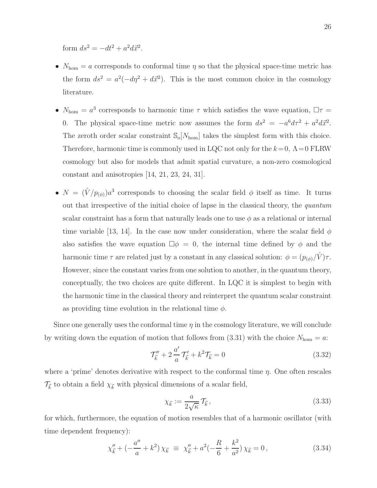form  $ds^2 = -dt^2 + a^2 d\vec{x}^2$ .

- $N_{\text{hom}} = a$  corresponds to conformal time  $\eta$  so that the physical space-time metric has the form  $ds^2 = a^2(-d\eta^2 + d\vec{x}^2)$ . This is the most common choice in the cosmology literature.
- $N_{\text{hom}} = a^3$  corresponds to harmonic time  $\tau$  which satisfies the wave equation,  $\Box \tau =$ 0. The physical space-time metric now assumes the form  $ds^2 = -a^6 d\tau^2 + a^2 d\vec{x}^2$ . The zeroth order scalar constraint  $\mathcal{S}_o[N_{\text{hom}}]$  takes the simplest form with this choice. Therefore, harmonic time is commonly used in LQC not only for the  $k=0$ ,  $\Lambda=0$  FLRW cosmology but also for models that admit spatial curvature, a non-zero cosmological constant and anisotropies [14, 21, 23, 24, 31].
- $N = (\mathring{V}/p_{(\phi)})a^3$  corresponds to choosing the scalar field  $\phi$  itself as time. It turns out that irrespective of the initial choice of lapse in the classical theory, the quantum scalar constraint has a form that naturally leads one to use  $\phi$  as a relational or internal time variable [13, 14]. In the case now under consideration, where the scalar field  $\phi$ also satisfies the wave equation  $\Box \phi = 0$ , the internal time defined by  $\phi$  and the harmonic time  $\tau$  are related just by a constant in any classical solution:  $\phi = (p_{(\phi)}/V)\tau$ . However, since the constant varies from one solution to another, in the quantum theory, conceptually, the two choices are quite different. In LQC it is simplest to begin with the harmonic time in the classical theory and reinterpret the quantum scalar constraint as providing time evolution in the relational time  $\phi$ .

Since one generally uses the conformal time  $\eta$  in the cosmology literature, we will conclude by writing down the equation of motion that follows from (3.31) with the choice  $N_{\text{hom}} = a$ :

$$
\mathcal{T}''_{\vec{k}} + 2\frac{a'}{a}\mathcal{T}'_{\vec{k}} + k^2 \mathcal{T}_{\vec{k}} = 0
$$
\n(3.32)

where a 'prime' denotes derivative with respect to the conformal time  $\eta$ . One often rescales  $\mathcal{T}_{\vec{k}}$  to obtain a field  $\chi_{\vec{k}}$  with physical dimensions of a scalar field,

$$
\chi_{\vec{k}} := \frac{a}{2\sqrt{\kappa}} \mathcal{T}_{\vec{k}},\tag{3.33}
$$

for which, furthermore, the equation of motion resembles that of a harmonic oscillator (with time dependent frequency):

$$
\chi_{\vec{k}}'' + \left(-\frac{a''}{a} + k^2\right)\chi_{\vec{k}} \equiv \chi_{\vec{k}}'' + a^2\left(-\frac{R}{6} + \frac{k^2}{a^2}\right)\chi_{\vec{k}} = 0\,,\tag{3.34}
$$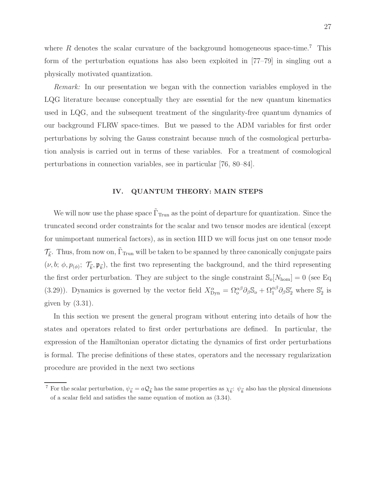where R denotes the scalar curvature of the background homogeneous space-time.<sup>7</sup> This form of the perturbation equations has also been exploited in [77–79] in singling out a physically motivated quantization.

Remark: In our presentation we began with the connection variables employed in the LQG literature because conceptually they are essential for the new quantum kinematics used in LQG, and the subsequent treatment of the singularity-free quantum dynamics of our background FLRW space-times. But we passed to the ADM variables for first order perturbations by solving the Gauss constraint because much of the cosmological perturbation analysis is carried out in terms of these variables. For a treatment of cosmological perturbations in connection variables, see in particular [76, 80–84].

## IV. QUANTUM THEORY: MAIN STEPS

We will now use the phase space  $\tilde{\Gamma}_{\text{Trun}}$  as the point of departure for quantization. Since the truncated second order constraints for the scalar and two tensor modes are identical (except for unimportant numerical factors), as in section III D we will focus just on one tensor mode  $\mathcal{T}_{\vec{k}}$ . Thus, from now on,  $\tilde{\Gamma}_{\text{Trun}}$  will be taken to be spanned by three canonically conjugate pairs  $(\nu, b; \phi, p_{(\phi)}; \mathcal{T}_{\vec{k}}, \mathfrak{p}_{\vec{k}})$ , the first two representing the background, and the third representing the first order perturbation. They are subject to the single constraint  $\mathcal{S}_o[N_{\text{hom}}] = 0$  (see Eq. (3.29)). Dynamics is governed by the vector field  $X^{\alpha}_{\text{Dyn}} = \Omega^{\alpha\beta}_{o} \partial_{\beta} \mathbb{S}_{o} + \Omega^{\alpha\beta}_{1} \partial_{\beta} \mathbb{S}'_{2}$  where  $\mathbb{S}'_{2}$  is given by  $(3.31)$ .

In this section we present the general program without entering into details of how the states and operators related to first order perturbations are defined. In particular, the expression of the Hamiltonian operator dictating the dynamics of first order perturbations is formal. The precise definitions of these states, operators and the necessary regularization procedure are provided in the next two sections

<sup>&</sup>lt;sup>7</sup> For the scalar perturbation,  $\psi_{\vec{k}} = aQ_{\vec{k}}$  has the same properties as  $\chi_{\vec{k}}$ :  $\psi_{\vec{k}}$  also has the physical dimensions of a scalar field and satisfies the same equation of motion as (3.34).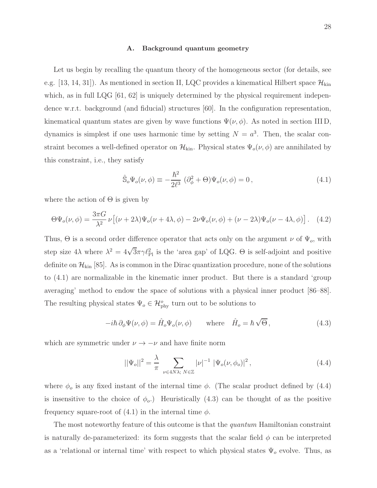#### A. Background quantum geometry

Let us begin by recalling the quantum theory of the homogeneous sector (for details, see e.g. [13, 14, 31]). As mentioned in section II, LQC provides a kinematical Hilbert space  $\mathcal{H}_{kin}$ which, as in full LQG  $[61, 62]$  is uniquely determined by the physical requirement independence w.r.t. background (and fiducial) structures [60]. In the configuration representation, kinematical quantum states are given by wave functions  $\Psi(\nu, \phi)$ . As noted in section IIID, dynamics is simplest if one uses harmonic time by setting  $N = a<sup>3</sup>$ . Then, the scalar constraint becomes a well-defined operator on  $\mathcal{H}_{kin}$ . Physical states  $\Psi_o(\nu, \phi)$  are annihilated by this constraint, i.e., they satisfy

$$
\hat{\mathbb{S}}_o \Psi_o(\nu, \phi) \equiv -\frac{\hbar^2}{2\ell^3} \left( \partial_{\phi}^2 + \Theta \right) \Psi_o(\nu, \phi) = 0, \qquad (4.1)
$$

where the action of  $\Theta$  is given by

$$
\Theta\Psi_o(\nu,\phi) = \frac{3\pi G}{\lambda^2} \nu \left[ (\nu + 2\lambda) \Psi_o(\nu + 4\lambda, \phi) - 2\nu \Psi_o(\nu, \phi) + (\nu - 2\lambda) \Psi_o(\nu - 4\lambda, \phi) \right]. \tag{4.2}
$$

Thus,  $\Theta$  is a second order difference operator that acts only on the argument  $\nu$  of  $\Psi_o$ , with step size  $4\lambda$  where  $\lambda^2 = 4\sqrt{3}\pi\gamma \ell_{\rm Pl}^2$  is the 'area gap' of LQG.  $\Theta$  is self-adjoint and positive definite on  $\mathcal{H}_{kin}$  [85]. As is common in the Dirac quantization procedure, none of the solutions to (4.1) are normalizable in the kinematic inner product. But there is a standard 'group averaging' method to endow the space of solutions with a physical inner product [86–88]. The resulting physical states  $\Psi_o \in \mathcal{H}_{\text{phy}}^o$  turn out to be solutions to

$$
-i\hbar \partial_{\phi} \Psi(\nu, \phi) = \hat{H}_o \Psi_o(\nu, \phi) \quad \text{where} \quad \hat{H}_o = \hbar \sqrt{\Theta}, \quad (4.3)
$$

which are symmetric under  $\nu \rightarrow -\nu$  and have finite norm

$$
||\Psi_o||^2 = \frac{\lambda}{\pi} \sum_{\nu \in 4N\lambda; \ N \in \mathbb{Z}} |\nu|^{-1} |\Psi_o(\nu, \phi_o)|^2, \tag{4.4}
$$

where  $\phi_o$  is any fixed instant of the internal time  $\phi$ . (The scalar product defined by (4.4) is insensitive to the choice of  $\phi_o$ . Heuristically (4.3) can be thought of as the positive frequency square-root of  $(4.1)$  in the internal time  $\phi$ .

The most noteworthy feature of this outcome is that the *quantum* Hamiltonian constraint is naturally de-parameterized: its form suggests that the scalar field  $\phi$  can be interpreted as a 'relational or internal time' with respect to which physical states  $\Psi_o$  evolve. Thus, as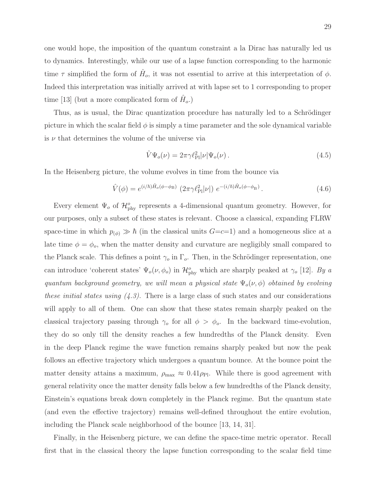one would hope, the imposition of the quantum constraint a la Dirac has naturally led us to dynamics. Interestingly, while our use of a lapse function corresponding to the harmonic time  $\tau$  simplified the form of  $\hat{H}_o$ , it was not essential to arrive at this interpretation of  $\phi$ . Indeed this interpretation was initially arrived at with lapse set to 1 corresponding to proper time [13] (but a more complicated form of  $\hat{H}_o$ .)

Thus, as is usual, the Dirac quantization procedure has naturally led to a Schrödinger picture in which the scalar field  $\phi$  is simply a time parameter and the sole dynamical variable is  $\nu$  that determines the volume of the universe via

$$
\hat{V}\Psi_o(\nu) = 2\pi \gamma \ell_{\rm Pl}^2 |\nu| \Psi_o(\nu). \tag{4.5}
$$

In the Heisenberg picture, the volume evolves in time from the bounce via

$$
\hat{V}(\phi) = e^{(i/\hbar)\hat{H}_o(\phi - \phi_B)} (2\pi \gamma \ell_{\rm Pl}^2 |\nu|) e^{-(i/\hbar)\hat{H}_o(\phi - \phi_B)}.
$$
\n(4.6)

Every element  $\Psi_o$  of  $\mathcal{H}_{\text{phy}}^o$  represents a 4-dimensional quantum geometry. However, for our purposes, only a subset of these states is relevant. Choose a classical, expanding FLRW space-time in which  $p_{(\phi)} \gg \hbar$  (in the classical units  $G=c=1$ ) and a homogeneous slice at a late time  $\phi = \phi_o$ , when the matter density and curvature are negligibly small compared to the Planck scale. This defines a point  $\gamma_o$  in  $\Gamma_o$ . Then, in the Schrödinger representation, one can introduce 'coherent states'  $\Psi_o(\nu, \phi_o)$  in  $\mathcal{H}_{\text{phy}}^o$  which are sharply peaked at  $\gamma_o$  [12]. By a quantum background geometry, we will mean a physical state  $\Psi_o(\nu, \phi)$  obtained by evolving these initial states using  $(4.3)$ . There is a large class of such states and our considerations will apply to all of them. One can show that these states remain sharply peaked on the classical trajectory passing through  $\gamma_o$  for all  $\phi > \phi_o$ . In the backward time-evolution, they do so only till the density reaches a few hundredths of the Planck density. Even in the deep Planck regime the wave function remains sharply peaked but now the peak follows an effective trajectory which undergoes a quantum bounce. At the bounce point the matter density attains a maximum,  $\rho_{\text{max}} \approx 0.41 \rho_{\text{Pl}}$ . While there is good agreement with general relativity once the matter density falls below a few hundredths of the Planck density, Einstein's equations break down completely in the Planck regime. But the quantum state (and even the effective trajectory) remains well-defined throughout the entire evolution, including the Planck scale neighborhood of the bounce [13, 14, 31].

Finally, in the Heisenberg picture, we can define the space-time metric operator. Recall first that in the classical theory the lapse function corresponding to the scalar field time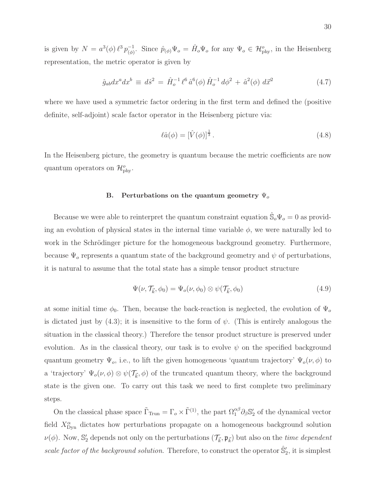is given by  $N = a^3(\phi) \ell^3 p_{(\phi)}^{-1}$  $\hat{\mu}_{(\phi)}^{-1}$ . Since  $\hat{p}_{(\phi)}\Psi_o = \hat{H}_o\Psi_o$  for any  $\Psi_o \in \mathcal{H}_{\text{phy}}^o$ , in the Heisenberg representation, the metric operator is given by

$$
\hat{g}_{ab} dx^a dx^b \equiv d\hat{s}^2 = \hat{H}_o^{-1} \ell^6 \hat{a}^6(\phi) \hat{H}_o^{-1} d\phi^2 + \hat{a}^2(\phi) d\vec{x}^2 \tag{4.7}
$$

where we have used a symmetric factor ordering in the first term and defined the (positive definite, self-adjoint) scale factor operator in the Heisenberg picture via:

$$
\ell \hat{a}(\phi) = [\hat{V}(\phi)]^{\frac{1}{3}}.
$$
\n(4.8)

In the Heisenberg picture, the geometry is quantum because the metric coefficients are now quantum operators on  $\mathcal{H}_{\text{phy}}^o$ .

#### B. Perturbations on the quantum geometry  $\Psi_o$

Because we were able to reinterpret the quantum constraint equation  $\hat{S}_o\Psi_o = 0$  as providing an evolution of physical states in the internal time variable  $\phi$ , we were naturally led to work in the Schrödinger picture for the homogeneous background geometry. Furthermore, because  $\Psi_o$  represents a quantum state of the background geometry and  $\psi$  of perturbations, it is natural to assume that the total state has a simple tensor product structure

$$
\Psi(\nu, \mathcal{T}_{\vec{k}}, \phi_0) = \Psi_o(\nu, \phi_0) \otimes \psi(\mathcal{T}_{\vec{k}}, \phi_0)
$$
\n(4.9)

at some initial time  $\phi_0$ . Then, because the back-reaction is neglected, the evolution of  $\Psi_o$ is dictated just by  $(4.3)$ ; it is insensitive to the form of  $\psi$ . (This is entirely analogous the situation in the classical theory.) Therefore the tensor product structure is preserved under evolution. As in the classical theory, our task is to evolve  $\psi$  on the specified background quantum geometry  $\Psi_o$ , i.e., to lift the given homogeneous 'quantum trajectory'  $\Psi_o(\nu, \phi)$  to a 'trajectory'  $\Psi_o(\nu, \phi) \otimes \psi(\mathcal{T}_{\vec{k}}, \phi)$  of the truncated quantum theory, where the background state is the given one. To carry out this task we need to first complete two preliminary steps.

On the classical phase space  $\tilde{\Gamma}_{\text{Trun}} = \Gamma_o \times \tilde{\Gamma}^{(1)}$ , the part  $\Omega_1^{\alpha\beta} \partial_\beta S_2'$  of the dynamical vector field  $X^{\alpha}_{\text{Dyn}}$  dictates how perturbations propagate on a homogeneous background solution  $\nu(\phi)$ . Now,  $\mathbb{S}'_2$  depends not only on the perturbations  $(\mathcal{T}_{\vec{k}}, \mathfrak{p}_{\vec{k}})$  but also on the *time dependent* scale factor of the background solution. Therefore, to construct the operator  $\hat{\mathbb{S}}'_2$ , it is simplest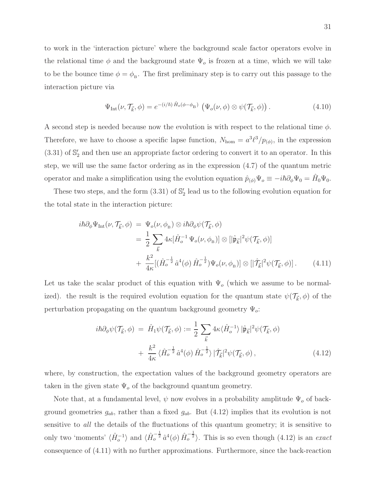to work in the 'interaction picture' where the background scale factor operators evolve in the relational time  $\phi$  and the background state  $\Psi_o$  is frozen at a time, which we will take to be the bounce time  $\phi = \phi_B$ . The first preliminary step is to carry out this passage to the interaction picture via

$$
\Psi_{\text{Int}}(\nu, \mathcal{T}_{\vec{k}}, \phi) = e^{-(i/\hbar) \hat{H}_o(\phi - \phi_B)} \left( \Psi_o(\nu, \phi) \otimes \psi(\mathcal{T}_{\vec{k}}, \phi) \right).
$$
\n(4.10)

A second step is needed because now the evolution is with respect to the relational time  $\phi$ . Therefore, we have to choose a specific lapse function,  $N_{\text{hom}} = a^3 \ell^3 / p_{(\phi)}$ , in the expression  $(3.31)$  of  $\mathbb{S}'_2$  and then use an appropriate factor ordering to convert it to an operator. In this step, we will use the same factor ordering as in the expression (4.7) of the quantum metric operator and make a simplification using the evolution equation  $\hat{p}_{(\phi)}\Psi_o \equiv -i\hbar \partial_\phi \Psi_0 = \hat{H}_0 \Psi_0$ .

These two steps, and the form  $(3.31)$  of  $\mathbb{S}'_2$  lead us to the following evolution equation for the total state in the interaction picture:

$$
i\hbar \partial_{\phi} \Psi_{\text{Int}}(\nu, \mathcal{T}_{\vec{k}}, \phi) = \Psi_{o}(\nu, \phi_{B}) \otimes i\hbar \partial_{\phi} \psi(\mathcal{T}_{\vec{k}}, \phi)
$$
  

$$
= \frac{1}{2} \sum_{\vec{k}} 4\kappa [\hat{H}_{o}^{-1} \Psi_{o}(\nu, \phi_{B})] \otimes [|\hat{\mathfrak{p}}_{\vec{k}}|^{2} \psi(\mathcal{T}_{\vec{k}}, \phi)]
$$
  

$$
+ \frac{k^{2}}{4\kappa} [(\hat{H}_{o}^{-\frac{1}{2}} \hat{a}^{4}(\phi) \hat{H}_{o}^{-\frac{1}{2}}) \Psi_{o}(\nu, \phi_{B})] \otimes [|\hat{\mathcal{T}}_{\vec{k}}|^{2} \psi(\mathcal{T}_{\vec{k}}, \phi)]. \qquad (4.11)
$$

Let us take the scalar product of this equation with  $\Psi_o$  (which we assume to be normalized). the result is the required evolution equation for the quantum state  $\psi(\mathcal{T}_{\vec{k}},\phi)$  of the perturbation propagating on the quantum background geometry  $\Psi_o$ :

$$
i\hbar \partial_{\phi}\psi(\mathcal{T}_{\vec{k}},\phi) = \hat{H}_1\psi(\mathcal{T}_{\vec{k}},\phi) := \frac{1}{2}\sum_{\vec{k}} 4\kappa \langle \hat{H}_o^{-1} \rangle |\hat{\mathfrak{p}}_{\vec{k}}|^2 \psi(\mathcal{T}_{\vec{k}},\phi) + \frac{k^2}{4\kappa} \langle \hat{H}_o^{-\frac{1}{2}} \hat{a}^4(\phi) \hat{H}_o^{-\frac{1}{2}} \rangle |\hat{\mathcal{T}}_{\vec{k}}|^2 \psi(\mathcal{T}_{\vec{k}},\phi),
$$
(4.12)

where, by construction, the expectation values of the background geometry operators are taken in the given state  $\Psi_o$  of the background quantum geometry.

Note that, at a fundamental level,  $\psi$  now evolves in a probability amplitude  $\Psi_o$  of background geometries  $g_{ab}$ , rather than a fixed  $g_{ab}$ . But (4.12) implies that its evolution is not sensitive to *all* the details of the fluctuations of this quantum geometry; it is sensitive to only two 'moments'  $\langle \hat{H}_{o}^{-1} \rangle$  and  $\langle \hat{H}_{o}^{-\frac{1}{2}} \hat{a}^{4}(\phi) \hat{H}_{o}^{-\frac{1}{2}} \rangle$ . This is so even though (4.12) is an exact consequence of (4.11) with no further approximations. Furthermore, since the back-reaction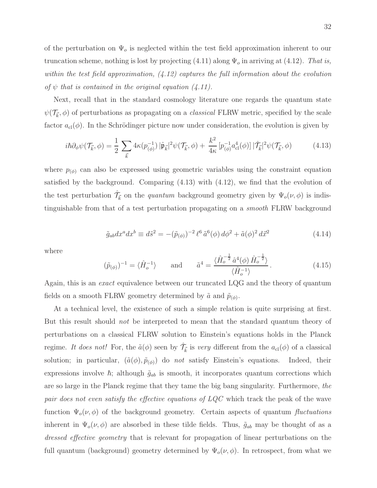of the perturbation on  $\Psi_o$  is neglected within the test field approximation inherent to our truncation scheme, nothing is lost by projecting (4.11) along  $\Psi_o$  in arriving at (4.12). That is, within the test field approximation,  $(4.12)$  captures the full information about the evolution of  $\psi$  that is contained in the original equation (4.11).

Next, recall that in the standard cosmology literature one regards the quantum state  $\psi(\mathcal{T}_{\vec{k}}, \phi)$  of perturbations as propagating on a *classical* FLRW metric, specified by the scale factor  $a_{\rm cl}(\phi)$ . In the Schrödinger picture now under consideration, the evolution is given by

$$
i\hbar\partial_{\phi}\psi(\mathcal{T}_{\vec{k}},\phi) = \frac{1}{2}\sum_{\vec{k}} 4\kappa(p_{(\phi)}^{-1})|\hat{\mathfrak{p}}_{\vec{k}}|^2\psi(\mathcal{T}_{\vec{k}},\phi) + \frac{k^2}{4\kappa}\left[p_{(\phi)}^{-1}a_{\text{cl}}^4(\phi)\right]|\hat{\mathcal{T}}_{\vec{k}}|^2\psi(\mathcal{T}_{\vec{k}},\phi) \tag{4.13}
$$

where  $p_{(\phi)}$  can also be expressed using geometric variables using the constraint equation satisfied by the background. Comparing (4.13) with (4.12), we find that the evolution of the test perturbation  $\hat{\mathcal{T}}_{\vec{k}}$  on the *quantum* background geometry given by  $\Psi_o(\nu, \phi)$  is indistinguishable from that of a test perturbation propagating on a smooth FLRW background

$$
\tilde{g}_{ab}dx^{a}dx^{b} \equiv d\tilde{s}^{2} = -(\tilde{p}_{(\phi)})^{-2} \ell^{6} \tilde{a}^{6}(\phi) d\phi^{2} + \tilde{a}(\phi)^{2} d\vec{x}^{2}
$$
\n(4.14)

where

$$
(\tilde{p}_{(\phi)})^{-1} = \langle \hat{H}_o^{-1} \rangle \quad \text{and} \quad \tilde{a}^4 = \frac{\langle \hat{H}_o^{-\frac{1}{2}} \hat{a}^4(\phi) \hat{H}_o^{-\frac{1}{2}} \rangle}{\langle \hat{H}_o^{-1} \rangle}.
$$
 (4.15)

Again, this is an exact equivalence between our truncated LQG and the theory of quantum fields on a smooth FLRW geometry determined by  $\tilde{a}$  and  $\tilde{p}_{(\phi)}$ .

At a technical level, the existence of such a simple relation is quite surprising at first. But this result should *not* be interpreted to mean that the standard quantum theory of perturbations on a classical FLRW solution to Einstein's equations holds in the Planck regime. It does not! For, the  $\tilde{a}(\phi)$  seen by  $\hat{\mathcal{T}}_{\vec{k}}$  is very different from the  $a_{\text{cl}}(\phi)$  of a classical solution; in particular,  $(\tilde{a}(\phi), \tilde{p}_{(\phi)})$  do not satisfy Einstein's equations. Indeed, their expressions involve  $\hbar$ ; although  $\tilde{g}_{ab}$  is smooth, it incorporates quantum corrections which are so large in the Planck regime that they tame the big bang singularity. Furthermore, the pair does not even satisfy the effective equations of  $LQC$  which track the peak of the wave function  $\Psi_o(\nu, \phi)$  of the background geometry. Certain aspects of quantum fluctuations inherent in  $\Psi_o(\nu, \phi)$  are absorbed in these tilde fields. Thus,  $\tilde{g}_{ab}$  may be thought of as a dressed effective geometry that is relevant for propagation of linear perturbations on the full quantum (background) geometry determined by  $\Psi_o(\nu, \phi)$ . In retrospect, from what we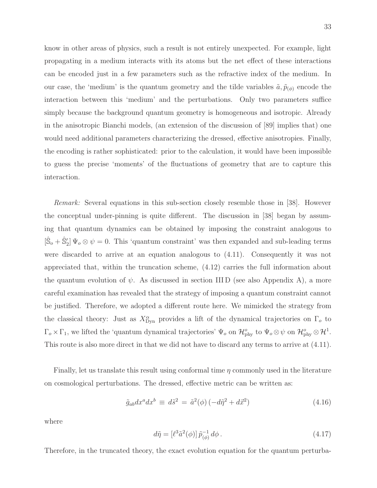know in other areas of physics, such a result is not entirely unexpected. For example, light propagating in a medium interacts with its atoms but the net effect of these interactions can be encoded just in a few parameters such as the refractive index of the medium. In our case, the 'medium' is the quantum geometry and the tilde variables  $\tilde{a}, \tilde{p}_{(\phi)}$  encode the interaction between this 'medium' and the perturbations. Only two parameters suffice simply because the background quantum geometry is homogeneous and isotropic. Already in the anisotropic Bianchi models, (an extension of the discussion of [89] implies that) one would need additional parameters characterizing the dressed, effective anisotropies. Finally, the encoding is rather sophisticated: prior to the calculation, it would have been impossible to guess the precise 'moments' of the fluctuations of geometry that are to capture this interaction.

Remark: Several equations in this sub-section closely resemble those in [38]. However the conceptual under-pinning is quite different. The discussion in [38] began by assuming that quantum dynamics can be obtained by imposing the constraint analogous to  $[\hat{\mathbb{S}}_o + \hat{\mathbb{S}}'_2] \Psi_o \otimes \psi = 0$ . This 'quantum constraint' was then expanded and sub-leading terms were discarded to arrive at an equation analogous to (4.11). Consequently it was not appreciated that, within the truncation scheme, (4.12) carries the full information about the quantum evolution of  $\psi$ . As discussed in section IIID (see also Appendix A), a more careful examination has revealed that the strategy of imposing a quantum constraint cannot be justified. Therefore, we adopted a different route here. We mimicked the strategy from the classical theory: Just as  $X^{\alpha}_{\text{Dyn}}$  provides a lift of the dynamical trajectories on  $\Gamma_o$  to  $\Gamma_o \times \Gamma_1$ , we lifted the 'quantum dynamical trajectories'  $\Psi_o$  on  $\mathcal{H}_{\text{phy}}^o$  to  $\Psi_o \otimes \psi$  on  $\mathcal{H}_{\text{phy}}^o \otimes \mathcal{H}^1$ . This route is also more direct in that we did not have to discard any terms to arrive at (4.11).

Finally, let us translate this result using conformal time  $\eta$  commonly used in the literature on cosmological perturbations. The dressed, effective metric can be written as:

$$
\tilde{g}_{ab}dx^a dx^b \equiv d\tilde{s}^2 = \tilde{a}^2(\phi) \left( -d\tilde{\eta}^2 + d\vec{x}^2 \right) \tag{4.16}
$$

where

$$
d\tilde{\eta} = \left[\ell^3 \tilde{a}^2(\phi)\right] \tilde{p}_{(\phi)}^{-1} d\phi \,. \tag{4.17}
$$

Therefore, in the truncated theory, the exact evolution equation for the quantum perturba-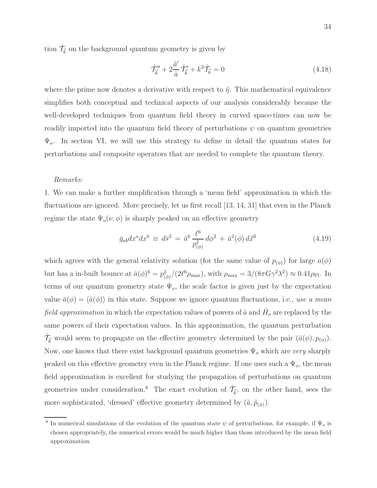tion  $\hat{\mathcal{T}}_{\vec{k}}$  on the background quantum geometry is given by

$$
\hat{\mathcal{T}}''_{\vec{k}} + 2\frac{\tilde{a}'}{\tilde{a}}\hat{\mathcal{T}}'_{\vec{k}} + k^2 \hat{\mathcal{T}}_{\vec{k}} = 0
$$
\n(4.18)

where the prime now denotes a derivative with respect to  $\tilde{\eta}$ . This mathematical equivalence simplifies both conceptual and technical aspects of our analysis considerably because the well-developed techniques from quantum field theory in curved space-times can now be readily imported into the quantum field theory of perturbations  $\psi$  on quantum geometries  $\Psi_o$ . In section VI, we will use this strategy to define in detail the quantum states for perturbations and composite operators that are needed to complete the quantum theory.

## Remarks:

1. We can make a further simplification through a 'mean field' approximation in which the fluctuations are ignored. More precisely, let us first recall [13, 14, 31] that even in the Planck regime the state  $\Psi_o(\nu, \phi)$  is sharply peaked on an effective geometry

$$
\bar{g}_{ab} dx^a dx^b \equiv d\bar{s}^2 = \bar{a}^6 \frac{\ell^6}{p_{(\phi)}^2} d\phi^2 + \bar{a}^2(\phi) d\vec{x}^2 \tag{4.19}
$$

which agrees with the general relativity solution (for the same value of  $p_{(\phi)}$ ) for large  $a(\phi)$ but has a in-built bounce at  $\bar{a}(\phi)^6 = p_{(\phi)}^2/(2\ell^6 \rho_{\text{max}})$ , with  $\rho_{\text{max}} = 3/(8\pi G \gamma^2 \lambda^2) \approx 0.41 \rho_{\text{Pl}}$ . In terms of our quantum geometry state  $\Psi_o$ , the scale factor is given just by the expectation value  $\bar{a}(\phi) = \langle \hat{a}(\phi) \rangle$  in this state. Suppose we ignore quantum fluctuations, i.e., use a mean field approximation in which the expectation values of powers of  $\hat{a}$  and  $\hat{H}_o$  are replaced by the same powers of their expectation values. In this approximation, the quantum perturbation  $\hat{\mathcal{T}}_{\vec{k}}$  would seem to propagate on the effective geometry determined by the pair  $(\bar{a}(\phi), p_{(\phi)})$ . Now, one knows that there exist background quantum geometries  $\Psi_o$  which are very sharply peaked on this effective geometry even in the Planck regime. If one uses such a  $\Psi_o$ , the mean field approximation is excellent for studying the propagation of perturbations on quantum geometries under consideration.<sup>8</sup> The exact evolution of  $\hat{\mathcal{T}}_{\vec{k}}$ , on the other hand, sees the more sophisticated, 'dressed' effective geometry determined by  $(\tilde{a}, \tilde{p}_{(\phi)})$ .

<sup>&</sup>lt;sup>8</sup> In numerical simulations of the evolution of the quantum state  $\psi$  of perturbations, for example, if  $\Psi_o$  is chosen appropriately, the numerical errors would be much higher than those introduced by the mean field approximation.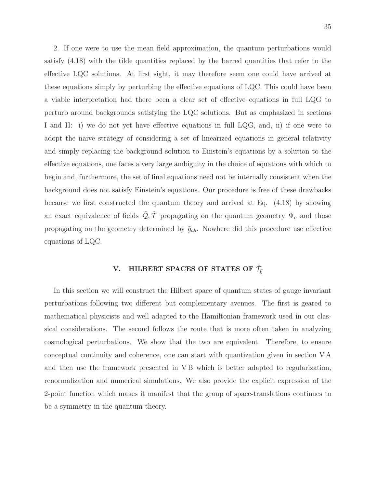2. If one were to use the mean field approximation, the quantum perturbations would satisfy (4.18) with the tilde quantities replaced by the barred quantities that refer to the effective LQC solutions. At first sight, it may therefore seem one could have arrived at these equations simply by perturbing the effective equations of LQC. This could have been a viable interpretation had there been a clear set of effective equations in full LQG to perturb around backgrounds satisfying the LQC solutions. But as emphasized in sections I and II: i) we do not yet have effective equations in full LQG, and, ii) if one were to adopt the naive strategy of considering a set of linearized equations in general relativity and simply replacing the background solution to Einstein's equations by a solution to the effective equations, one faces a very large ambiguity in the choice of equations with which to begin and, furthermore, the set of final equations need not be internally consistent when the background does not satisfy Einstein's equations. Our procedure is free of these drawbacks because we first constructed the quantum theory and arrived at Eq. (4.18) by showing an exact equivalence of fields  $\hat{Q}, \hat{\mathcal{T}}$  propagating on the quantum geometry  $\Psi_o$  and those propagating on the geometry determined by  $\tilde{g}_{ab}$ . Nowhere did this procedure use effective equations of LQC.

# V. HILBERT SPACES OF STATES OF  $\hat{\mathcal{T}}_{\vec{k}}$

In this section we will construct the Hilbert space of quantum states of gauge invariant perturbations following two different but complementary avenues. The first is geared to mathematical physicists and well adapted to the Hamiltonian framework used in our classical considerations. The second follows the route that is more often taken in analyzing cosmological perturbations. We show that the two are equivalent. Therefore, to ensure conceptual continuity and coherence, one can start with quantization given in section V A and then use the framework presented in V B which is better adapted to regularization, renormalization and numerical simulations. We also provide the explicit expression of the 2-point function which makes it manifest that the group of space-translations continues to be a symmetry in the quantum theory.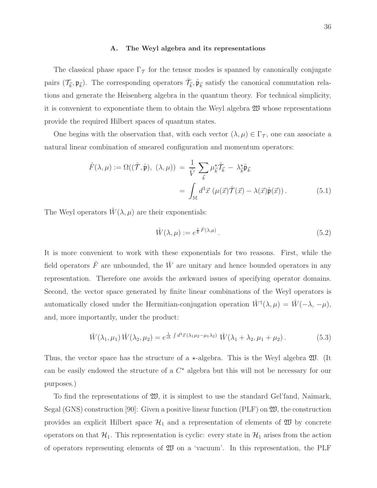#### A. The Weyl algebra and its representations

The classical phase space  $\Gamma_{\mathcal{T}}$  for the tensor modes is spanned by canonically conjugate pairs  $(\mathcal{T}_{\vec{k}}, \mathfrak{p}_{\vec{k}})$ . The corresponding operators  $\hat{\mathcal{T}}_{\vec{k}}, \hat{\mathfrak{p}}_{\vec{k}}$  satisfy the canonical commutation relations and generate the Heisenberg algebra in the quantum theory. For technical simplicity, it is convenient to exponentiate them to obtain the Weyl algebra  $\mathfrak W$  whose representations provide the required Hilbert spaces of quantum states.

One begins with the observation that, with each vector  $(\lambda, \mu) \in \Gamma_T$ , one can associate a natural linear combination of smeared configuration and momentum operators:

$$
\hat{F}(\lambda,\mu) := \Omega((\hat{\mathcal{T}},\hat{\mathfrak{p}}),\ (\lambda,\mu)) = \frac{1}{\hat{V}} \sum_{\vec{k}} \mu_{\vec{k}}^{\star} \hat{\mathcal{T}}_{\vec{k}} - \lambda_{\vec{k}}^{\star} \hat{\mathfrak{p}}_{\vec{k}}
$$
\n
$$
= \int_{\mathbb{M}} d^3 \vec{x} \left( \mu(\vec{x}) \hat{\mathcal{T}}(\vec{x}) - \lambda(\vec{x}) \hat{\mathfrak{p}}(\vec{x}) \right). \tag{5.1}
$$

The Weyl operators  $\hat{W}(\lambda,\mu)$  are their exponentials:

$$
\hat{W}(\lambda,\mu) := e^{\frac{i}{\hbar}\hat{F}(\lambda,\mu)}.
$$
\n(5.2)

It is more convenient to work with these exponentials for two reasons. First, while the field operators  $\hat{F}$  are unbounded, the  $\hat{W}$  are unitary and hence bounded operators in any representation. Therefore one avoids the awkward issues of specifying operator domains. Second, the vector space generated by finite linear combinations of the Weyl operators is automatically closed under the Hermitian-conjugation operation  $\hat{W}^{\dagger}(\lambda,\mu) = \hat{W}(-\lambda, -\mu)$ , and, more importantly, under the product:

$$
\hat{W}(\lambda_1, \mu_1) \hat{W}(\lambda_2, \mu_2) = e^{\frac{1}{i\hbar} \int d^3 \vec{x} (\lambda_1 \mu_2 - \mu_1 \lambda_2)} \hat{W}(\lambda_1 + \lambda_2, \mu_1 + \mu_2).
$$
\n(5.3)

Thus, the vector space has the structure of a  $\star$ -algebra. This is the Weyl algebra  $\mathfrak{W}$ . (It can be easily endowed the structure of a  $C^*$  algebra but this will not be necessary for our purposes.)

To find the representations of  $\mathfrak{W}$ , it is simplest to use the standard Gel'fand, Naimark, Segal (GNS) construction [90]: Given a positive linear function (PLF) on  $\mathfrak{W}$ , the construction provides an explicit Hilbert space  $\mathcal{H}_1$  and a representation of elements of  $\mathfrak W$  by concrete operators on that  $\mathcal{H}_1$ . This representation is cyclic: every state in  $\mathcal{H}_1$  arises from the action of operators representing elements of  $\mathfrak W$  on a 'vacuum'. In this representation, the PLF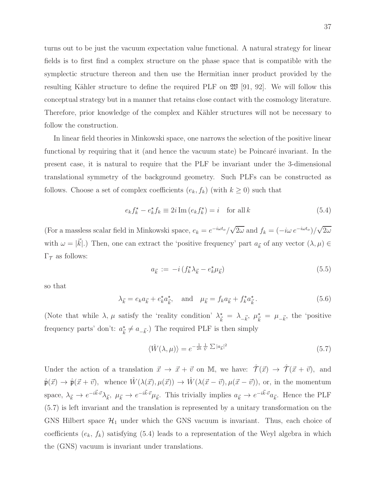turns out to be just the vacuum expectation value functional. A natural strategy for linear fields is to first find a complex structure on the phase space that is compatible with the symplectic structure thereon and then use the Hermitian inner product provided by the resulting Kähler structure to define the required PLF on  $\mathfrak{W}$  [91, 92]. We will follow this conceptual strategy but in a manner that retains close contact with the cosmology literature. Therefore, prior knowledge of the complex and Kähler structures will not be necessary to follow the construction.

In linear field theories in Minkowski space, one narrows the selection of the positive linear functional by requiring that it (and hence the vacuum state) be Poincaré invariant. In the present case, it is natural to require that the PLF be invariant under the 3-dimensional translational symmetry of the background geometry. Such PLFs can be constructed as follows. Choose a set of complex coefficients  $(e_k, f_k)$  (with  $k \geq 0$ ) such that

$$
e_k f_k^* - e_k^* f_k \equiv 2i \operatorname{Im} \left( e_k f_k^* \right) = i \quad \text{for all } k \tag{5.4}
$$

(For a massless scalar field in Minkowski space,  $e_k = e^{-i\omega t_o}/\sqrt{2\omega}$  and  $f_k = (-i\omega e^{-i\omega t_o})/\sqrt{2\omega}$ with  $\omega = |\vec{k}|$ .) Then, one can extract the 'positive frequency' part  $a_{\vec{k}}$  of any vector  $(\lambda, \mu) \in$  $\Gamma_{\mathcal{T}}$  as follows:

$$
a_{\vec{k}} := -i \left( f_{k}^{\star} \lambda_{\vec{k}} - e_{k}^{\star} \mu_{\vec{k}} \right) \tag{5.5}
$$

so that

$$
\lambda_{\vec{k}} = e_k a_{\vec{k}} + e_k^* a_{\vec{k}}^*, \quad \text{and} \quad \mu_{\vec{k}} = f_k a_{\vec{k}} + f_k^* a_{\vec{k}}^*.
$$
 (5.6)

(Note that while  $\lambda$ ,  $\mu$  satisfy the 'reality condition'  $\lambda_{\vec{k}}^* = \lambda_{-\vec{k}}$ ,  $\mu_{\vec{k}}^* = \mu_{-\vec{k}}$ , the 'positive frequency parts' don't:  $a_{\vec{k}} \neq a_{-\vec{k}}$ .) The required PLF is then simply

$$
\langle \hat{W}(\lambda,\mu) \rangle = e^{-\frac{1}{2\hbar} \frac{1}{V} \sum |a_{\vec{k}}|^2}
$$
\n(5.7)

Under the action of a translation  $\vec{x} \to \vec{x} + \vec{v}$  on M, we have:  $\hat{\mathcal{T}}(\vec{x}) \to \hat{\mathcal{T}}(\vec{x} + \vec{v})$ , and  $\hat{\mathfrak{p}}(\vec{x}) \to \hat{\mathfrak{p}}(\vec{x} + \vec{v}),$  whence  $\hat{W}(\lambda(\vec{x}), \mu(\vec{x})) \to \hat{W}(\lambda(\vec{x} - \vec{v}), \mu(\vec{x} - \vec{v}))$ , or, in the momentum space,  $\lambda_{\vec{k}} \to e^{-i\vec{k}\cdot\vec{v}}\lambda_{\vec{k}}, \ \mu_{\vec{k}} \to e^{-i\vec{k}\cdot\vec{v}}\mu_{\vec{k}}$ . This trivially implies  $a_{\vec{k}} \to e^{-i\vec{k}\cdot\vec{v}}a_{\vec{k}}$ . Hence the PLF (5.7) is left invariant and the translation is represented by a unitary transformation on the GNS Hilbert space  $\mathcal{H}_1$  under which the GNS vacuum is invariant. Thus, each choice of coefficients  $(e_k, f_k)$  satisfying (5.4) leads to a representation of the Weyl algebra in which the (GNS) vacuum is invariant under translations.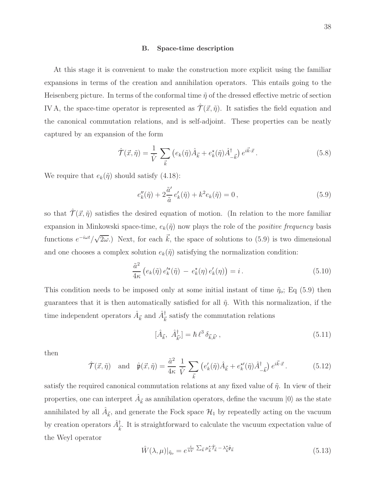#### B. Space-time description

At this stage it is convenient to make the construction more explicit using the familiar expansions in terms of the creation and annihilation operators. This entails going to the Heisenberg picture. In terms of the conformal time  $\tilde{\eta}$  of the dressed effective metric of section IV A, the space-time operator is represented as  $\hat{\mathcal{T}}(\vec{x}, \tilde{\eta})$ . It satisfies the field equation and the canonical commutation relations, and is self-adjoint. These properties can be neatly captured by an expansion of the form

$$
\hat{\mathcal{T}}(\vec{x}, \tilde{\eta}) = \frac{1}{\tilde{V}} \sum_{\vec{k}} \left( e_k(\tilde{\eta}) \hat{A}_{\vec{k}} + e_k^{\star}(\tilde{\eta}) \hat{A}_{-\vec{k}}^{\dagger} \right) e^{i\vec{k}\cdot\vec{x}}.
$$
\n(5.8)

We require that  $e_k(\tilde{\eta})$  should satisfy (4.18):

$$
e_k''(\tilde{\eta}) + 2\frac{\tilde{a}'}{\tilde{a}}e_k'(\tilde{\eta}) + k^2 e_k(\tilde{\eta}) = 0,
$$
\n(5.9)

so that  $\hat{\mathcal{T}}(\vec{x}, \tilde{\eta})$  satisfies the desired equation of motion. (In relation to the more familiar expansion in Minkowski space-time,  $e_k(\tilde{\eta})$  now plays the role of the *positive frequency* basis functions  $e^{-i\omega t}/\sqrt{2\omega}$ .) Next, for each  $\vec{k}$ , the space of solutions to (5.9) is two dimensional and one chooses a complex solution  $e_k(\tilde{\eta})$  satisfying the normalization condition:

$$
\frac{\tilde{a}^2}{4\kappa} \left( e_k(\tilde{\eta}) e_k^{\prime \star}(\tilde{\eta}) - e_k^{\star}(\eta) e_k^{\prime}(\eta) \right) = i. \tag{5.10}
$$

This condition needs to be imposed only at some initial instant of time  $\tilde{\eta}_o$ ; Eq (5.9) then guarantees that it is then automatically satisfied for all  $\tilde{\eta}$ . With this normalization, if the time independent operators  $\hat{A}_{\vec{k}}$  and  $\hat{A}_{\vec{k}}^{\dagger}$  satisfy the commutation relations

$$
[\hat{A}_{\vec{k}}, \ \hat{A}_{\vec{k}'}^{\dagger}] = \hbar \,\ell^3 \,\delta_{\vec{k},\vec{k}'}, \tag{5.11}
$$

then

$$
\hat{\mathcal{T}}(\vec{x}, \tilde{\eta}) \quad \text{and} \quad \hat{\mathfrak{p}}(\vec{x}, \tilde{\eta}) = \frac{\tilde{a}^2}{4\kappa} \frac{1}{\tilde{V}} \sum_{\vec{k}} \left( e'_k(\tilde{\eta}) \hat{A}_{\vec{k}} + e^{*'}_k(\tilde{\eta}) \hat{A}_{-\vec{k}}^{\dagger} \right) e^{i\vec{k}\cdot\vec{x}}.
$$
 (5.12)

satisfy the required canonical commutation relations at any fixed value of  $\tilde{\eta}$ . In view of their properties, one can interpret  $\hat{A}_{\vec{k}}$  as annihilation operators, define the vacuum  $|0\rangle$  as the state annihilated by all  $\hat{A}_{\vec{k}}$ , and generate the Fock space  $\mathcal{H}_1$  by repeatedly acting on the vacuum by creation operators  $\hat{A}^{\dagger}_{\vec{k}}$ . It is straightforward to calculate the vacuum expectation value of the Weyl operator

$$
\hat{W}(\lambda,\mu)|_{\tilde{\eta}_o} = e^{\frac{i}{\hbar \tilde{V}} \sum_{\vec{k}} \mu_{\vec{k}}^* \hat{\mathcal{T}}_{\vec{k}} - \lambda_{\vec{k}}^* \hat{\mathfrak{p}}_{\vec{k}}}
$$
(5.13)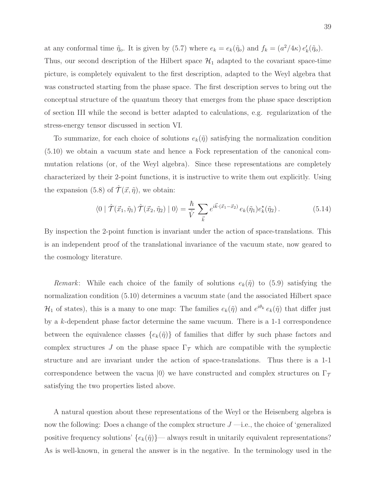at any conformal time  $\tilde{\eta}_o$ . It is given by (5.7) where  $e_k = e_k(\tilde{\eta}_o)$  and  $f_k = (a^2/4\kappa) e'_k(\tilde{\eta}_o)$ .

Thus, our second description of the Hilbert space  $\mathcal{H}_1$  adapted to the covariant space-time picture, is completely equivalent to the first description, adapted to the Weyl algebra that was constructed starting from the phase space. The first description serves to bring out the conceptual structure of the quantum theory that emerges from the phase space description of section III while the second is better adapted to calculations, e.g. regularization of the stress-energy tensor discussed in section VI.

To summarize, for each choice of solutions  $e_k(\tilde{\eta})$  satisfying the normalization condition (5.10) we obtain a vacuum state and hence a Fock representation of the canonical commutation relations (or, of the Weyl algebra). Since these representations are completely characterized by their 2-point functions, it is instructive to write them out explicitly. Using the expansion (5.8) of  $\hat{\mathcal{T}}(\vec{x}, \tilde{\eta})$ , we obtain:

$$
\langle 0 | \hat{\mathcal{T}}(\vec{x}_1, \tilde{\eta}_1) \hat{\mathcal{T}}(\vec{x}_2, \tilde{\eta}_2) | 0 \rangle = \frac{\hbar}{\tilde{V}} \sum_{\vec{k}} e^{i\vec{k} \cdot (\vec{x}_1 - \vec{x}_2)} e_k(\tilde{\eta}_1) e_k^{\star}(\tilde{\eta}_2).
$$
 (5.14)

By inspection the 2-point function is invariant under the action of space-translations. This is an independent proof of the translational invariance of the vacuum state, now geared to the cosmology literature.

Remark: While each choice of the family of solutions  $e_k(\tilde{\eta})$  to (5.9) satisfying the normalization condition (5.10) determines a vacuum state (and the associated Hilbert space  $\mathcal{H}_1$  of states), this is a many to one map: The families  $e_k(\tilde{\eta})$  and  $e^{i\theta_k}e_k(\tilde{\eta})$  that differ just by a k-dependent phase factor determine the same vacuum. There is a 1-1 correspondence between the equivalence classes  $\{e_k(\tilde{\eta})\}$  of families that differ by such phase factors and complex structures J on the phase space  $\Gamma_{\mathcal{T}}$  which are compatible with the symplectic structure and are invariant under the action of space-translations. Thus there is a 1-1 correspondence between the vacua  $|0\rangle$  we have constructed and complex structures on  $\Gamma_{\tau}$ satisfying the two properties listed above.

A natural question about these representations of the Weyl or the Heisenberg algebra is now the following: Does a change of the complex structure  $J$  —i.e., the choice of 'generalized positive frequency solutions'  $\{e_k(\tilde{\eta})\}$ — always result in unitarily equivalent representations? As is well-known, in general the answer is in the negative. In the terminology used in the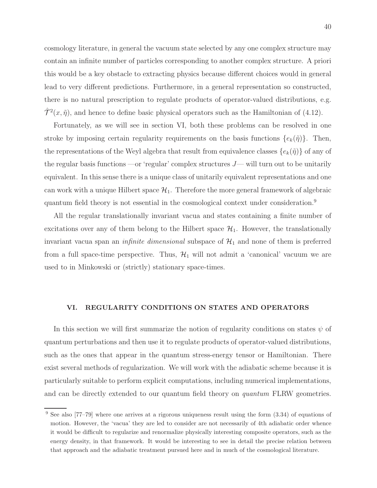cosmology literature, in general the vacuum state selected by any one complex structure may contain an infinite number of particles corresponding to another complex structure. A priori this would be a key obstacle to extracting physics because different choices would in general lead to very different predictions. Furthermore, in a general representation so constructed, there is no natural prescription to regulate products of operator-valued distributions, e.g.  $\hat{\mathcal{T}}^2(x,\tilde{\eta})$ , and hence to define basic physical operators such as the Hamiltonian of (4.12).

Fortunately, as we will see in section VI, both these problems can be resolved in one stroke by imposing certain regularity requirements on the basis functions  $\{e_k(\tilde{\eta})\}$ . Then, the representations of the Weyl algebra that result from equivalence classes  ${e_k(\tilde{\eta})}$  of any of the regular basis functions —or 'regular' complex structures  $J$ — will turn out to be unitarily equivalent. In this sense there is a unique class of unitarily equivalent representations and one can work with a unique Hilbert space  $\mathcal{H}_1$ . Therefore the more general framework of algebraic quantum field theory is not essential in the cosmological context under consideration.<sup>9</sup>

All the regular translationally invariant vacua and states containing a finite number of excitations over any of them belong to the Hilbert space  $\mathcal{H}_1$ . However, the translationally invariant vacua span an *infinite dimensional* subspace of  $\mathcal{H}_1$  and none of them is preferred from a full space-time perspective. Thus,  $\mathcal{H}_1$  will not admit a 'canonical' vacuum we are used to in Minkowski or (strictly) stationary space-times.

# VI. REGULARITY CONDITIONS ON STATES AND OPERATORS

In this section we will first summarize the notion of regularity conditions on states  $\psi$  of quantum perturbations and then use it to regulate products of operator-valued distributions, such as the ones that appear in the quantum stress-energy tensor or Hamiltonian. There exist several methods of regularization. We will work with the adiabatic scheme because it is particularly suitable to perform explicit computations, including numerical implementations, and can be directly extended to our quantum field theory on quantum FLRW geometries.

<sup>9</sup> See also [77–79] where one arrives at a rigorous uniqueness result using the form (3.34) of equations of motion. However, the 'vacua' they are led to consider are not necessarily of 4th adiabatic order whence it would be difficult to regularize and renormalize physically interesting composite operators, such as the energy density, in that framework. It would be interesting to see in detail the precise relation between that approach and the adiabatic treatment pursued here and in much of the cosmological literature.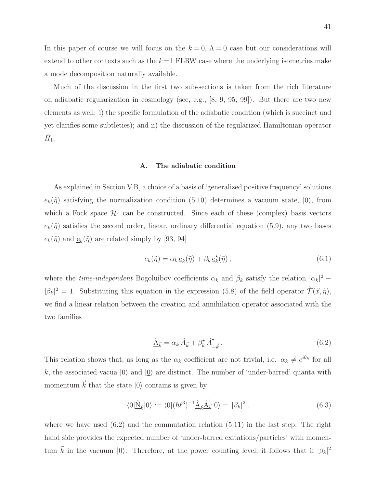In this paper of course we will focus on the  $k = 0$ ,  $\Lambda = 0$  case but our considerations will extend to other contexts such as the  $k=1$  FLRW case where the underlying isometries make a mode decomposition naturally available.

Much of the discussion in the first two sub-sections is taken from the rich literature on adiabatic regularization in cosmology (see, e.g., [8, 9, 95, 99]). But there are two new elements as well: i) the specific formulation of the adiabatic condition (which is succinct and yet clarifies some subtleties); and ii) the discussion of the regularized Hamiltonian operator  $\hat{H}_1$ .

## A. The adiabatic condition

As explained in Section V B, a choice of a basis of 'generalized positive frequency' solutions  $e_k(\tilde{\eta})$  satisfying the normalization condition (5.10) determines a vacuum state,  $|0\rangle$ , from which a Fock space  $\mathcal{H}_1$  can be constructed. Since each of these (complex) basis vectors  $e_k(\tilde{\eta})$  satisfies the second order, linear, ordinary differential equation (5.9), any two bases  $e_k(\tilde{\eta})$  and  $\underline{e}_k(\tilde{\eta})$  are related simply by [93, 94]

$$
e_k(\tilde{\eta}) = \alpha_k \underline{\mathbf{e}}_k(\tilde{\eta}) + \beta_k \underline{\mathbf{e}}_k^{\star}(\tilde{\eta}), \qquad (6.1)
$$

where the *time-independent* Bogoluibov coefficients  $\alpha_k$  and  $\beta_k$  satisfy the relation  $|\alpha_k|^2$  –  $|\beta_k|^2 = 1$ . Substituting this equation in the expression (5.8) of the field operator  $\hat{\mathcal{T}}(\vec{x}, \tilde{\eta})$ , we find a linear relation between the creation and annihilation operator associated with the two families

$$
\hat{\underline{A}}_{\vec{k}} = \alpha_k \,\hat{A}_{\vec{k}} + \beta_k^* \,\hat{A}_{-\vec{k}}^\dagger. \tag{6.2}
$$

This relation shows that, as long as the  $\alpha_k$  coefficient are not trivial, i.e.  $\alpha_k \neq e^{i\theta_k}$  for all k, the associated vacua  $|0\rangle$  and  $|0\rangle$  are distinct. The number of 'under-barred' quanta with momentum  $\vec{k}$  that the state  $|0\rangle$  contains is given by

$$
\langle 0|\hat{\underline{\mathrm{N}}}_{\vec{k}}|0\rangle := \langle 0|(\hbar\ell^3)^{-1}\hat{\underline{\mathrm{A}}}_{\vec{k}}\hat{\underline{\mathrm{A}}}_{\vec{k}}^{\dagger}|0\rangle = |\beta_k|^2, \qquad (6.3)
$$

where we have used  $(6.2)$  and the commutation relation  $(5.11)$  in the last step. The right hand side provides the expected number of 'under-barred exitations/particles' with momentum  $\vec{k}$  in the vacuum  $|0\rangle$ . Therefore, at the power counting level, it follows that if  $|\beta_k|^2$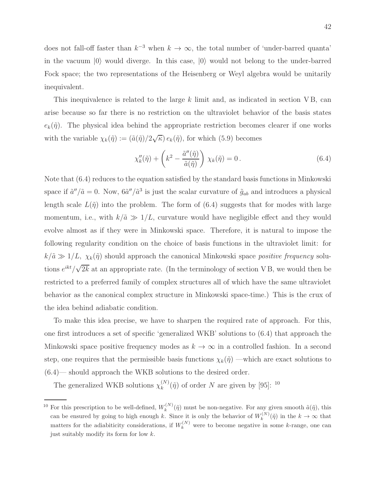does not fall-off faster than  $k^{-3}$  when  $k \to \infty$ , the total number of 'under-barred quanta' in the vacuum  $|0\rangle$  would diverge. In this case,  $|0\rangle$  would not belong to the under-barred Fock space; the two representations of the Heisenberg or Weyl algebra would be unitarily inequivalent.

This inequivalence is related to the large  $k$  limit and, as indicated in section VB, can arise because so far there is no restriction on the ultraviolet behavior of the basis states  $e_k(\tilde{\eta})$ . The physical idea behind the appropriate restriction becomes clearer if one works with the variable  $\chi_k(\tilde{\eta}) := (\tilde{a}(\tilde{\eta})/2\sqrt{\kappa}) e_k(\tilde{\eta})$ , for which (5.9) becomes

$$
\chi_k''(\tilde{\eta}) + \left(k^2 - \frac{\tilde{a}''(\tilde{\eta})}{\tilde{a}(\tilde{\eta})}\right) \chi_k(\tilde{\eta}) = 0.
$$
\n(6.4)

Note that (6.4) reduces to the equation satisfied by the standard basis functions in Minkowski space if  $\tilde{a}''/\tilde{a} = 0$ . Now,  $6\tilde{a}''/\tilde{a}^3$  is just the scalar curvature of  $\tilde{g}_{ab}$  and introduces a physical length scale  $L(\tilde{\eta})$  into the problem. The form of (6.4) suggests that for modes with large momentum, i.e., with  $k/\tilde{a} \gg 1/L$ , curvature would have negligible effect and they would evolve almost as if they were in Minkowski space. Therefore, it is natural to impose the following regularity condition on the choice of basis functions in the ultraviolet limit: for  $k/\tilde{a} \gg 1/L$ ,  $\chi_k(\tilde{\eta})$  should approach the canonical Minkowski space *positive frequency* solutions  $e^{ikt}/\sqrt{2k}$  at an appropriate rate. (In the terminology of section VB, we would then be restricted to a preferred family of complex structures all of which have the same ultraviolet behavior as the canonical complex structure in Minkowski space-time.) This is the crux of the idea behind adiabatic condition.

To make this idea precise, we have to sharpen the required rate of approach. For this, one first introduces a set of specific 'generalized WKB' solutions to (6.4) that approach the Minkowski space positive frequency modes as  $k \to \infty$  in a controlled fashion. In a second step, one requires that the permissible basis functions  $\chi_k(\tilde{\eta})$  —which are exact solutions to (6.4)— should approach the WKB solutions to the desired order.

The generalized WKB solutions  $\chi_k^{(N)}$  $\binom{N}{k}(\tilde{\eta})$  of order N are given by [95]: <sup>10</sup>

<sup>&</sup>lt;sup>10</sup> For this prescription to be well-defined,  $W_k^{(N)}(\tilde{\eta})$  must be non-negative. For any given smooth  $\tilde{a}(\tilde{\eta})$ , this can be ensured by going to high enough k. Since it is only the behavior of  $W_k^{(N)}(\tilde{\eta})$  in the  $k \to \infty$  that matters for the adiabiticity considerations, if  $W_k^{(N)}$  were to become negative in some k-range, one can just suitably modify its form for low  $k$ .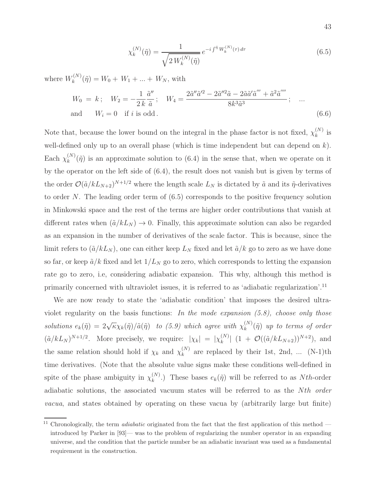$$
\chi_k^{(N)}(\tilde{\eta}) = \frac{1}{\sqrt{2 \, W_k^{(N)}(\tilde{\eta})}} \, e^{-i \int^{\tilde{\eta}} W_k^{(N)}(\tau) \, d\tau} \tag{6.5}
$$

where  $W_k^{(N)}$  $k_k^{(N)}(\tilde{\eta}) = W_0 + W_1 + ... + W_N$ , with

$$
W_0 = k; \quad W_2 = -\frac{1}{2k} \frac{\tilde{a}''}{\tilde{a}}; \quad W_4 = \frac{2\tilde{a}''\tilde{a}'^2 - 2\tilde{a}''^2\tilde{a} - 2\tilde{a}\tilde{a}'\tilde{a}''' + \tilde{a}^2\tilde{a}'''}{8k^3\tilde{a}^3}; \quad \dots
$$
  
and  $W_i = 0$  if *i* is odd. (6.6)

Note that, because the lower bound on the integral in the phase factor is not fixed,  $\chi_k^{(N)}$  $\binom{N}{k}$  is well-defined only up to an overall phase (which is time independent but can depend on  $k$ ). Each  $\chi_k^{(N)}$  $\binom{N}{k}(\tilde{\eta})$  is an approximate solution to (6.4) in the sense that, when we operate on it by the operator on the left side of (6.4), the result does not vanish but is given by terms of the order  $\mathcal{O}(\tilde{a}/kL_{N+2})^{N+1/2}$  where the length scale  $L_N$  is dictated by  $\tilde{a}$  and its  $\tilde{\eta}$ -derivatives to order N. The leading order term of (6.5) corresponds to the positive frequency solution in Minkowski space and the rest of the terms are higher order contributions that vanish at different rates when  $(\tilde{a}/kL_N) \rightarrow 0$ . Finally, this approximate solution can also be regarded as an expansion in the number of derivatives of the scale factor. This is because, since the limit refers to  $(\tilde{a}/kL_N)$ , one can either keep  $L_N$  fixed and let  $\tilde{a}/k$  go to zero as we have done so far, or keep  $\tilde{a}/k$  fixed and let  $1/L_N$  go to zero, which corresponds to letting the expansion rate go to zero, i.e, considering adiabatic expansion. This why, although this method is primarily concerned with ultraviolet issues, it is referred to as 'adiabatic regularization'.<sup>11</sup>

We are now ready to state the 'adiabatic condition' that imposes the desired ultraviolet regularity on the basis functions: In the mode expansion  $(5.8)$ , choose only those solutions  $e_k(\tilde{\eta}) = 2\sqrt{\kappa} \chi_k(\tilde{\eta})/\tilde{a}(\tilde{\eta})$  to (5.9) which agree with  $\chi_k^{(N)}$  $\binom{N}{k}$  ( $\tilde{\eta}$ ) up to terms of order  $(\tilde{a}/kL_N)^{N+1/2}$ . More precisely, we require:  $|\chi_k| = |\chi_k^{(N)}|$  $\binom{N}{k}$   $(1 + \mathcal{O}((\tilde{a}/kL_{N+2}))^{N+2}),$  and the same relation should hold if  $\chi_k$  and  $\chi_k^{(N)}$  $\binom{N}{k}$  are replaced by their 1st, 2nd, ... (N-1)<sup>th</sup> time derivatives. (Note that the absolute value signs make these conditions well-defined in spite of the phase ambiguity in  $\chi_k^{(N)}$  $\binom{N}{k}$ .) These bases  $e_k(\tilde{\eta})$  will be referred to as *Nth*-order adiabatic solutions, the associated vacuum states will be referred to as the Nth order vacua, and states obtained by operating on these vacua by (arbitrarily large but finite)

<sup>&</sup>lt;sup>11</sup> Chronologically, the term *adiabatic* originated from the fact that the first application of this method introduced by Parker in [93]— was to the problem of regularizing the number operator in an expanding universe, and the condition that the particle number be an adiabatic invariant was used as a fundamental requirement in the construction.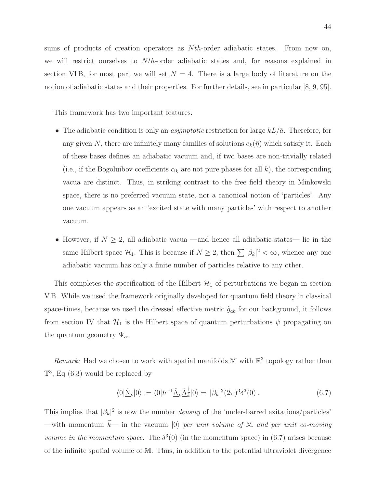sums of products of creation operators as *Nth*-order adiabatic states. From now on, we will restrict ourselves to  $N<sub>th</sub>$ -order adiabatic states and, for reasons explained in section VIB, for most part we will set  $N = 4$ . There is a large body of literature on the notion of adiabatic states and their properties. For further details, see in particular [8, 9, 95].

This framework has two important features.

- The adiabatic condition is only an *asymptotic* restriction for large  $kL/\tilde{a}$ . Therefore, for any given N, there are infinitely many families of solutions  $e_k(\tilde{\eta})$  which satisfy it. Each of these bases defines an adiabatic vacuum and, if two bases are non-trivially related (i.e., if the Bogoluibov coefficients  $\alpha_k$  are not pure phases for all k), the corresponding vacua are distinct. Thus, in striking contrast to the free field theory in Minkowski space, there is no preferred vacuum state, nor a canonical notion of 'particles'. Any one vacuum appears as an 'excited state with many particles' with respect to another vacuum.
- However, if  $N \geq 2$ , all adiabatic vacua —and hence all adiabatic states— lie in the same Hilbert space  $\mathcal{H}_1$ . This is because if  $N \geq 2$ , then  $\sum |\beta_k|^2 < \infty$ , whence any one adiabatic vacuum has only a finite number of particles relative to any other.

This completes the specification of the Hilbert  $\mathcal{H}_1$  of perturbations we began in section V B. While we used the framework originally developed for quantum field theory in classical space-times, because we used the dressed effective metric  $\tilde{g}_{ab}$  for our background, it follows from section IV that  $\mathcal{H}_1$  is the Hilbert space of quantum perturbations  $\psi$  propagating on the quantum geometry  $\Psi_o$ .

Remark: Had we chosen to work with spatial manifolds  $\mathbb M$  with  $\mathbb R^3$  topology rather than  $\mathbb{T}^3$ , Eq (6.3) would be replaced by

$$
\langle 0|\hat{\underline{\mathrm{N}}}_{\vec{k}}|0\rangle := \langle 0|\hbar^{-1}\hat{\underline{\mathrm{A}}}_{\vec{k}}\hat{\underline{\mathrm{A}}}_{\vec{k}}^{\dagger}|0\rangle = |\beta_k|^2(2\pi)^3\delta^3(0) \,. \tag{6.7}
$$

This implies that  $|\beta_k|^2$  is now the number *density* of the 'under-barred exitations/particles' —with momentum  $\vec{k}$ — in the vacuum  $|0\rangle$  per unit volume of M and per unit co-moving *volume in the momentum space*. The  $\delta^3(0)$  (in the momentum space) in (6.7) arises because of the infinite spatial volume of M. Thus, in addition to the potential ultraviolet divergence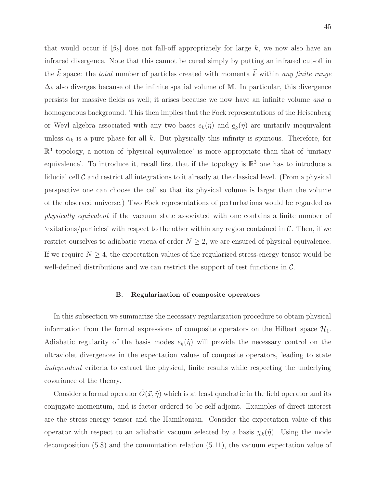that would occur if  $|\beta_k|$  does not fall-off appropriately for large k, we now also have an infrared divergence. Note that this cannot be cured simply by putting an infrared cut-off in the  $\vec{k}$  space: the total number of particles created with momenta  $\vec{k}$  within any finite range  $\Delta_k$  also diverges because of the infinite spatial volume of M. In particular, this divergence persists for massive fields as well; it arises because we now have an infinite volume and a homogeneous background. This then implies that the Fock representations of the Heisenberg or Weyl algebra associated with any two bases  $e_k(\tilde{\eta})$  and  $\underline{e}_k(\tilde{\eta})$  are unitarily inequivalent unless  $\alpha_k$  is a pure phase for all k. But physically this infinity is spurious. Therefore, for  $\mathbb{R}^3$  topology, a notion of 'physical equivalence' is more appropriate than that of 'unitary equivalence'. To introduce it, recall first that if the topology is  $\mathbb{R}^3$  one has to introduce a fiducial cell  $\mathcal C$  and restrict all integrations to it already at the classical level. (From a physical perspective one can choose the cell so that its physical volume is larger than the volume of the observed universe.) Two Fock representations of perturbations would be regarded as physically equivalent if the vacuum state associated with one contains a finite number of 'exitations/particles' with respect to the other within any region contained in  $\mathcal{C}$ . Then, if we restrict ourselves to adiabatic vacua of order  $N \geq 2$ , we are ensured of physical equivalence. If we require  $N \geq 4$ , the expectation values of the regularized stress-energy tensor would be well-defined distributions and we can restrict the support of test functions in  $\mathcal{C}$ .

## B. Regularization of composite operators

In this subsection we summarize the necessary regularization procedure to obtain physical information from the formal expressions of composite operators on the Hilbert space  $\mathcal{H}_1$ . Adiabatic regularity of the basis modes  $e_k(\tilde{\eta})$  will provide the necessary control on the ultraviolet divergences in the expectation values of composite operators, leading to state independent criteria to extract the physical, finite results while respecting the underlying covariance of the theory.

Consider a formal operator  $\hat{O}(\vec{x}, \tilde{\eta})$  which is at least quadratic in the field operator and its conjugate momentum, and is factor ordered to be self-adjoint. Examples of direct interest are the stress-energy tensor and the Hamiltonian. Consider the expectation value of this operator with respect to an adiabatic vacuum selected by a basis  $\chi_k(\tilde{\eta})$ . Using the mode decomposition (5.8) and the commutation relation (5.11), the vacuum expectation value of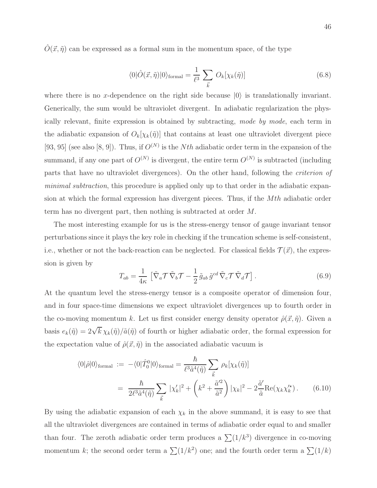$\tilde{O}(\vec{x}, \tilde{\eta})$  can be expressed as a formal sum in the momentum space, of the type

$$
\langle 0|\hat{O}(\vec{x},\tilde{\eta})|0\rangle_{\text{formal}} = \frac{1}{\ell^3} \sum_{\vec{k}} O_k[\chi_k(\tilde{\eta})]
$$
\n(6.8)

where there is no x-dependence on the right side because  $|0\rangle$  is translationally invariant. Generically, the sum would be ultraviolet divergent. In adiabatic regularization the physically relevant, finite expression is obtained by subtracting, mode by mode, each term in the adiabatic expansion of  $O_k[\chi_k(\tilde{\eta})]$  that contains at least one ultraviolet divergent piece [93, 95] (see also [8, 9]). Thus, if  $O^{(N)}$  is the *Nth* adiabatic order term in the expansion of the summand, if any one part of  $O^{(N)}$  is divergent, the entire term  $O^{(N)}$  is subtracted (including parts that have no ultraviolet divergences). On the other hand, following the criterion of minimal subtraction, this procedure is applied only up to that order in the adiabatic expansion at which the formal expression has divergent pieces. Thus, if the  $Mth$  adiabatic order term has no divergent part, then nothing is subtracted at order M.

The most interesting example for us is the stress-energy tensor of gauge invariant tensor perturbations since it plays the key role in checking if the truncation scheme is self-consistent, i.e., whether or not the back-reaction can be neglected. For classical fields  $\mathcal{T}(\vec{x})$ , the expression is given by

$$
T_{ab} = \frac{1}{4\kappa} \left[ \tilde{\nabla}_a \mathcal{T} \tilde{\nabla}_b \mathcal{T} - \frac{1}{2} \tilde{g}_{ab} \tilde{g}^{cd} \tilde{\nabla}_c \mathcal{T} \tilde{\nabla}_d \mathcal{T} \right]. \tag{6.9}
$$

At the quantum level the stress-energy tensor is a composite operator of dimension four, and in four space-time dimensions we expect ultraviolet divergences up to fourth order in the co-moving momentum k. Let us first consider energy density operator  $\hat{\rho}(\vec{x}, \tilde{\eta})$ . Given a basis  $e_k(\tilde{\eta}) = 2\sqrt{k} \chi_k(\tilde{\eta})/\tilde{a}(\tilde{\eta})$  of fourth or higher adiabatic order, the formal expression for the expectation value of  $\hat{\rho}(\vec{x}, \tilde{\eta})$  in the associated adiabatic vacuum is

$$
\langle 0|\hat{\rho}|0\rangle_{\text{formal}} := -\langle 0|\hat{T}_0^0|0\rangle_{\text{formal}} = \frac{\hbar}{\ell^3 \tilde{a}^4(\tilde{\eta})} \sum_{\vec{k}} \rho_k[\chi_k(\tilde{\eta})]
$$
  

$$
= \frac{\hbar}{2\ell^3 \tilde{a}^4(\tilde{\eta})} \sum_{\vec{k}} |\chi'_k|^2 + \left(k^2 + \frac{\tilde{a}'^2}{\tilde{a}^2}\right) |\chi_k|^2 - 2\frac{\tilde{a}'}{\tilde{a}} \text{Re}(\chi_k \chi_k'^\star). \tag{6.10}
$$

By using the adiabatic expansion of each  $\chi_k$  in the above summand, it is easy to see that all the ultraviolet divergences are contained in terms of adiabatic order equal to and smaller than four. The zeroth adiabatic order term produces a  $\sum(1/k^3)$  divergence in co-moving momentum k; the second order term a  $\sum(1/k^2)$  one; and the fourth order term a  $\sum(1/k)$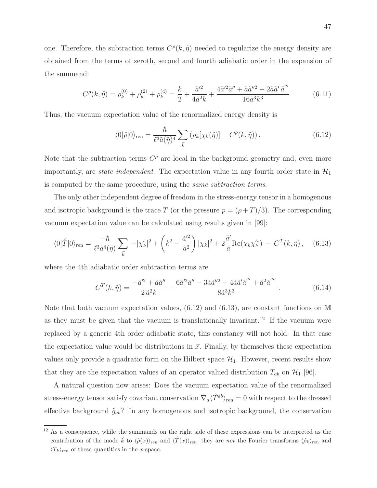one. Therefore, the subtraction terms  $C^{\rho}(k, \tilde{\eta})$  needed to regularize the energy density are obtained from the terms of zeroth, second and fourth adiabatic order in the expansion of the summand:

$$
C^{\rho}(k,\tilde{\eta}) = \rho_k^{(0)} + \rho_k^{(2)} + \rho_k^{(4)} = \frac{k}{2} + \frac{\tilde{a}^{\prime 2}}{4\tilde{a}^2 k} + \frac{4\tilde{a}^{\prime 2}\tilde{a}'' + \tilde{a}\tilde{a}^{\prime\prime 2} - 2\tilde{a}\tilde{a}'\tilde{a}^{\prime\prime\prime}}{16\tilde{a}^3 k^3}.
$$
 (6.11)

Thus, the vacuum expectation value of the renormalized energy density is

$$
\langle 0|\hat{\rho}|0\rangle_{\text{ren}} = \frac{\hbar}{\ell^3 \tilde{a}(\tilde{\eta})^4} \sum_{\vec{k}} \left(\rho_k[\chi_k(\tilde{\eta})] - C^{\rho}(k,\tilde{\eta})\right). \tag{6.12}
$$

Note that the subtraction terms  $C^{\rho}$  are local in the background geometry and, even more importantly, are *state independent*. The expectation value in any fourth order state in  $\mathcal{H}_1$ is computed by the same procedure, using the same subtraction terms.

The only other independent degree of freedom in the stress-energy tensor in a homogenous and isotropic background is the trace T (or the pressure  $p = (\rho + T)/3$ ). The corresponding vacuum expectation value can be calculated using results given in [99]:

$$
\langle 0|\hat{T}|0\rangle_{\text{ren}} = \frac{-\hbar}{\ell^3 \tilde{a}^4(\tilde{\eta})} \sum_{\vec{k}} -|\chi_k'|^2 + \left(k^2 - \frac{\tilde{a}'^2}{\tilde{a}^2}\right)|\chi_k|^2 + 2\frac{\tilde{a}'}{\tilde{a}} \text{Re}(\chi_k \chi_k'^*) - C^T(k, \tilde{\eta}), \quad (6.13)
$$

where the 4th adiabatic order subtraction terms are

$$
C^{T}(k,\tilde{\eta}) = \frac{-\tilde{a}^{\prime 2} + \tilde{a}\tilde{a}^{\prime \prime}}{2\,\tilde{a}^{2}k} - \frac{6\tilde{a}^{\prime 2}\tilde{a}^{\prime \prime} - 3\tilde{a}\tilde{a}^{\prime \prime 2} - 4\tilde{a}\tilde{a}^{\prime} \tilde{a}^{\prime \prime \prime} + \tilde{a}^{2}\tilde{a}^{\prime \prime \prime}}{8\tilde{a}^{3}k^{3}}.
$$
(6.14)

Note that both vacuum expectation values, (6.12) and (6.13), are constant functions on M as they must be given that the vacuum is translationally invariant.<sup>12</sup> If the vacuum were replaced by a generic 4th order adiabatic state, this constancy will not hold. In that case the expectation value would be distributions in  $\vec{x}$ . Finally, by themselves these expectation values only provide a quadratic form on the Hilbert space  $\mathcal{H}_1$ . However, recent results show that they are the expectation values of an operator valued distribution  $\hat{T}_{ab}$  on  $\mathcal{H}_1$  [96].

A natural question now arises: Does the vacuum expectation value of the renormalized stress-energy tensor satisfy covariant conservation  $\tilde{\nabla}_a \langle \hat{T}^{ab} \rangle_{\text{ren}} = 0$  with respect to the dressed effective background  $\tilde{g}_{ab}$ ? In any homogenous and isotropic background, the conservation

<sup>&</sup>lt;sup>12</sup> As a consequence, while the summands on the right side of these expressions can be interpreted as the contribution of the mode  $\vec{k}$  to  $\langle \hat{\rho}(x) \rangle_{\text{ren}}$  and  $\langle \hat{T}(x) \rangle_{\text{ren}}$ , they are *not* the Fourier transforms  $\langle \hat{\rho}_k \rangle_{\text{ren}}$  and  $\langle \hat{T}_k \rangle_{\text{ren}}$  of these quantities in the *x*-space.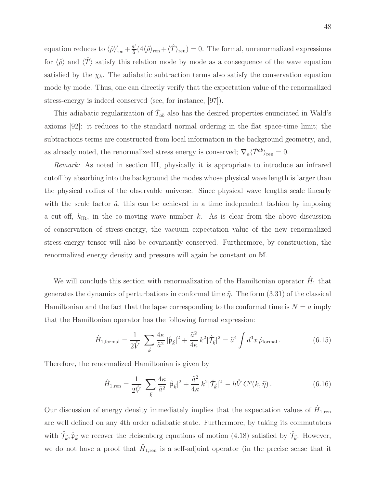equation reduces to  $\langle \hat{\rho} \rangle'_{\text{ren}} + \frac{\tilde{a}'}{\tilde{a}}$  $\frac{\tilde{a}'}{\tilde{a}}(4\langle \hat{\rho} \rangle_{\text{ren}} + \langle \hat{T} \rangle_{\text{ren}}) = 0.$  The formal, unrenormalized expressions for  $\langle \hat{\rho} \rangle$  and  $\langle T \rangle$  satisfy this relation mode by mode as a consequence of the wave equation satisfied by the  $\chi_k$ . The adiabatic subtraction terms also satisfy the conservation equation mode by mode. Thus, one can directly verify that the expectation value of the renormalized stress-energy is indeed conserved (see, for instance, [97]).

This adiabatic regularization of  $\hat{T}_{ab}$  also has the desired properties enunciated in Wald's axioms [92]: it reduces to the standard normal ordering in the flat space-time limit; the subtractions terms are constructed from local information in the background geometry, and, as already noted, the renormalized stress energy is conserved;  $\tilde{\nabla}_a \langle \hat{T}^{ab} \rangle_{\text{ren}} = 0.$ 

Remark: As noted in section III, physically it is appropriate to introduce an infrared cutoff by absorbing into the background the modes whose physical wave length is larger than the physical radius of the observable universe. Since physical wave lengths scale linearly with the scale factor  $\tilde{a}$ , this can be achieved in a time independent fashion by imposing a cut-off,  $k_{IR}$ , in the co-moving wave number k. As is clear from the above discussion of conservation of stress-energy, the vacuum expectation value of the new renormalized stress-energy tensor will also be covariantly conserved. Furthermore, by construction, the renormalized energy density and pressure will again be constant on M.

We will conclude this section with renormalization of the Hamiltonian operator  $\hat{H}_1$  that generates the dynamics of perturbations in conformal time  $\tilde{\eta}$ . The form (3.31) of the classical Hamiltonian and the fact that the lapse corresponding to the conformal time is  $N = a$  imply that the Hamiltonian operator has the following formal expression:

$$
\hat{H}_{1,\text{formal}} = \frac{1}{2\hat{V}} \sum_{\vec{k}} \frac{4\kappa}{\tilde{a}^2} |\hat{\mathfrak{p}}_{\vec{k}}|^2 + \frac{\tilde{a}^2}{4\kappa} k^2 |\hat{\mathcal{T}}_{\vec{k}}|^2 = \tilde{a}^4 \int d^3x \,\hat{\rho}_{\text{formal}} \,. \tag{6.15}
$$

Therefore, the renormalized Hamiltonian is given by

$$
\hat{H}_{1,\text{ren}} = \frac{1}{2\tilde{V}} \sum_{\vec{k}} \frac{4\kappa}{\tilde{a}^2} |\hat{\mathfrak{p}}_{\vec{k}}|^2 + \frac{\tilde{a}^2}{4\kappa} k^2 |\hat{\mathcal{T}}_{\vec{k}}|^2 - \hbar \mathring{V} C^{\rho}(k, \tilde{\eta}). \tag{6.16}
$$

Our discussion of energy density immediately implies that the expectation values of  $\hat{H}_{1,\text{ren}}$ are well defined on any 4th order adiabatic state. Furthermore, by taking its commutators with  $\hat{\mathcal{T}}_{\vec{k}}, \hat{\mathfrak{p}}_{\vec{k}}$  we recover the Heisenberg equations of motion (4.18) satisfied by  $\hat{\mathcal{T}}_{\vec{k}}$ . However, we do not have a proof that  $\hat{H}_{1,ren}$  is a self-adjoint operator (in the precise sense that it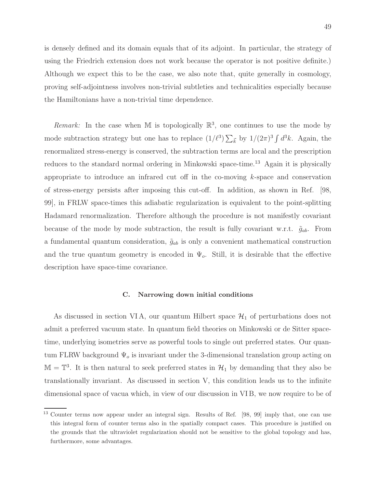is densely defined and its domain equals that of its adjoint. In particular, the strategy of using the Friedrich extension does not work because the operator is not positive definite.) Although we expect this to be the case, we also note that, quite generally in cosmology, proving self-adjointness involves non-trivial subtleties and technicalities especially because the Hamiltonians have a non-trivial time dependence.

Remark: In the case when M is topologically  $\mathbb{R}^3$ , one continues to use the mode by mode subtraction strategy but one has to replace  $(1/\ell^3) \sum_{\vec{k}}$  by  $1/(2\pi)^3 \int d^3k$ . Again, the renormalized stress-energy is conserved, the subtraction terms are local and the prescription reduces to the standard normal ordering in Minkowski space-time.<sup>13</sup> Again it is physically appropriate to introduce an infrared cut off in the co-moving  $k$ -space and conservation of stress-energy persists after imposing this cut-off. In addition, as shown in Ref. [98, 99], in FRLW space-times this adiabatic regularization is equivalent to the point-splitting Hadamard renormalization. Therefore although the procedure is not manifestly covariant because of the mode by mode subtraction, the result is fully covariant w.r.t.  $\tilde{g}_{ab}$ . From a fundamental quantum consideration,  $\tilde{g}_{ab}$  is only a convenient mathematical construction and the true quantum geometry is encoded in  $\Psi_o$ . Still, it is desirable that the effective description have space-time covariance.

# C. Narrowing down initial conditions

As discussed in section VIA, our quantum Hilbert space  $\mathcal{H}_1$  of perturbations does not admit a preferred vacuum state. In quantum field theories on Minkowski or de Sitter spacetime, underlying isometries serve as powerful tools to single out preferred states. Our quantum FLRW background  $\Psi_o$  is invariant under the 3-dimensional translation group acting on  $\mathbb{M} = \mathbb{T}^3$ . It is then natural to seek preferred states in  $\mathcal{H}_1$  by demanding that they also be translationally invariant. As discussed in section V, this condition leads us to the infinite dimensional space of vacua which, in view of our discussion in VI B, we now require to be of

<sup>&</sup>lt;sup>13</sup> Counter terms now appear under an integral sign. Results of Ref. [98, 99] imply that, one can use this integral form of counter terms also in the spatially compact cases. This procedure is justified on the grounds that the ultraviolet regularization should not be sensitive to the global topology and has, furthermore, some advantages.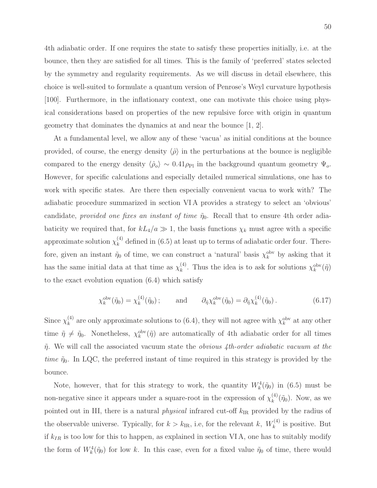4th adiabatic order. If one requires the state to satisfy these properties initially, i.e. at the bounce, then they are satisfied for all times. This is the family of 'preferred' states selected by the symmetry and regularity requirements. As we will discuss in detail elsewhere, this choice is well-suited to formulate a quantum version of Penrose's Weyl curvature hypothesis [100]. Furthermore, in the inflationary context, one can motivate this choice using physical considerations based on properties of the new repulsive force with origin in quantum geometry that dominates the dynamics at and near the bounce [1, 2].

At a fundamental level, we allow any of these 'vacua' as initial conditions at the bounce provided, of course, the energy density  $\langle \hat{\rho} \rangle$  in the perturbations at the bounce is negligible compared to the energy density  $\langle \hat{\rho}_o \rangle \sim 0.41 \rho_{\rm Pl}$  in the background quantum geometry  $\Psi_o$ . However, for specific calculations and especially detailed numerical simulations, one has to work with specific states. Are there then especially convenient vacua to work with? The adiabatic procedure summarized in section VI A provides a strategy to select an 'obvious' candidate, provided one fixes an instant of time  $\tilde{\eta}_0$ . Recall that to ensure 4th order adiabaticity we required that, for  $kL_4/a \gg 1$ , the basis functions  $\chi_k$  must agree with a specific approximate solution  $\chi_k^{(4)}$  $\binom{4}{k}$  defined in (6.5) at least up to terms of adiabatic order four. Therefore, given an instant  $\tilde{\eta}_0$  of time, we can construct a 'natural' basis  $\chi_k^{\text{obv}}$  by asking that it has the same initial data at that time as  $\chi_k^{(4)}$ <sup>(4)</sup>. Thus the idea is to ask for solutions  $\chi_k^{\text{obv}}(\tilde{\eta})$ to the exact evolution equation (6.4) which satisfy

$$
\chi_k^{\text{obv}}(\tilde{\eta}_0) = \chi_k^{(4)}(\tilde{\eta}_0) \, ; \qquad \text{and} \qquad \partial_{\tilde{\eta}} \chi_k^{\text{obv}}(\tilde{\eta}_0) = \partial_{\tilde{\eta}} \chi_k^{(4)}(\tilde{\eta}_0) \, . \tag{6.17}
$$

Since  $\chi_k^{(4)}$ <sup>(4)</sup> are only approximate solutions to (6.4), they will not agree with  $\chi_k^{\text{obv}}$  at any other time  $\tilde{\eta} \neq \tilde{\eta}_0$ . Nonetheless,  $\chi_k^{\text{obv}}(\tilde{\eta})$  are automatically of 4th adiabatic order for all times  $\tilde{\eta}$ . We will call the associated vacuum state the *obvious 4th-order adiabatic vacuum at the* time  $\tilde{\eta}_0$ . In LQC, the preferred instant of time required in this strategy is provided by the bounce.

Note, however, that for this strategy to work, the quantity  $W_k^4(\tilde{\eta}_0)$  in (6.5) must be non-negative since it appears under a square-root in the expression of  $\chi_k^{(4)}$  $\binom{4}{k}(\tilde{\eta}_0)$ . Now, as we pointed out in III, there is a natural *physical* infrared cut-off  $k_{IR}$  provided by the radius of the observable universe. Typically, for  $k > k_{\text{IR}}$ , i.e, for the relevant k,  $W_k^{(4)}$  $\kappa^{(4)}$  is positive. But if  $k_{IR}$  is too low for this to happen, as explained in section VIA, one has to suitably modify the form of  $W_k^4(\tilde{\eta}_0)$  for low k. In this case, even for a fixed value  $\tilde{\eta}_0$  of time, there would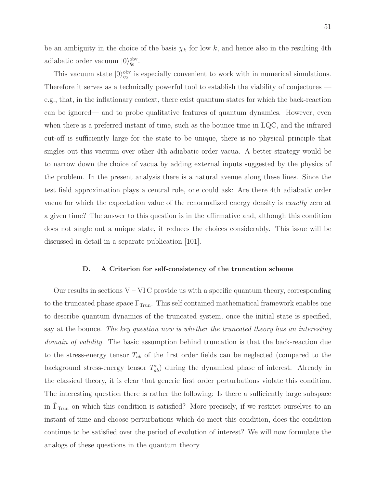be an ambiguity in the choice of the basis  $\chi_k$  for low k, and hence also in the resulting 4th adiabatic order vacuum  $|0\rangle_{\tilde{\eta}_0}^{\text{obv}}$ .

This vacuum state  $|0\rangle_{\tilde{\eta}_0}^{\text{obv}}$  is especially convenient to work with in numerical simulations. Therefore it serves as a technically powerful tool to establish the viability of conjectures e.g., that, in the inflationary context, there exist quantum states for which the back-reaction can be ignored— and to probe qualitative features of quantum dynamics. However, even when there is a preferred instant of time, such as the bounce time in LQC, and the infrared cut-off is sufficiently large for the state to be unique, there is no physical principle that singles out this vacuum over other 4th adiabatic order vacua. A better strategy would be to narrow down the choice of vacua by adding external inputs suggested by the physics of the problem. In the present analysis there is a natural avenue along these lines. Since the test field approximation plays a central role, one could ask: Are there 4th adiabatic order vacua for which the expectation value of the renormalized energy density is exactly zero at a given time? The answer to this question is in the affirmative and, although this condition does not single out a unique state, it reduces the choices considerably. This issue will be discussed in detail in a separate publication [101].

## D. A Criterion for self-consistency of the truncation scheme

Our results in sections  $V - VIC$  provide us with a specific quantum theory, corresponding to the truncated phase space  $\tilde{\Gamma}_{\text{Trun}}$ . This self contained mathematical framework enables one to describe quantum dynamics of the truncated system, once the initial state is specified, say at the bounce. The key question now is whether the truncated theory has an interesting domain of validity. The basic assumption behind truncation is that the back-reaction due to the stress-energy tensor  $T_{ab}$  of the first order fields can be neglected (compared to the background stress-energy tensor  $T_{ab}^o$  during the dynamical phase of interest. Already in the classical theory, it is clear that generic first order perturbations violate this condition. The interesting question there is rather the following: Is there a sufficiently large subspace in  $\tilde{\Gamma}_{\text{Trun}}$  on which this condition is satisfied? More precisely, if we restrict ourselves to an instant of time and choose perturbations which do meet this condition, does the condition continue to be satisfied over the period of evolution of interest? We will now formulate the analogs of these questions in the quantum theory.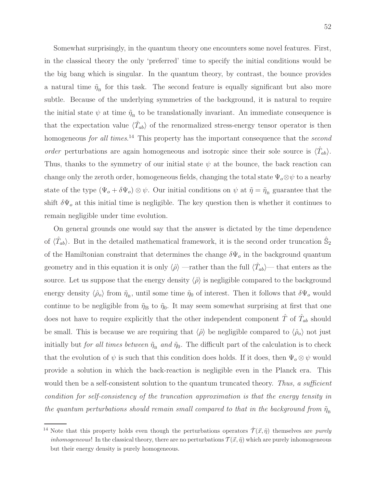Somewhat surprisingly, in the quantum theory one encounters some novel features. First, in the classical theory the only 'preferred' time to specify the initial conditions would be the big bang which is singular. In the quantum theory, by contrast, the bounce provides a natural time  $\tilde{\eta}_{\text{B}}$  for this task. The second feature is equally significant but also more subtle. Because of the underlying symmetries of the background, it is natural to require the initial state  $\psi$  at time  $\tilde{\eta}_{\text{B}}$  to be translationally invariant. An immediate consequence is that the expectation value  $\langle \hat{T}_{ab} \rangle$  of the renormalized stress-energy tensor operator is then homogeneous *for all times*.<sup>14</sup> This property has the important consequence that the *second* order perturbations are again homogeneous and isotropic since their sole source is  $\langle \hat{T}_{ab} \rangle$ . Thus, thanks to the symmetry of our initial state  $\psi$  at the bounce, the back reaction can change only the zeroth order, homogeneous fields, changing the total state  $\Psi_o \otimes \psi$  to a nearby state of the type  $(\Psi_o + \delta \Psi_o) \otimes \psi$ . Our initial conditions on  $\psi$  at  $\tilde{\eta} = \tilde{\eta}_{\text{B}}$  guarantee that the shift  $\delta \Psi$ <sub>o</sub> at this initial time is negligible. The key question then is whether it continues to remain negligible under time evolution.

On general grounds one would say that the answer is dictated by the time dependence of  $\langle \hat{T}_{ab} \rangle$ . But in the detailed mathematical framework, it is the second order truncation  $\hat{S}_2$ of the Hamiltonian constraint that determines the change  $\delta \Psi_o$  in the background quantum geometry and in this equation it is only  $\langle \hat{\rho} \rangle$  —rather than the full  $\langle \hat{T}_{ab} \rangle$ — that enters as the source. Let us suppose that the energy density  $\langle \hat{\rho} \rangle$  is negligible compared to the background energy density  $\langle \hat{\rho}_o \rangle$  from  $\tilde{\eta}_B$ , until some time  $\tilde{\eta}_0$  of interest. Then it follows that  $\delta \Psi_o$  would continue to be negligible from  $\tilde{\eta}_B$  to  $\tilde{\eta}_0$ . It may seem somewhat surprising at first that one does not have to require explicitly that the other independent component  $\hat{T}$  of  $\hat{T}_{ab}$  should be small. This is because we are requiring that  $\langle \hat{\rho} \rangle$  be negligible compared to  $\langle \hat{\rho}_o \rangle$  not just initially but *for all times between*  $\tilde{\eta}_{\text{B}}$  *and*  $\tilde{\eta}_0$ . The difficult part of the calculation is to check that the evolution of  $\psi$  is such that this condition does holds. If it does, then  $\Psi_o \otimes \psi$  would provide a solution in which the back-reaction is negligible even in the Planck era. This would then be a self-consistent solution to the quantum truncated theory. Thus, a sufficient condition for self-consistency of the truncation approximation is that the energy tensity in the quantum perturbations should remain small compared to that in the background from  $\tilde{\eta}_{\text{B}}$ 

<sup>&</sup>lt;sup>14</sup> Note that this property holds even though the perturbations operators  $\hat{\mathcal{T}}(\vec{x},\tilde{\eta})$  themselves are *purely inhomogeneous*! In the classical theory, there are no perturbations  $\mathcal{T}(\vec{x}, \tilde{\eta})$  which are purely inhomogeneous but their energy density is purely homogeneous.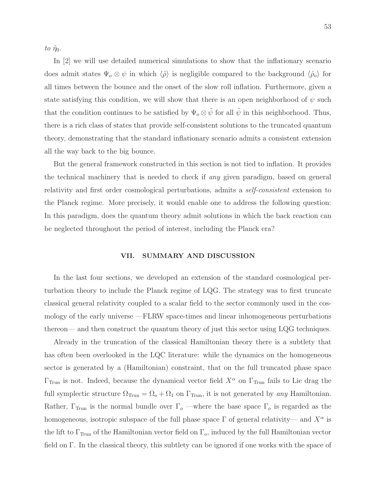to  $\tilde{\eta}_0$ .

In [2] we will use detailed numerical simulations to show that the inflationary scenario does admit states  $\Psi_o \otimes \psi$  in which  $\langle \hat{\rho} \rangle$  is negligible compared to the background  $\langle \hat{\rho}_o \rangle$  for all times between the bounce and the onset of the slow roll inflation. Furthermore, given a state satisfying this condition, we will show that there is an open neighborhood of  $\psi$  such that the condition continues to be satisfied by  $\Psi_o \otimes \tilde{\psi}$  for all  $\tilde{\psi}$  in this neighborhood. Thus, there is a rich class of states that provide self-consistent solutions to the truncated quantum theory, demonstrating that the standard inflationary scenario admits a consistent extension all the way back to the big bounce.

But the general framework constructed in this section is not tied to inflation. It provides the technical machinery that is needed to check if any given paradigm, based on general relativity and first order cosmological perturbations, admits a self-consistent extension to the Planck regime. More precisely, it would enable one to address the following question: In this paradigm, does the quantum theory admit solutions in which the back reaction can be neglected throughout the period of interest, including the Planck era?

# VII. SUMMARY AND DISCUSSION

In the last four sections, we developed an extension of the standard cosmological perturbation theory to include the Planck regime of LQG. The strategy was to first truncate classical general relativity coupled to a scalar field to the sector commonly used in the cosmology of the early universe —FLRW space-times and linear inhomogeneous perturbations thereon— and then construct the quantum theory of just this sector using LQG techniques.

Already in the truncation of the classical Hamiltonian theory there is a subtlety that has often been overlooked in the LQC literature: while the dynamics on the homogeneous sector is generated by a (Hamiltonian) constraint, that on the full truncated phase space  $\Gamma_{\text{Trun}}$  is not. Indeed, because the dynamical vector field  $X^{\alpha}$  on  $\Gamma_{\text{Trun}}$  fails to Lie drag the full symplectic structure  $\Omega_{\text{Trun}} = \Omega_o + \Omega_1$  on  $\Gamma_{\text{Trun}}$ , it is not generated by any Hamiltonian. Rather,  $\Gamma_{\text{Trun}}$  is the normal bundle over  $\Gamma_o$  —where the base space  $\Gamma_o$  is regarded as the homogeneous, isotropic subspace of the full phase space  $\Gamma$  of general relativity— and  $X^{\alpha}$  is the lift to  $\Gamma_{\text{Trun}}$  of the Hamiltonian vector field on  $\Gamma_o$ , induced by the full Hamiltonian vector field on Γ. In the classical theory, this subtlety can be ignored if one works with the space of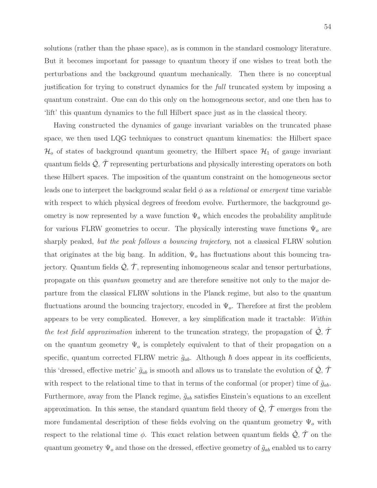solutions (rather than the phase space), as is common in the standard cosmology literature. But it becomes important for passage to quantum theory if one wishes to treat both the perturbations and the background quantum mechanically. Then there is no conceptual justification for trying to construct dynamics for the full truncated system by imposing a quantum constraint. One can do this only on the homogeneous sector, and one then has to 'lift' this quantum dynamics to the full Hilbert space just as in the classical theory.

Having constructed the dynamics of gauge invariant variables on the truncated phase space, we then used LQG techniques to construct quantum kinematics: the Hilbert space  $\mathcal{H}_o$  of states of background quantum geometry, the Hilbert space  $\mathcal{H}_1$  of gauge invariant quantum fields  $\hat{Q}$ ,  $\hat{\mathcal{T}}$  representing perturbations and physically interesting operators on both these Hilbert spaces. The imposition of the quantum constraint on the homogeneous sector leads one to interpret the background scalar field  $\phi$  as a *relational* or *emergent* time variable with respect to which physical degrees of freedom evolve. Furthermore, the background geometry is now represented by a wave function  $\Psi_o$  which encodes the probability amplitude for various FLRW geometries to occur. The physically interesting wave functions  $\Psi_o$  are sharply peaked, but the peak follows a bouncing trajectory, not a classical FLRW solution that originates at the big bang. In addition,  $\Psi_o$  has fluctuations about this bouncing trajectory. Quantum fields  $Q, T$ , representing inhomogeneous scalar and tensor perturbations, propagate on this quantum geometry and are therefore sensitive not only to the major departure from the classical FLRW solutions in the Planck regime, but also to the quantum fluctuations around the bouncing trajectory, encoded in  $\Psi_o$ . Therefore at first the problem appears to be very complicated. However, a key simplification made it tractable: Within the test field approximation inherent to the truncation strategy, the propagation of  $\hat{Q}, \hat{\mathcal{T}}$ on the quantum geometry  $\Psi_o$  is completely equivalent to that of their propagation on a specific, quantum corrected FLRW metric  $\tilde{g}_{ab}$ . Although  $\hbar$  does appear in its coefficients, this 'dressed, effective metric'  $\tilde{g}_{ab}$  is smooth and allows us to translate the evolution of  $\hat{Q}$ ,  $\hat{\mathcal{T}}$ with respect to the relational time to that in terms of the conformal (or proper) time of  $\tilde{g}_{ab}$ . Furthermore, away from the Planck regime,  $\tilde{g}_{ab}$  satisfies Einstein's equations to an excellent approximation. In this sense, the standard quantum field theory of  $\hat{Q}$ ,  $\hat{\mathcal{T}}$  emerges from the more fundamental description of these fields evolving on the quantum geometry  $\Psi_o$  with respect to the relational time  $\phi$ . This exact relation between quantum fields  $\hat{Q}$ ,  $\hat{\mathcal{T}}$  on the quantum geometry  $\Psi_o$  and those on the dressed, effective geometry of  $\tilde{g}_{ab}$  enabled us to carry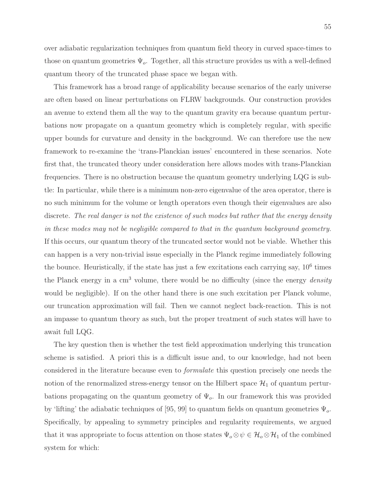over adiabatic regularization techniques from quantum field theory in curved space-times to those on quantum geometries  $\Psi_o$ . Together, all this structure provides us with a well-defined quantum theory of the truncated phase space we began with.

This framework has a broad range of applicability because scenarios of the early universe are often based on linear perturbations on FLRW backgrounds. Our construction provides an avenue to extend them all the way to the quantum gravity era because quantum perturbations now propagate on a quantum geometry which is completely regular, with specific upper bounds for curvature and density in the background. We can therefore use the new framework to re-examine the 'trans-Planckian issues' encountered in these scenarios. Note first that, the truncated theory under consideration here allows modes with trans-Planckian frequencies. There is no obstruction because the quantum geometry underlying LQG is subtle: In particular, while there is a minimum non-zero eigenvalue of the area operator, there is no such minimum for the volume or length operators even though their eigenvalues are also discrete. The real danger is not the existence of such modes but rather that the energy density in these modes may not be negligible compared to that in the quantum background geometry. If this occurs, our quantum theory of the truncated sector would not be viable. Whether this can happen is a very non-trivial issue especially in the Planck regime immediately following the bounce. Heuristically, if the state has just a few excitations each carrying say,  $10^6$  times the Planck energy in a  $\text{cm}^3$  volume, there would be no difficulty (since the energy *density* would be negligible). If on the other hand there is one such excitation per Planck volume, our truncation approximation will fail. Then we cannot neglect back-reaction. This is not an impasse to quantum theory as such, but the proper treatment of such states will have to await full LQG.

The key question then is whether the test field approximation underlying this truncation scheme is satisfied. A priori this is a difficult issue and, to our knowledge, had not been considered in the literature because even to formulate this question precisely one needs the notion of the renormalized stress-energy tensor on the Hilbert space  $\mathcal{H}_1$  of quantum perturbations propagating on the quantum geometry of  $\Psi_o$ . In our framework this was provided by 'lifting' the adiabatic techniques of [95, 99] to quantum fields on quantum geometries  $\Psi_o$ . Specifically, by appealing to symmetry principles and regularity requirements, we argued that it was appropriate to focus attention on those states  $\Psi_o \otimes \psi \in \mathcal{H}_o \otimes \mathcal{H}_1$  of the combined system for which: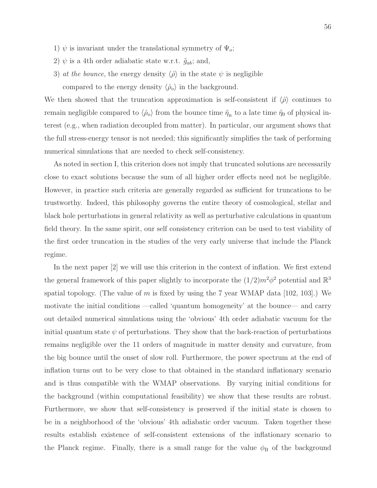- 1)  $\psi$  is invariant under the translational symmetry of  $\Psi_o$ ;
- 2)  $\psi$  is a 4th order adiabatic state w.r.t.  $\tilde{g}_{ab}$ ; and,
- 3) at the bounce, the energy density  $\langle \hat{\rho} \rangle$  in the state  $\psi$  is negligible compared to the energy density  $\langle \hat{\rho}_o \rangle$  in the background.

We then showed that the truncation approximation is self-consistent if  $\langle \hat{\rho} \rangle$  continues to remain negligible compared to  $\langle \hat{\rho}_o \rangle$  from the bounce time  $\tilde{\eta}_B$  to a late time  $\tilde{\eta}_0$  of physical interest (e.g., when radiation decoupled from matter). In particular, our argument shows that the full stress-energy tensor is not needed; this significantly simplifies the task of performing numerical simulations that are needed to check self-consistency.

As noted in section I, this criterion does not imply that truncated solutions are necessarily close to exact solutions because the sum of all higher order effects need not be negligible. However, in practice such criteria are generally regarded as sufficient for truncations to be trustworthy. Indeed, this philosophy governs the entire theory of cosmological, stellar and black hole perturbations in general relativity as well as perturbative calculations in quantum field theory. In the same spirit, our self consistency criterion can be used to test viability of the first order truncation in the studies of the very early universe that include the Planck regime.

In the next paper [2] we will use this criterion in the context of inflation. We first extend the general framework of this paper slightly to incorporate the  $(1/2)m^2\phi^2$  potential and  $\mathbb{R}^3$ spatial topology. (The value of m is fixed by using the 7 year WMAP data [102, 103].) We motivate the initial conditions —called 'quantum homogeneity' at the bounce— and carry out detailed numerical simulations using the 'obvious' 4th order adiabatic vacuum for the initial quantum state  $\psi$  of perturbations. They show that the back-reaction of perturbations remains negligible over the 11 orders of magnitude in matter density and curvature, from the big bounce until the onset of slow roll. Furthermore, the power spectrum at the end of inflation turns out to be very close to that obtained in the standard inflationary scenario and is thus compatible with the WMAP observations. By varying initial conditions for the background (within computational feasibility) we show that these results are robust. Furthermore, we show that self-consistency is preserved if the initial state is chosen to be in a neighborhood of the 'obvious' 4th adiabatic order vacuum. Taken together these results establish existence of self-consistent extensions of the inflationary scenario to the Planck regime. Finally, there is a small range for the value  $\phi_B$  of the background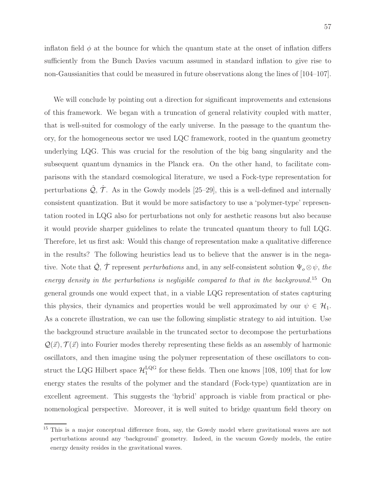inflaton field  $\phi$  at the bounce for which the quantum state at the onset of inflation differs sufficiently from the Bunch Davies vacuum assumed in standard inflation to give rise to non-Gaussianities that could be measured in future observations along the lines of [104–107].

We will conclude by pointing out a direction for significant improvements and extensions of this framework. We began with a truncation of general relativity coupled with matter, that is well-suited for cosmology of the early universe. In the passage to the quantum theory, for the homogeneous sector we used LQC framework, rooted in the quantum geometry underlying LQG. This was crucial for the resolution of the big bang singularity and the subsequent quantum dynamics in the Planck era. On the other hand, to facilitate comparisons with the standard cosmological literature, we used a Fock-type representation for perturbations  $\hat{Q}$ ,  $\hat{\mathcal{T}}$ . As in the Gowdy models [25–29], this is a well-defined and internally consistent quantization. But it would be more satisfactory to use a 'polymer-type' representation rooted in LQG also for perturbations not only for aesthetic reasons but also because it would provide sharper guidelines to relate the truncated quantum theory to full LQG. Therefore, let us first ask: Would this change of representation make a qualitative difference in the results? The following heuristics lead us to believe that the answer is in the negative. Note that  $\hat{Q}, \hat{\mathcal{T}}$  represent perturbations and, in any self-consistent solution  $\Psi_o \otimes \psi$ , the energy density in the perturbations is negligible compared to that in the background.<sup>15</sup> On general grounds one would expect that, in a viable LQG representation of states capturing this physics, their dynamics and properties would be well approximated by our  $\psi \in \mathcal{H}_1$ . As a concrete illustration, we can use the following simplistic strategy to aid intuition. Use the background structure available in the truncated sector to decompose the perturbations  $\mathcal{Q}(\vec{x}), \mathcal{T}(\vec{x})$  into Fourier modes thereby representing these fields as an assembly of harmonic oscillators, and then imagine using the polymer representation of these oscillators to construct the LQG Hilbert space  $\mathcal{H}_1^{\text{LQG}}$  $_1^{\text{LQG}}$  for these fields. Then one knows [108, 109] that for low energy states the results of the polymer and the standard (Fock-type) quantization are in excellent agreement. This suggests the 'hybrid' approach is viable from practical or phenomenological perspective. Moreover, it is well suited to bridge quantum field theory on

<sup>&</sup>lt;sup>15</sup> This is a major conceptual difference from, say, the Gowdy model where gravitational waves are not perturbations around any 'background' geometry. Indeed, in the vacuum Gowdy models, the entire energy density resides in the gravitational waves.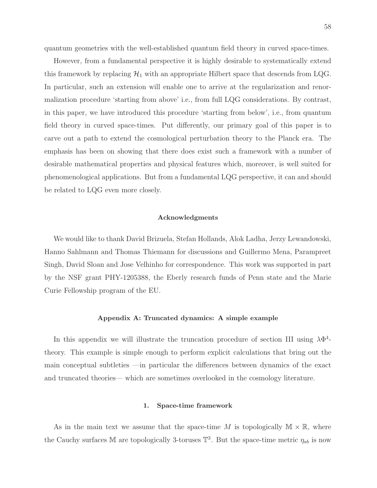quantum geometries with the well-established quantum field theory in curved space-times.

However, from a fundamental perspective it is highly desirable to systematically extend this framework by replacing  $\mathcal{H}_1$  with an appropriate Hilbert space that descends from LQG. In particular, such an extension will enable one to arrive at the regularization and renormalization procedure 'starting from above' i.e., from full LQG considerations. By contrast, in this paper, we have introduced this procedure 'starting from below', i.e., from quantum field theory in curved space-times. Put differently, our primary goal of this paper is to carve out a path to extend the cosmological perturbation theory to the Planck era. The emphasis has been on showing that there does exist such a framework with a number of desirable mathematical properties and physical features which, moreover, is well suited for phenomenological applications. But from a fundamental LQG perspective, it can and should be related to LQG even more closely.

#### Acknowledgments

We would like to thank David Brizuela, Stefan Hollands, Alok Ladha, Jerzy Lewandowski, Hanno Sahlmann and Thomas Thiemann for discussions and Guillermo Mena, Parampreet Singh, David Sloan and Jose Velhinho for correspondence. This work was supported in part by the NSF grant PHY-1205388, the Eberly research funds of Penn state and the Marie Curie Fellowship program of the EU.

#### Appendix A: Truncated dynamics: A simple example

In this appendix we will illustrate the truncation procedure of section III using  $\lambda \Phi^4$ theory. This example is simple enough to perform explicit calculations that bring out the main conceptual subtleties —in particular the differences between dynamics of the exact and truncated theories— which are sometimes overlooked in the cosmology literature.

### 1. Space-time framework

As in the main text we assume that the space-time M is topologically  $\mathbb{M} \times \mathbb{R}$ , where the Cauchy surfaces M are topologically 3-toruses  $\mathbb{T}^3$ . But the space-time metric  $\eta_{ab}$  is now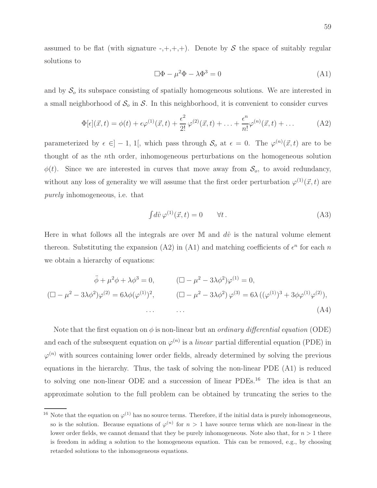assumed to be flat (with signature  $-,+,+,+)$ . Denote by  $S$  the space of suitably regular solutions to

$$
\Box \Phi - \mu^2 \Phi - \lambda \Phi^3 = 0 \tag{A1}
$$

and by  $S<sub>o</sub>$  its subspace consisting of spatially homogeneous solutions. We are interested in a small neighborhood of  $S<sub>o</sub>$  in S. In this neighborhood, it is convenient to consider curves

$$
\Phi[\epsilon](\vec{x},t) = \phi(t) + \epsilon \varphi^{(1)}(\vec{x},t) + \frac{\epsilon^2}{2!} \varphi^{(2)}(\vec{x},t) + \ldots + \frac{\epsilon^n}{n!} \varphi^{(n)}(\vec{x},t) + \ldots
$$
 (A2)

parameterized by  $\epsilon \in ]-1, 1[$ , which pass through  $S_o$  at  $\epsilon = 0$ . The  $\varphi^{(n)}(\vec{x}, t)$  are to be thought of as the nth order, inhomogeneous perturbations on the homogeneous solution  $\phi(t)$ . Since we are interested in curves that move away from  $\mathcal{S}_o$ , to avoid redundancy, without any loss of generality we will assume that the first order perturbation  $\varphi^{(1)}(\vec{x}, t)$  are purely inhomogeneous, i.e. that

$$
\int d\mathring{v} \,\varphi^{(1)}(\vec{x},t) = 0 \qquad \forall t \,.
$$
 (A3)

Here in what follows all the integrals are over M and  $d\mathring{v}$  is the natural volume element thereon. Substituting the expansion (A2) in (A1) and matching coefficients of  $\epsilon^n$  for each n we obtain a hierarchy of equations:

$$
\ddot{\phi} + \mu^2 \phi + \lambda \phi^3 = 0, \qquad (\Box - \mu^2 - 3\lambda \phi^2) \varphi^{(1)} = 0,
$$
  

$$
(\Box - \mu^2 - 3\lambda \phi^2) \varphi^{(2)} = 6\lambda \phi (\varphi^{(1)})^2, \qquad (\Box - \mu^2 - 3\lambda \phi^2) \varphi^{(3)} = 6\lambda \left( (\varphi^{(1)})^3 + 3\phi \varphi^{(1)} \varphi^{(2)} \right),
$$
  
... \qquad \dots \qquad (A4)

Note that the first equation on  $\phi$  is non-linear but an *ordinary differential equation* (ODE) and each of the subsequent equation on  $\varphi^{(n)}$  is a *linear* partial differential equation (PDE) in  $\varphi^{(n)}$  with sources containing lower order fields, already determined by solving the previous equations in the hierarchy. Thus, the task of solving the non-linear PDE (A1) is reduced to solving one non-linear ODE and a succession of linear PDEs. $^{16}$  The idea is that an approximate solution to the full problem can be obtained by truncating the series to the

<sup>&</sup>lt;sup>16</sup> Note that the equation on  $\varphi^{(1)}$  has no source terms. Therefore, if the initial data is purely inhomogeneous, so is the solution. Because equations of  $\varphi^{(n)}$  for  $n > 1$  have source terms which are non-linear in the lower order fields, we cannot demand that they be purely inhomogeneous. Note also that, for  $n > 1$  there is freedom in adding a solution to the homogeneous equation. This can be removed, e.g., by choosing retarded solutions to the inhomogeneous equations.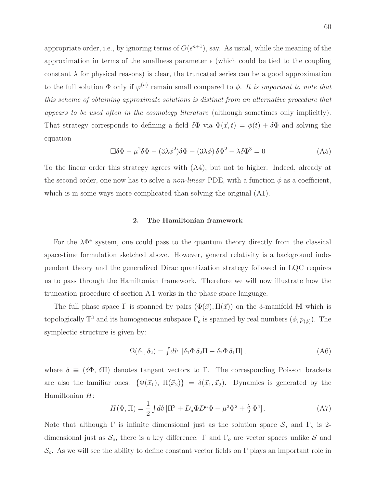appropriate order, i.e., by ignoring terms of  $O(\epsilon^{n+1})$ , say. As usual, while the meaning of the approximation in terms of the smallness parameter  $\epsilon$  (which could be tied to the coupling constant  $\lambda$  for physical reasons) is clear, the truncated series can be a good approximation to the full solution  $\Phi$  only if  $\varphi^{(n)}$  remain small compared to  $\phi$ . It is important to note that this scheme of obtaining approximate solutions is distinct from an alternative procedure that appears to be used often in the cosmology literature (although sometimes only implicitly). That strategy corresponds to defining a field  $\delta\Phi$  via  $\Phi(\vec{x}, t) = \phi(t) + \delta\Phi$  and solving the equation

$$
\Box \delta \Phi - \mu^2 \delta \Phi - (3\lambda \phi^2) \delta \Phi - (3\lambda \phi) \delta \Phi^2 - \lambda \delta \Phi^3 = 0
$$
 (A5)

To the linear order this strategy agrees with (A4), but not to higher. Indeed, already at the second order, one now has to solve a *non-linear* PDE, with a function  $\phi$  as a coefficient, which is in some ways more complicated than solving the original  $(A1)$ .

# 2. The Hamiltonian framework

For the  $\lambda \Phi^4$  system, one could pass to the quantum theory directly from the classical space-time formulation sketched above. However, general relativity is a background independent theory and the generalized Dirac quantization strategy followed in LQC requires us to pass through the Hamiltonian framework. Therefore we will now illustrate how the truncation procedure of section A 1 works in the phase space language.

The full phase space  $\Gamma$  is spanned by pairs  $(\Phi(\vec{x}), \Pi(\vec{x}))$  on the 3-manifold M which is topologically  $\mathbb{T}^3$  and its homogeneous subspace  $\Gamma_o$  is spanned by real numbers  $(\phi, p_{(\phi)})$ . The symplectic structure is given by:

$$
\Omega(\delta_1, \delta_2) = \int d\mathring{v} \, [\delta_1 \Phi \, \delta_2 \Pi - \delta_2 \Phi \, \delta_1 \Pi], \tag{A6}
$$

where  $\delta \equiv (\delta \Phi, \delta \Pi)$  denotes tangent vectors to Γ. The corresponding Poisson brackets are also the familiar ones:  $\{\Phi(\vec{x}_1), \Pi(\vec{x}_2)\} = \delta(\vec{x}_1, \vec{x}_2)$ . Dynamics is generated by the Hamiltonian H:

$$
H(\Phi,\Pi) = \frac{1}{2} \int d\mathring{v} \left[\Pi^2 + D_a \Phi D^a \Phi + \mu^2 \Phi^2 + \frac{\lambda}{2} \Phi^4\right].
$$
 (A7)

Note that although  $\Gamma$  is infinite dimensional just as the solution space  $\mathcal{S}$ , and  $\Gamma_o$  is 2dimensional just as  $S_o$ , there is a key difference: Γ and Γ<sub>o</sub> are vector spaces unlike S and  $\mathcal{S}_{o}$ . As we will see the ability to define constant vector fields on  $\Gamma$  plays an important role in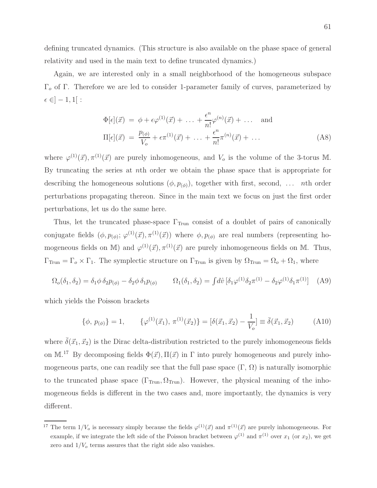defining truncated dynamics. (This structure is also available on the phase space of general relativity and used in the main text to define truncated dynamics.)

Again, we are interested only in a small neighborhood of the homogeneous subspace  $Γ<sub>o</sub>$  of Γ. Therefore we are led to consider 1-parameter family of curves, parameterized by  $\epsilon \in ]-1,1[$ :

$$
\Phi[\epsilon](\vec{x}) = \phi + \epsilon \varphi^{(1)}(\vec{x}) + \dots + \frac{\epsilon^n}{n!} \varphi^{(n)}(\vec{x}) + \dots \text{ and}
$$
  
\n
$$
\Pi[\epsilon](\vec{x}) = \frac{p_{(\phi)}}{V_o} + \epsilon \pi^{(1)}(\vec{x}) + \dots + \frac{\epsilon^n}{n!} \pi^{(n)}(\vec{x}) + \dots
$$
\n(A8)

where  $\varphi^{(1)}(\vec{x}), \pi^{(1)}(\vec{x})$  are purely inhomogeneous, and  $V_o$  is the volume of the 3-torus M. By truncating the series at nth order we obtain the phase space that is appropriate for describing the homogeneous solutions  $(\phi, p_{(\phi)})$ , together with first, second, ... *n*th order perturbations propagating thereon. Since in the main text we focus on just the first order perturbations, let us do the same here.

Thus, let the truncated phase-space  $\Gamma_{\text{Trun}}$  consist of a doublet of pairs of canonically conjugate fields  $(\phi, p_{(\phi)}; \varphi^{(1)}(\vec{x}), \pi^{(1)}(\vec{x}))$  where  $\phi, p_{(\phi)}$  are real numbers (representing homogeneous fields on M) and  $\varphi^{(1)}(\vec{x}), \pi^{(1)}(\vec{x})$  are purely inhomogeneous fields on M. Thus,  $\Gamma_{\text{Trun}} = \Gamma_o \times \Gamma_1$ . The symplectic structure on  $\Gamma_{\text{Trun}}$  is given by  $\Omega_{\text{Trun}} = \Omega_o + \Omega_1$ , where

$$
\Omega_o(\delta_1, \delta_2) = \delta_1 \phi \, \delta_2 p_{(\phi)} - \delta_2 \phi \, \delta_1 p_{(\phi)} \qquad \Omega_1(\delta_1, \delta_2) = \int d\mathring{v} \, [\delta_1 \varphi^{(1)} \delta_2 \pi^{(1)} - \delta_2 \varphi^{(1)} \delta_1 \pi^{(1)}] \tag{A9}
$$

which yields the Poisson brackets

$$
\{\phi, p_{(\phi)}\} = 1, \qquad \{\varphi^{(1)}(\vec{x}_1), \pi^{(1)}(\vec{x}_2)\} = [\delta(\vec{x}_1, \vec{x}_2) - \frac{1}{V_o}] \equiv \bar{\delta}(\vec{x}_1, \vec{x}_2) \tag{A10}
$$

where  $\delta(\vec{x}_1, \vec{x}_2)$  is the Dirac delta-distribution restricted to the purely inhomogeneous fields on M.<sup>17</sup> By decomposing fields  $\Phi(\vec{x}), \Pi(\vec{x})$  in  $\Gamma$  into purely homogeneous and purely inhomogeneous parts, one can readily see that the full pase space  $(\Gamma, \Omega)$  is naturally isomorphic to the truncated phase space  $(\Gamma_{\text{Trun}}, \Omega_{\text{Trun}})$ . However, the physical meaning of the inhomogeneous fields is different in the two cases and, more importantly, the dynamics is very different.

<sup>&</sup>lt;sup>17</sup> The term  $1/V_o$  is necessary simply because the fields  $\varphi^{(1)}(\vec{x})$  and  $\pi^{(1)}(\vec{x})$  are purely inhomogeneous. For example, if we integrate the left side of the Poisson bracket between  $\varphi^{(1)}$  and  $\pi^{(1)}$  over  $x_1$  (or  $x_2$ ), we get zero and  $1/V_0$  terms assures that the right side also vanishes.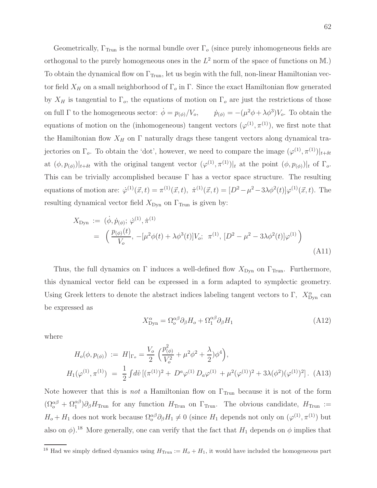Geometrically,  $\Gamma_{\text{Trun}}$  is the normal bundle over  $\Gamma_o$  (since purely inhomogeneous fields are orthogonal to the purely homogeneous ones in the  $L^2$  norm of the space of functions on M.) To obtain the dynamical flow on  $\Gamma_{\text{Trun}}$ , let us begin with the full, non-linear Hamiltonian vector field  $X_H$  on a small neighborhood of  $\Gamma_o$  in  $\Gamma$ . Since the exact Hamiltonian flow generated by  $X_H$  is tangential to  $\Gamma_o$ , the equations of motion on  $\Gamma_o$  are just the restrictions of those on full  $\Gamma$  to the homogeneous sector:  $\dot{\phi} = p_{(\phi)}/V_o$ ,  $^{2}\phi + \lambda \phi^{3}$ ) $V_o$ . To obtain the equations of motion on the (inhomogeneous) tangent vectors  $(\varphi^{(1)}, \pi^{(1)})$ , we first note that the Hamiltonian flow  $X_H$  on  $\Gamma$  naturally drags these tangent vectors along dynamical trajectories on  $\Gamma_o$ . To obtain the 'dot', however, we need to compare the image  $(\varphi^{(1)}, \pi^{(1)})|_{t+\delta t}$ at  $(\phi, p_{(\phi)})|_{t+\delta t}$  with the original tangent vector  $(\varphi^{(1)}, \pi^{(1)})|_{t}$  at the point  $(\phi, p_{(\phi)})|_{t}$  of  $\Gamma_o$ . This can be trivially accomplished because Γ has a vector space structure. The resulting equations of motion are:  $\dot{\varphi}^{(1)}(\vec{x}, t) = \pi^{(1)}(\vec{x}, t)$ ,  $\dot{\pi}^{(1)}(\vec{x}, t) = [D^2 - \mu^2 - 3\lambda \phi^2(t)] \varphi^{(1)}(\vec{x}, t)$ . The resulting dynamical vector field  $X_{\text{Dyn}}$  on  $\Gamma_{\text{Trun}}$  is given by:

$$
X_{\text{Dyn}} := (\dot{\phi}, \dot{p}_{(\phi)}; \dot{\varphi}^{(1)}, \dot{\pi}^{(1)} = \left(\frac{p_{(\phi)}(t)}{V_o}, -[\mu^2 \phi(t) + \lambda \phi^3(t)]V_o; \ \pi^{(1)}, [D^2 - \mu^2 - 3\lambda \phi^2(t)]\varphi^{(1)}\right)
$$
(A11)

Thus, the full dynamics on  $\Gamma$  induces a well-defined flow  $X_{\text{Dyn}}$  on  $\Gamma_{\text{Trun}}$ . Furthermore, this dynamical vector field can be expressed in a form adapted to symplectic geometry. Using Greek letters to denote the abstract indices labeling tangent vectors to  $\Gamma$ ,  $X_{\text{Dyn}}^{\alpha}$  can be expressed as

$$
X^{\alpha}_{\text{Dyn}} = \Omega^{\alpha\beta}_{o} \partial_{\beta} H_{o} + \Omega^{\alpha\beta}_{1} \partial_{\beta} H_{1} \tag{A12}
$$

where

$$
H_o(\phi, p_{(\phi)}) := H|_{\Gamma_o} = \frac{V_o}{2} \left( \frac{p_{(\phi)}^2}{V_o^2} + \mu^2 \phi^2 + \frac{\lambda}{2} \right) \phi^4 \right),
$$
  

$$
H_1(\varphi^{(1)}, \pi^{(1)}) = \frac{1}{2} \int d\mathring{v} \left[ (\pi^{(1)})^2 + D^a \varphi^{(1)} D_a \varphi^{(1)} + \mu^2 (\varphi^{(1)})^2 + 3\lambda (\phi^2) (\varphi^{(1)})^2 \right].
$$
 (A13)

Note however that this is *not* a Hamiltonian flow on  $\Gamma_{\text{Trun}}$  because it is not of the form  $(\Omega_o^{\alpha\beta} + \Omega_1^{\alpha\beta})\partial_\beta H_{\text{Trun}}$  for any function  $H_{\text{Trun}}$  on  $\Gamma_{\text{Trun}}$ . The obvious candidate,  $H_{\text{Trun}}$  :=  $H_o + H_1$  does not work because  $\Omega_o^{\alpha\beta}\partial_\beta H_1 \neq 0$  (since  $H_1$  depends not only on  $(\varphi^{(1)}, \pi^{(1)})$  but also on  $\phi$ ).<sup>18</sup> More generally, one can verify that the fact that  $H_1$  depends on  $\phi$  implies that

<sup>&</sup>lt;sup>18</sup> Had we simply defined dynamics using  $H_{\text{Trun}} := H_o + H_1$ , it would have included the homogeneous part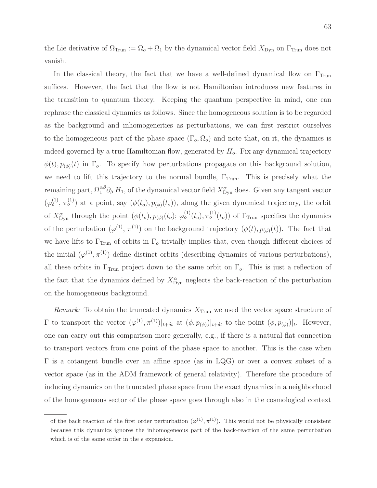the Lie derivative of  $\Omega_{\text{Trun}} := \Omega_o + \Omega_1$  by the dynamical vector field  $X_{\text{Dyn}}$  on  $\Gamma_{\text{Trun}}$  does not vanish.

In the classical theory, the fact that we have a well-defined dynamical flow on  $\Gamma_{\text{Trun}}$ suffices. However, the fact that the flow is not Hamiltonian introduces new features in the transition to quantum theory. Keeping the quantum perspective in mind, one can rephrase the classical dynamics as follows. Since the homogeneous solution is to be regarded as the background and inhomogeneities as perturbations, we can first restrict ourselves to the homogeneous part of the phase space  $(\Gamma_o, \Omega_o)$  and note that, on it, the dynamics is indeed governed by a true Hamiltonian flow, generated by  $H<sub>o</sub>$ . Fix any dynamical trajectory  $\phi(t), p_{(\phi)}(t)$  in  $\Gamma_o$ . To specify how perturbations propagate on this background solution, we need to lift this trajectory to the normal bundle,  $\Gamma_{\text{Trun}}$ . This is precisely what the remaining part,  $\Omega_1^{\alpha\beta}\partial_\beta H_1$ , of the dynamical vector field  $X^{\alpha}_{\text{Dyn}}$  does. Given any tangent vector  $(\varphi_o^{(1)}, \pi_o^{(1)})$  at a point, say  $(\phi(t_o), p_{(\phi)}(t_o))$ , along the given dynamical trajectory, the orbit of  $X_{\text{Dyn}}^{\alpha}$  through the point  $(\phi(t_o), p_{(\phi)}(t_o); \varphi_o^{(1)}(t_o), \pi_o^{(1)}(t_o))$  of  $\Gamma_{\text{Trun}}$  specifies the dynamics of the perturbation  $(\varphi^{(1)}, \pi^{(1)})$  on the background trajectory  $(\phi(t), p_{(\phi)}(t))$ . The fact that we have lifts to  $\Gamma_{\text{Trun}}$  of orbits in  $\Gamma_o$  trivially implies that, even though different choices of the initial  $(\varphi^{(1)}, \pi^{(1)})$  define distinct orbits (describing dynamics of various perturbations), all these orbits in  $\Gamma_{\text{Trun}}$  project down to the same orbit on  $\Gamma_o$ . This is just a reflection of the fact that the dynamics defined by  $X^{\alpha}_{\text{Dyn}}$  neglects the back-reaction of the perturbation on the homogeneous background.

*Remark:* To obtain the truncated dynamics  $X_{\text{Trun}}$  we used the vector space structure of Γ to transport the vector  $(\varphi^{(1)}, \pi^{(1)})|_{t+\delta t}$  at  $(\phi, p_{(\phi)})|_{t+\delta t}$  to the point  $(\phi, p_{(\phi)})|_{t}$ . However, one can carry out this comparison more generally, e.g., if there is a natural flat connection to transport vectors from one point of the phase space to another. This is the case when Γ is a cotangent bundle over an affine space (as in LQG) or over a convex subset of a vector space (as in the ADM framework of general relativity). Therefore the procedure of inducing dynamics on the truncated phase space from the exact dynamics in a neighborhood of the homogeneous sector of the phase space goes through also in the cosmological context

of the back reaction of the first order perturbation  $(\varphi^{(1)}, \pi^{(1)})$ . This would not be physically consistent because this dynamics ignores the inhomogeneous part of the back-reaction of the same perturbation which is of the same order in the  $\epsilon$  expansion.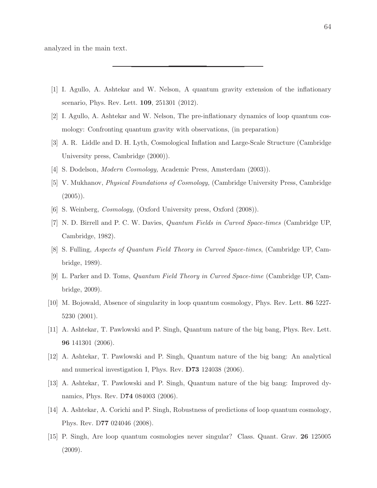analyzed in the main text.

- [1] I. Agullo, A. Ashtekar and W. Nelson, A quantum gravity extension of the inflationary scenario, Phys. Rev. Lett. 109, 251301 (2012).
- [2] I. Agullo, A. Ashtekar and W. Nelson, The pre-inflationary dynamics of loop quantum cosmology: Confronting quantum gravity with observations, (in preparation)
- [3] A. R. Liddle and D. H. Lyth, Cosmological Inflation and Large-Scale Structure (Cambridge University press, Cambridge (2000)).
- [4] S. Dodelson, *Modern Cosmology,* Academic Press, Amsterdam (2003)).
- [5] V. Mukhanov, *Physical Foundations of Cosmology,* (Cambridge University Press, Cambridge  $(2005)$ .
- [6] S. Weinberg, *Cosmology,* (Oxford University press, Oxford (2008)).
- [7] N. D. Birrell and P. C. W. Davies, *Quantum Fields in Curved Space-times* (Cambridge UP, Cambridge, 1982).
- [8] S. Fulling, *Aspects of Quantum Field Theory in Curved Space-times*, (Cambridge UP, Cambridge, 1989).
- [9] L. Parker and D. Toms, *Quantum Field Theory in Curved Space-time* (Cambridge UP, Cambridge, 2009).
- [10] M. Bojowald, Absence of singularity in loop quantum cosmology, Phys. Rev. Lett. 86 5227- 5230 (2001).
- [11] A. Ashtekar, T. Pawlowski and P. Singh, Quantum nature of the big bang, Phys. Rev. Lett. 96 141301 (2006).
- [12] A. Ashtekar, T. Pawlowski and P. Singh, Quantum nature of the big bang: An analytical and numerical investigation I, Phys. Rev. D73 124038 (2006).
- [13] A. Ashtekar, T. Pawlowski and P. Singh, Quantum nature of the big bang: Improved dynamics, Phys. Rev. D74 084003 (2006).
- [14] A. Ashtekar, A. Corichi and P. Singh, Robustness of predictions of loop quantum cosmology, Phys. Rev. D77 024046 (2008).
- [15] P. Singh, Are loop quantum cosmologies never singular? Class. Quant. Grav. 26 125005 (2009).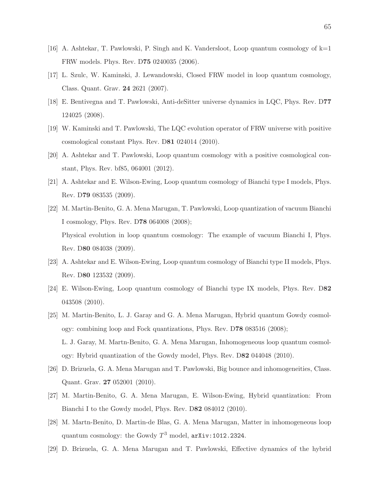- [16] A. Ashtekar, T. Pawlowski, P. Singh and K. Vandersloot, Loop quantum cosmology of  $k=1$ FRW models. Phys. Rev. D75 0240035 (2006).
- [17] L. Szulc, W. Kaminski, J. Lewandowski, Closed FRW model in loop quantum cosmology, Class. Quant. Grav. 24 2621 (2007).
- [18] E. Bentivegna and T. Pawlowski, Anti-deSitter universe dynamics in LQC, Phys. Rev. D77 124025 (2008).
- [19] W. Kaminski and T. Pawlowski, The LQC evolution operator of FRW universe with positive cosmological constant Phys. Rev. D81 024014 (2010).
- [20] A. Ashtekar and T. Pawlowski, Loop quantum cosmology with a positive cosmological constant, Phys. Rev. bf85, 064001 (2012).
- [21] A. Ashtekar and E. Wilson-Ewing, Loop quantum cosmology of Bianchi type I models, Phys. Rev. D79 083535 (2009).
- [22] M. Martin-Benito, G. A. Mena Marugan, T. Pawlowski, Loop quantization of vacuum Bianchi I cosmology, Phys. Rev. D78 064008 (2008); Physical evolution in loop quantum cosmology: The example of vacuum Bianchi I, Phys. Rev. D80 084038 (2009).
- [23] A. Ashtekar and E. Wilson-Ewing, Loop quantum cosmology of Bianchi type II models, Phys. Rev. D80 123532 (2009).
- [24] E. Wilson-Ewing, Loop quantum cosmology of Bianchi type IX models, Phys. Rev. D82 043508 (2010).
- [25] M. Martin-Benito, L. J. Garay and G. A. Mena Marugan, Hybrid quantum Gowdy cosmology: combining loop and Fock quantizations, Phys. Rev. D78 083516 (2008); L. J. Garay, M. Martn-Benito, G. A. Mena Marugan, Inhomogeneous loop quantum cosmology: Hybrid quantization of the Gowdy model, Phys. Rev. D82 044048 (2010).
- [26] D. Brizuela, G. A. Mena Marugan and T. Pawlowski, Big bounce and inhomogeneities, Class. Quant. Grav. 27 052001 (2010).
- [27] M. Martin-Benito, G. A. Mena Marugan, E. Wilson-Ewing, Hybrid quantization: From Bianchi I to the Gowdy model, Phys. Rev. D82 084012 (2010).
- [28] M. Martn-Benito, D. Martin-de Blas, G. A. Mena Marugan, Matter in inhomogeneous loop quantum cosmology: the Gowdy  $T^3$  model,  $arXiv:1012.2324$ .
- [29] D. Brizuela, G. A. Mena Marugan and T. Pawlowski, Effective dynamics of the hybrid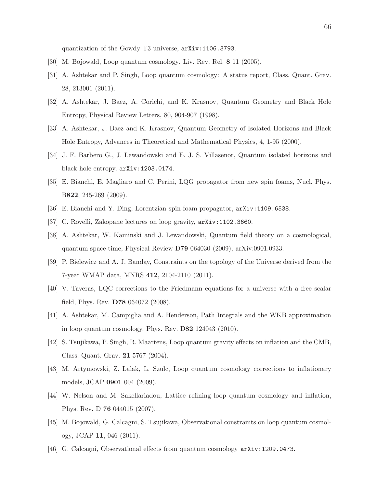quantization of the Gowdy T3 universe, arXiv:1106.3793.

- [30] M. Bojowald, Loop quantum cosmology. Liv. Rev. Rel. 8 11 (2005).
- [31] A. Ashtekar and P. Singh, Loop quantum cosmology: A status report, Class. Quant. Grav. 28, 213001 (2011).
- [32] A. Ashtekar, J. Baez, A. Corichi, and K. Krasnov, Quantum Geometry and Black Hole Entropy, Physical Review Letters, 80, 904-907 (1998).
- [33] A. Ashtekar, J. Baez and K. Krasnov, Quantum Geometry of Isolated Horizons and Black Hole Entropy, Advances in Theoretical and Mathematical Physics, 4, 1-95 (2000).
- [34] J. F. Barbero G., J. Lewandowski and E. J. S. Villasenor, Quantum isolated horizons and black hole entropy, arXiv:1203.0174.
- [35] E. Bianchi, E. Magliaro and C. Perini, LQG propagator from new spin foams, Nucl. Phys. B822, 245-269 (2009).
- [36] E. Bianchi and Y. Ding, Lorentzian spin-foam propagator, arXiv:1109.6538.
- [37] C. Rovelli, Zakopane lectures on loop gravity, arXiv:1102.3660.
- [38] A. Ashtekar, W. Kaminski and J. Lewandowski, Quantum field theory on a cosmological, quantum space-time, Physical Review D79 064030 (2009), arXiv:0901.0933.
- [39] P. Bielewicz and A. J. Banday, Constraints on the topology of the Universe derived from the 7-year WMAP data, MNRS 412, 2104-2110 (2011).
- [40] V. Taveras, LQC corrections to the Friedmann equations for a universe with a free scalar field, Phys. Rev. D78 064072 (2008).
- [41] A. Ashtekar, M. Campiglia and A. Henderson, Path Integrals and the WKB approximation in loop quantum cosmology, Phys. Rev. D82 124043 (2010).
- [42] S. Tsujikawa, P. Singh, R. Maartens, Loop quantum gravity effects on inflation and the CMB, Class. Quant. Grav. 21 5767 (2004).
- [43] M. Artymowski, Z. Lalak, L. Szulc, Loop quantum cosmology corrections to inflationary models, JCAP 0901 004 (2009).
- [44] W. Nelson and M. Sakellariadou, Lattice refining loop quantum cosmology and inflation, Phys. Rev. D 76 044015 (2007).
- [45] M. Bojowald, G. Calcagni, S. Tsujikawa, Observational constraints on loop quantum cosmology, JCAP 11, 046 (2011).
- [46] G. Calcagni, Observational effects from quantum cosmology arXiv:1209.0473.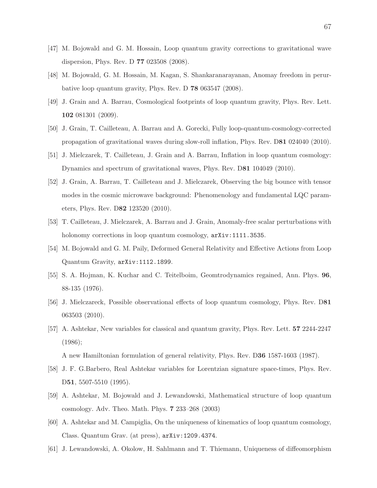- [47] M. Bojowald and G. M. Hossain, Loop quantum gravity corrections to gravitational wave dispersion, Phys. Rev. D 77 023508 (2008).
- [48] M. Bojowald, G. M. Hossain, M. Kagan, S. Shankaranarayanan, Anomay freedom in perurbative loop quantum gravity, Phys. Rev. D 78 063547 (2008).
- [49] J. Grain and A. Barrau, Cosmological footprints of loop quantum gravity, Phys. Rev. Lett. 102 081301 (2009).
- [50] J. Grain, T. Cailleteau, A. Barrau and A. Gorecki, Fully loop-quantum-cosmology-corrected propagation of gravitational waves during slow-roll inflation, Phys. Rev. D81 024040 (2010).
- [51] J. Mielczarek, T. Cailleteau, J. Grain and A. Barrau, Inflation in loop quantum cosmology: Dynamics and spectrum of gravitational waves, Phys. Rev. D81 104049 (2010).
- [52] J. Grain, A. Barrau, T. Cailleteau and J. Mielczarek, Observing the big bounce with tensor modes in the cosmic microwave background: Phenomenology and fundamental LQC parameters, Phys. Rev. D82 123520 (2010).
- [53] T. Cailleteau, J. Mielczarek, A. Barrau and J. Grain, Anomaly-free scalar perturbations with holonomy corrections in loop quantum cosmology,  $arXiv:1111.3535$ .
- [54] M. Bojowald and G. M. Paily, Deformed General Relativity and Effective Actions from Loop Quantum Gravity, arXiv:1112.1899.
- [55] S. A. Hojman, K. Kuchar and C. Teitelboim, Geomtrodynamics regained, Ann. Phys. 96, 88-135 (1976).
- [56] J. Mielczareck, Possible observational effects of loop quantum cosmology, Phys. Rev. D81 063503 (2010).
- [57] A. Ashtekar, New variables for classical and quantum gravity, Phys. Rev. Lett. 57 2244-2247 (1986);

A new Hamiltonian formulation of general relativity, Phys. Rev. D36 1587-1603 (1987).

- [58] J. F. G.Barbero, Real Ashtekar variables for Lorentzian signature space-times, Phys. Rev. D51, 5507-5510 (1995).
- [59] A. Ashtekar, M. Bojowald and J. Lewandowski, Mathematical structure of loop quantum cosmology. Adv. Theo. Math. Phys. 7 233–268 (2003)
- [60] A. Ashtekar and M. Campiglia, On the uniqueness of kinematics of loop quantum cosmology, Class. Quantum Grav. (at press), arXiv:1209.4374.
- [61] J. Lewandowski, A. Okolow, H. Sahlmann and T. Thiemann, Uniqueness of diffeomorphism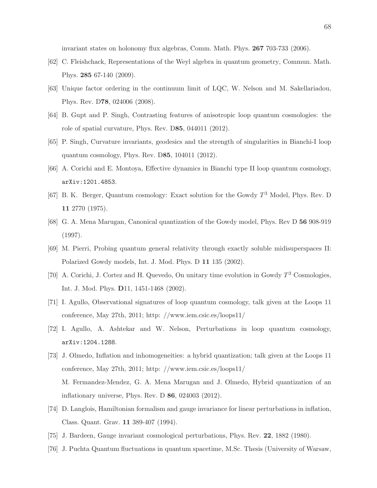invariant states on holonomy flux algebras, Comm. Math. Phys. 267 703-733 (2006).

- [62] C. Fleishchack, Representations of the Weyl algebra in quantum geometry, Commun. Math. Phys. 285 67-140 (2009).
- [63] Unique factor ordering in the continuum limit of LQC, W. Nelson and M. Sakellariadou, Phys. Rev. D78, 024006 (2008).
- [64] B. Gupt and P. Singh, Contrasting features of anisotropic loop quantum cosmologies: the role of spatial curvature, Phys. Rev. D85, 044011 (2012).
- [65] P. Singh, Curvature invariants, geodesics and the strength of singularities in Bianchi-I loop quantum cosmology, Phys. Rev. D85, 104011 (2012).
- [66] A. Corichi and E. Montoya, Effective dynamics in Bianchi type II loop quantum cosmology, arXiv:1201.4853.
- [67] B. K. Berger, Quantum cosmology: Exact solution for the Gowdy  $T^3$  Model, Phys. Rev. D 11 2770 (1975).
- [68] G. A. Mena Marugan, Canonical quantization of the Gowdy model, Phys. Rev D 56 908-919 (1997).
- [69] M. Pierri, Probing quantum general relativity through exactly soluble midisuperspaces II: Polarized Gowdy models, Int. J. Mod. Phys. D 11 135 (2002).
- [70] A. Corichi, J. Cortez and H. Quevedo, On unitary time evolution in Gowdy  $T^3$  Cosmologies, Int. J. Mod. Phys. D11, 1451-1468 (2002).
- [71] I. Agullo, Observational signatures of loop quantum cosmology, talk given at the Loops 11 conference, May 27th, 2011; http: //www.iem.csic.es/loops11/
- [72] I. Agullo, A. Ashtekar and W. Nelson, Perturbations in loop quantum cosmology, arXiv:1204.1288.
- [73] J. Olmedo, Inflation and inhomogeneities: a hybrid quantization; talk given at the Loops 11 conference, May 27th, 2011; http: //www.iem.csic.es/loops11/ M. Fermandez-Mendez, G. A. Mena Marugan and J. Olmedo, Hybrid quantization of an inflationary universe, Phys. Rev. D 86, 024003 (2012).
- [74] D. Langlois, Hamiltonian formalism and gauge invariance for linear perturbations in inflation, Class. Quant. Grav. 11 389-407 (1994).
- [75] J. Bardeen, Gauge invariant cosmological perturbations, Phys. Rev. 22, 1882 (1980).
- [76] J. Puchta Quantum fluctuations in quantum spacetime, M.Sc. Thesis (University of Warsaw,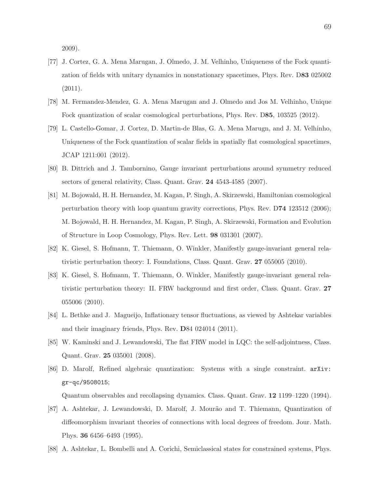2009).

- [77] J. Cortez, G. A. Mena Marugan, J. Olmedo, J. M. Velhinho, Uniqueness of the Fock quantization of fields with unitary dynamics in nonstationary spacetimes, Phys. Rev. D83 025002  $(2011).$
- [78] M. Fermandez-Mendez, G. A. Mena Marugan and J. Olmedo and Jos M. Velhinho, Unique Fock quantization of scalar cosmological perturbations, Phys. Rev. D85, 103525 (2012).
- [79] L. Castello-Gomar, J. Cortez, D. Martin-de Blas, G. A. Mena Marugn, and J. M. Velhinho, Uniqueness of the Fock quantization of scalar fields in spatially flat cosmological spacetimes, JCAP 1211:001 (2012).
- [80] B. Dittrich and J. Tambornino, Gauge invariant perturbations around symmetry reduced sectors of general relativity, Class. Quant. Grav. 24 4543-4585 (2007).
- [81] M. Bojowald, H. H. Hernandez, M. Kagan, P. Singh, A. Skirzewski, Hamiltonian cosmological perturbation theory with loop quantum gravity corrections, Phys. Rev. D74 123512 (2006); M. Bojowald, H. H. Hernandez, M. Kagan, P. Singh, A. Skirzewski, Formation and Evolution of Structure in Loop Cosmology, Phys. Rev. Lett. 98 031301 (2007).
- [82] K. Giesel, S. Hofmann, T. Thiemann, O. Winkler, Manifestly gauge-invariant general relativistic perturbation theory: I. Foundations, Class. Quant. Grav. 27 055005 (2010).
- [83] K. Giesel, S. Hofmann, T. Thiemann, O. Winkler, Manifestly gauge-invariant general relativistic perturbation theory: II. FRW background and first order, Class. Quant. Grav. 27 055006 (2010).
- [84] L. Bethke and J. Magueijo, Inflationary tensor fluctuations, as viewed by Ashtekar variables and their imaginary friends, Phys. Rev. D84 024014 (2011).
- [85] W. Kaminski and J. Lewandowski, The flat FRW model in LQC: the self-adjointness, Class. Quant. Grav. 25 035001 (2008).
- [86] D. Marolf, Refined algebraic quantization: Systems with a single constraint. arXiv: gr-qc/9508015;

Quantum observables and recollapsing dynamics. Class. Quant. Grav. 12 1199–1220 (1994).

- [87] A. Ashtekar, J. Lewandowski, D. Marolf, J. Mourão and T. Thiemann, Quantization of diffeomorphism invariant theories of connections with local degrees of freedom. Jour. Math. Phys. 36 6456–6493 (1995).
- [88] A. Ashtekar, L. Bombelli and A. Corichi, Semiclassical states for constrained systems, Phys.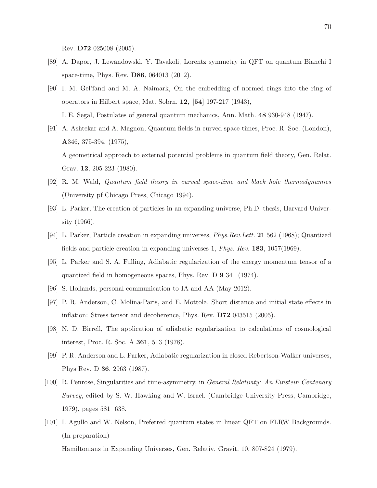Rev. D72 025008 (2005).

- [89] A. Dapor, J. Lewandowski, Y. Tavakoli, Lorentz symmetry in QFT on quantum Bianchi I space-time, Phys. Rev. D86, 064013 (2012).
- [90] I. M. Gel'fand and M. A. Naimark, On the embedding of normed rings into the ring of operators in Hilbert space, Mat. Sobrn. 12, [54] 197-217 (1943), I. E. Segal, Postulates of general quantum mechanics, Ann. Math. 48 930-948 (1947).
- [91] A. Ashtekar and A. Magnon, Quantum fields in curved space-times, Proc. R. Soc. (London), A346, 375-394, (1975), A geometrical approach to external potential problems in quantum field theory, Gen. Relat. Grav. 12, 205-223 (1980).
- [92] R. M. Wald, *Quantum field theory in curved space-time and black hole thermodynamics* (University pf Chicago Press, Chicago 1994).
- [93] L. Parker, The creation of particles in an expanding universe, Ph.D. thesis, Harvard University (1966).
- [94] L. Parker, Particle creation in expanding universes, *Phys.Rev.Lett.* 21 562 (1968); Quantized fields and particle creation in expanding universes 1, *Phys. Rev.* 183, 1057(1969).
- [95] L. Parker and S. A. Fulling, Adiabatic regularization of the energy momentum tensor of a quantized field in homogeneous spaces, Phys. Rev. D 9 341 (1974).
- [96] S. Hollands, personal communication to IA and AA (May 2012).
- [97] P. R. Anderson, C. Molina-Paris, and E. Mottola, Short distance and initial state effects in inflation: Stress tensor and decoherence, Phys. Rev. D72 043515 (2005).
- [98] N. D. Birrell, The application of adiabatic regularization to calculations of cosmological interest, Proc. R. Soc. A 361, 513 (1978).
- [99] P. R. Anderson and L. Parker, Adiabatic regularization in closed Rebertson-Walker universes, Phys Rev. D 36, 2963 (1987).
- [100] R. Penrose, Singularities and time-asymmetry, in *General Relativity: An Einstein Centenary Survey*, edited by S. W. Hawking and W. Israel. (Cambridge University Press, Cambridge, 1979), pages 581 638.
- [101] I. Agullo and W. Nelson, Preferred quantum states in linear QFT on FLRW Backgrounds. (In preparation) Hamiltonians in Expanding Universes, Gen. Relativ. Gravit. 10, 807-824 (1979).